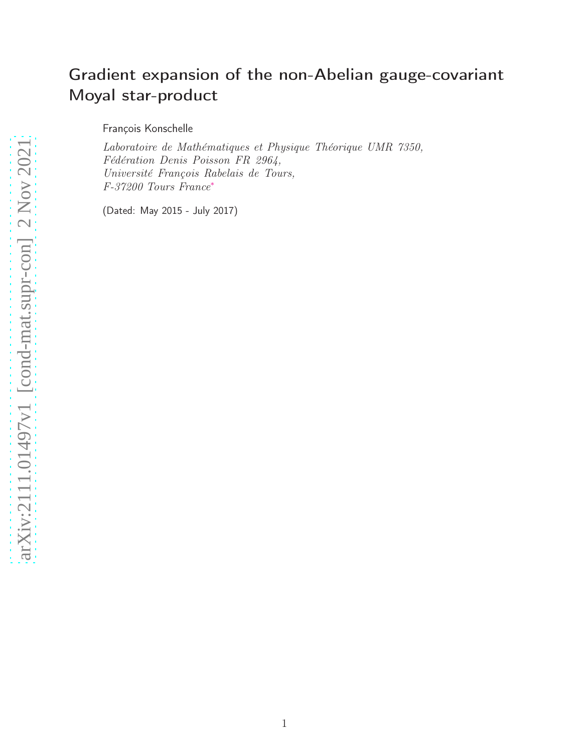# Gradient expansion of the non-Abelian gauge-covariant Moyal star-product

François Konschelle

Laboratoire de Mathématiques et Physique Théorique UMR 7350, Fédération Denis Poisson FR 2964, Université François Rabelais de Tours, F-37200 Tours France[∗](#page-2-0)

(Dated: May 2015 - July 2017)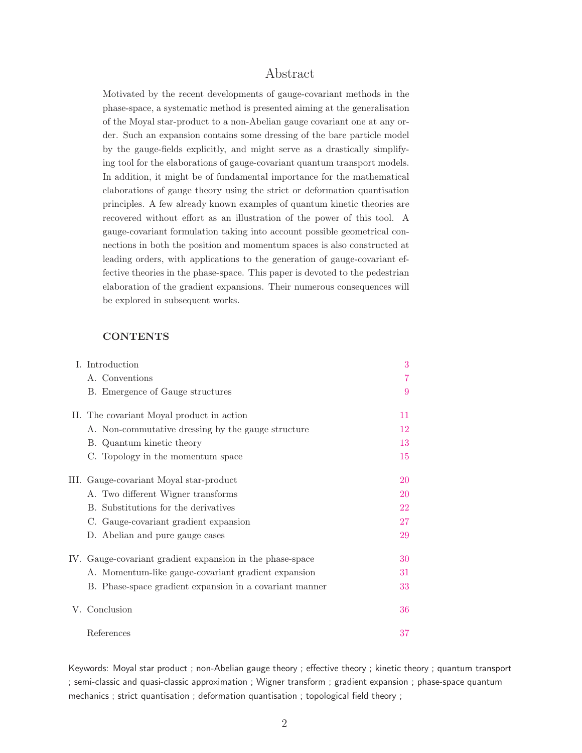# Abstract

Motivated by the recent developments of gauge-covariant methods in the phase-space, a systematic method is presented aiming at the generalisation of the Moyal star-product to a non-Abelian gauge covariant one at any order. Such an expansion contains some dressing of the bare particle model by the gauge-fields explicitly, and might serve as a drastically simplifying tool for the elaborations of gauge-covariant quantum transport models. In addition, it might be of fundamental importance for the mathematical elaborations of gauge theory using the strict or deformation quantisation principles. A few already known examples of quantum kinetic theories are recovered without effort as an illustration of the power of this tool. A gauge-covariant formulation taking into account possible geometrical connections in both the position and momentum spaces is also constructed at leading orders, with applications to the generation of gauge-covariant effective theories in the phase-space. This paper is devoted to the pedestrian elaboration of the gradient expansions. Their numerous consequences will be explored in subsequent works.

# **CONTENTS**

|  | I. Introduction                                           | 3  |
|--|-----------------------------------------------------------|----|
|  | A. Conventions                                            |    |
|  | B. Emergence of Gauge structures                          | 9  |
|  | II. The covariant Moyal product in action                 | 11 |
|  | A. Non-commutative dressing by the gauge structure        | 12 |
|  | B. Quantum kinetic theory                                 | 13 |
|  | C. Topology in the momentum space                         | 15 |
|  | III. Gauge-covariant Moyal star-product                   | 20 |
|  | A. Two different Wigner transforms                        | 20 |
|  | B. Substitutions for the derivatives                      | 22 |
|  | C. Gauge-covariant gradient expansion                     | 27 |
|  | D. Abelian and pure gauge cases                           | 29 |
|  | IV. Gauge-covariant gradient expansion in the phase-space | 30 |
|  | A. Momentum-like gauge-covariant gradient expansion       | 31 |
|  | B. Phase-space gradient expansion in a covariant manner   | 33 |
|  | V. Conclusion                                             | 36 |
|  | References                                                | 37 |

Keywords: Moyal star product ; non-Abelian gauge theory ; effective theory ; kinetic theory ; quantum transport ; semi-classic and quasi-classic approximation ; Wigner transform ; gradient expansion ; phase-space quantum mechanics ; strict quantisation ; deformation quantisation ; topological field theory ;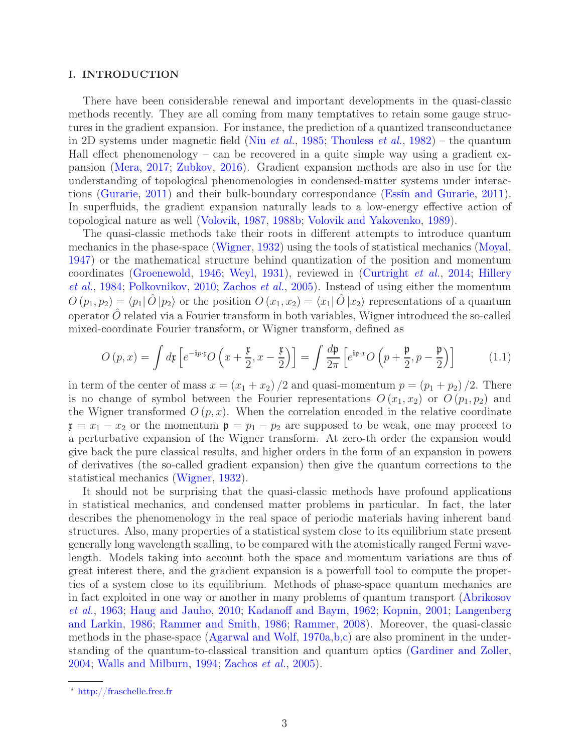# <span id="page-2-1"></span>I. INTRODUCTION

There have been considerable renewal and important developments in the quasi-classic methods recently. They are all coming from many temptatives to retain some gauge structures in the gradient expansion. For instance, the prediction of a quantized transconductance in 2D systems under magnetic field (Niu *[et al.](#page-41-0)*, [1985](#page-41-0); [Thouless](#page-42-0) *et al.*, [1982](#page-42-0)) – the quantum Hall effect phenomenology – can be recovered in a quite simple way using a gradient expansion [\(Mera,](#page-41-1) [2017](#page-41-1); [Zubkov](#page-43-0), [2016](#page-43-0)). Gradient expansion methods are also in use for the understanding of topological phenomenologies in condensed-matter systems under interactions [\(Gurarie](#page-39-0), [2011](#page-39-0)) and their bulk-boundary correspondance [\(Essin and Gurarie](#page-38-0), [2011\)](#page-38-0). In superfluids, the gradient expansion naturally leads to a low-energy effective action of topological nature as well [\(Volovik](#page-42-1), [1987,](#page-42-1) [1988b;](#page-42-2) [Volovik and Yakovenko,](#page-43-1) [1989\)](#page-43-1).

The quasi-classic methods take their roots in different attempts to introduce quantum mechanics in the phase-space [\(Wigner](#page-43-2), [1932](#page-43-2)) using the tools of statistical mechanics [\(Moyal,](#page-41-2) [1947\)](#page-41-2) or the mathematical structure behind quantization of the position and momentum coordinates [\(Groenewold,](#page-39-1) [1946;](#page-39-1) [Weyl](#page-43-3), [1931](#page-43-3)[\), reviewed in](#page-39-2) [\(Curtright](#page-38-1) et al., [2014](#page-38-1); Hillery et al., [1984;](#page-39-2) [Polkovnikov,](#page-41-3) [2010;](#page-41-3) [Zachos](#page-43-4) et al., [2005\)](#page-43-4). Instead of using either the momentum  $O(p_1, p_2) = \langle p_1 | \hat{O} | p_2 \rangle$  or the position  $O(x_1, x_2) = \langle x_1 | \hat{O} | x_2 \rangle$  representations of a quantum operator  $\hat{O}$  related via a Fourier transform in both variables, Wigner introduced the so-called mixed-coordinate Fourier transform, or Wigner transform, defined as

<span id="page-2-2"></span>
$$
O(p,x) = \int d\mathfrak{x} \left[ e^{-i p \cdot \mathfrak{x}} O\left(x + \frac{\mathfrak{x}}{2}, x - \frac{\mathfrak{x}}{2}\right) \right] = \int \frac{d\mathfrak{p}}{2\pi} \left[ e^{i \mathfrak{p} \cdot x} O\left(p + \frac{\mathfrak{p}}{2}, p - \frac{\mathfrak{p}}{2}\right) \right]
$$
(1.1)

in term of the center of mass  $x = (x_1 + x_2)/2$  and quasi-momentum  $p = (p_1 + p_2)/2$ . There is no change of symbol between the Fourier representations  $O(x_1, x_2)$  or  $O(p_1, p_2)$  and the Wigner transformed  $O(p, x)$ . When the correlation encoded in the relative coordinate  $x = x_1 - x_2$  or the momentum  $p = p_1 - p_2$  are supposed to be weak, one may proceed to a perturbative expansion of the Wigner transform. At zero-th order the expansion would give back the pure classical results, and higher orders in the form of an expansion in powers of derivatives (the so-called gradient expansion) then give the quantum corrections to the statistical mechanics [\(Wigner,](#page-43-2) [1932\)](#page-43-2).

It should not be surprising that the quasi-classic methods have profound applications in statistical mechanics, and condensed matter problems in particular. In fact, the later describes the phenomenology in the real space of periodic materials having inherent band structures. Also, many properties of a statistical system close to its equilibrium state present generally long wavelength scalling, to be compared with the atomistically ranged Fermi wavelength. Models taking into account both the space and momentum variations are thus of great interest there, and the gradient expansion is a powerfull tool to compute the properties of a system close to its equilibrium. Methods of phase-space quantum mechanics are in fa[ct exploited in one way or another in many problems of quantum transport \(](#page-36-1)Abrikosov et al., [1963](#page-36-1); [Haug and Jauho](#page-39-3), [2010](#page-39-3); [Kadanoff and Baym](#page-39-4)[,](#page-40-1) [1962;](#page-39-4) [Kopnin](#page-40-0), [2001](#page-40-0); Langenberg and Larkin, [1986](#page-40-1); [Rammer and Smith](#page-41-4), [1986;](#page-41-4) [Rammer](#page-41-5), [2008\)](#page-41-5). Moreover, the quasi-classic methods in the phase-space [\(Agarwal and Wolf,](#page-36-2) [1970a](#page-36-2)[,b](#page-36-3)[,c](#page-37-0)) are also prominent in the understanding of the quantum-to-classical transition and quantum optics [\(Gardiner and Zoller](#page-39-5), [2004;](#page-39-5) [Walls and Milburn](#page-43-5), [1994](#page-43-5); [Zachos](#page-43-4) et al., [2005\)](#page-43-4).

<span id="page-2-0"></span><sup>∗</sup> [http://fraschelle.free.fr](mailto:http://fraschelle.free.fr)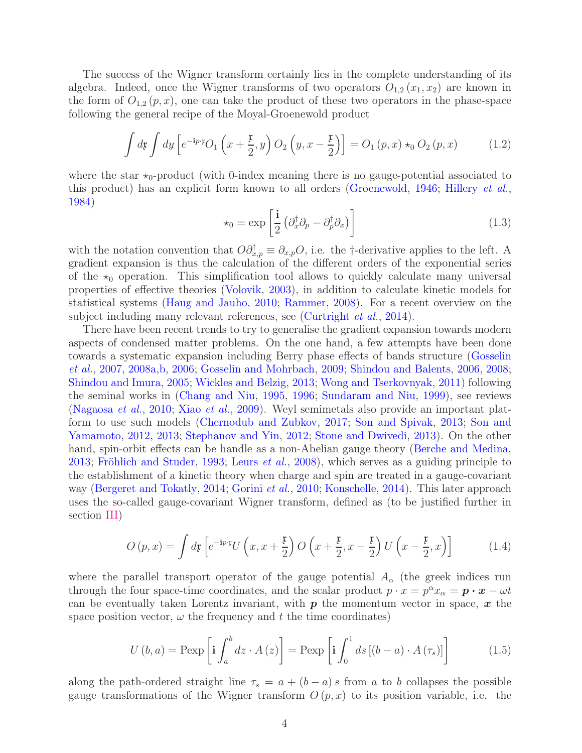The success of the Wigner transform certainly lies in the complete understanding of its algebra. Indeed, once the Wigner transforms of two operators  $O_{1,2}(x_1, x_2)$  are known in the form of  $O_{1,2}(p, x)$ , one can take the product of these two operators in the phase-space following the general recipe of the Moyal-Groenewold product

<span id="page-3-2"></span>
$$
\int d\mathfrak{x} \int dy \left[ e^{-i p \cdot \mathfrak{x}} O_1\left(x + \frac{\mathfrak{x}}{2}, y\right) O_2\left(y, x - \frac{\mathfrak{x}}{2}\right) \right] = O_1\left(p, x\right) \star_0 O_2\left(p, x\right) \tag{1.2}
$$

where the star  $\star_0$ -product (with 0-index meaning there is no gauge-potential associated to this product) has an explicit form known to all orders [\(Groenewold](#page-39-1), [1946](#page-39-1); [Hillery](#page-39-2) et al., [1984\)](#page-39-2)

$$
\star_0 = \exp\left[\frac{\mathbf{i}}{2} \left(\partial_x^{\dagger} \partial_p - \partial_p^{\dagger} \partial_x\right)\right]
$$
 (1.3)

with the notation convention that  $O\partial_{x,p}^{\dagger} \equiv \partial_{x,p}O$ , i.e. the †-derivative applies to the left. A gradient expansion is thus the calculation of the different orders of the exponential series of the  $\star_0$  operation. This simplification tool allows to quickly calculate many universal properties of effective theories [\(Volovik,](#page-43-6) [2003](#page-43-6)), in addition to calculate kinetic models for statistical systems [\(Haug and Jauho](#page-39-3), [2010;](#page-39-3) [Rammer,](#page-41-5) [2008](#page-41-5)). For a recent overview on the subject including many relevant references, see [\(Curtright](#page-38-1) *et al.*, [2014\)](#page-38-1).

There have been recent trends to try to generalise the gradient expansion towards modern aspects of condensed matter problems. On the one hand, a few attempts have been done towa[rds a systematic expansion including Berry phase effects of bands structure \(](#page-39-6)Gosselin et al., [2007](#page-39-6), [2008a](#page-39-7)[,b](#page-39-8), [2006](#page-39-9); [Gosselin and Mohrbach](#page-39-10), [2009;](#page-39-10) [Shindou and Balents](#page-42-3), [2006,](#page-42-3) [2008](#page-42-4); [Shindou and Imura](#page-42-5), [2005](#page-42-5); [Wickles and Belzig](#page-43-7), [2013](#page-43-7); [Wong and Tserkovnyak,](#page-43-8) [2011](#page-43-8)) following the seminal works in [\(Chang and Niu](#page-38-2), [1995,](#page-38-2) [1996](#page-38-3); [Sundaram and Niu](#page-42-6), [1999\)](#page-42-6), see reviews [\(Nagaosa](#page-41-6) et al., [2010](#page-41-6); Xiao [et al.](#page-43-9), [2009\)](#page-43-9). Weyl semimetals also provide an important platform to u[se such models](#page-42-8) [\(Chernodub and Zubkov](#page-38-4)[,](#page-42-8) [2017;](#page-38-4) [Son and Spivak](#page-42-7), [2013](#page-42-7); Son and Yamamoto, [2012,](#page-42-8) [2013;](#page-42-9) [Stephanov and Yin](#page-42-10), [2012;](#page-42-10) [Stone and Dwivedi](#page-42-11), [2013](#page-42-11)). On the other hand, spin-orbit effects can be handle as a non-Abelian gauge theory [\(Berche and Medina,](#page-37-1) [2013;](#page-37-1) [Fröhlich and Studer](#page-38-5), [1993](#page-38-5); [Leurs](#page-40-2) et al., [2008](#page-40-2)), which serves as a guiding principle to the establishment of a kinetic theory when charge and spin are treated in a gauge-covariant way [\(Bergeret and Tokatly](#page-37-2), [2014](#page-37-2); [Gorini](#page-39-11) et al., [2010;](#page-39-11) [Konschelle,](#page-40-3) [2014](#page-40-3)). This later approach uses the so-called gauge-covariant Wigner transform, defined as (to be justified further in section [III\)](#page-19-0)

<span id="page-3-0"></span>
$$
O(p,x) = \int d\mathbf{r} \left[ e^{-i p \cdot \mathbf{r}} U\left(x, x + \frac{\mathbf{r}}{2}\right) O\left(x + \frac{\mathbf{r}}{2}, x - \frac{\mathbf{r}}{2}\right) U\left(x - \frac{\mathbf{r}}{2}, x\right) \right]
$$
(1.4)

where the parallel transport operator of the gauge potential  $A_{\alpha}$  (the greek indices run through the four space-time coordinates, and the scalar product  $p \cdot x = p^{\alpha} x_{\alpha} = p \cdot x - \omega t$ can be eventually taken Lorentz invariant, with  $p$  the momentum vector in space,  $x$  the space position vector,  $\omega$  the frequency and t the time coordinates)

<span id="page-3-1"></span>
$$
U(b, a) = \text{Pexp}\left[\mathbf{i} \int_{a}^{b} dz \cdot A\left(z\right)\right] = \text{Pexp}\left[\mathbf{i} \int_{0}^{1} ds \left[\left(b - a\right) \cdot A\left(\tau_{s}\right)\right]\right] \tag{1.5}
$$

along the path-ordered straight line  $\tau_s = a + (b - a)s$  from a to b collapses the possible gauge transformations of the Wigner transform  $O(p, x)$  to its position variable, i.e. the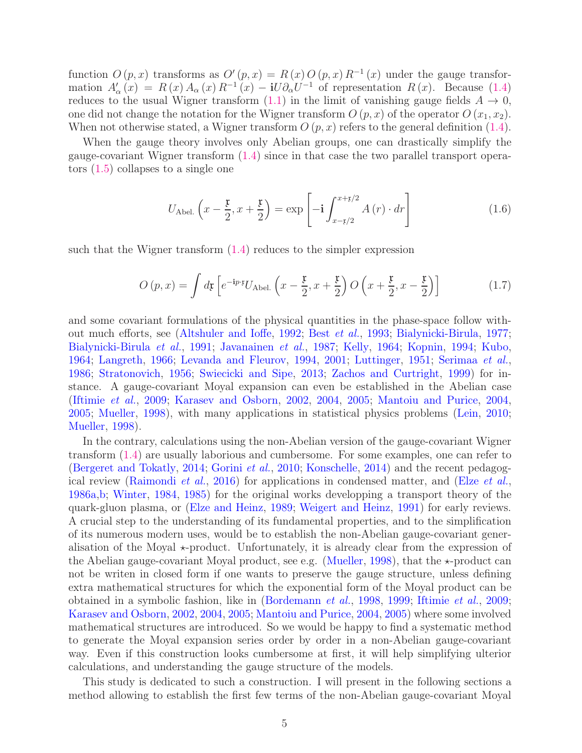function  $O(p, x)$  transforms as  $O'(p, x) = R(x) O(p, x) R^{-1}(x)$  under the gauge transformation  $A'_{\alpha}(x) = R(x) A_{\alpha}(x) R^{-1}(x) - iU \partial_{\alpha} U^{-1}$  of representation  $R(x)$ . Because [\(1.4\)](#page-3-0) reduces to the usual Wigner transform  $(1.1)$  in the limit of vanishing gauge fields  $A \rightarrow 0$ , one did not change the notation for the Wigner transform  $O(p, x)$  of the operator  $O(x_1, x_2)$ . When not otherwise stated, a Wigner transform  $O(p, x)$  refers to the general definition [\(1.4\)](#page-3-0).

When the gauge theory involves only Abelian groups, one can drastically simplify the gauge-covariant Wigner transform [\(1.4\)](#page-3-0) since in that case the two parallel transport operators [\(1.5\)](#page-3-1) collapses to a single one

$$
U_{\text{Abel.}}\left(x-\frac{\mathfrak{x}}{2},x+\frac{\mathfrak{x}}{2}\right)=\exp\left[-\mathbf{i}\int_{x-\mathfrak{x}/2}^{x+\mathfrak{x}/2}A\left(r\right)\cdot dr\right]
$$
(1.6)

such that the Wigner transform [\(1.4\)](#page-3-0) reduces to the simpler expression

$$
O(p,x) = \int d\mathbf{r} \left[ e^{-i p \cdot \mathbf{r}} U_{\text{Abel.}} \left( x - \frac{\mathbf{r}}{2}, x + \frac{\mathbf{r}}{2} \right) O\left( x + \frac{\mathbf{r}}{2}, x - \frac{\mathbf{r}}{2} \right) \right]
$$
(1.7)

and some covariant formulations of the physical quantities in the phase-space follow without much efforts, see [\(Altshuler and Ioffe,](#page-37-3) [1992](#page-37-3); Best [et al.](#page-37-4), [1993;](#page-37-4) [Bialynicki-Birula,](#page-37-5) [1977](#page-37-5); [Bialynicki-Birula](#page-37-6) et al., [1991](#page-37-6); [Javanainen](#page-39-12) et al., [1987;](#page-39-12) [Kelly](#page-40-4), [1964](#page-40-4); [Kopnin](#page-40-5), [1994](#page-40-5); [Kubo](#page-40-6), [1964;](#page-40-6) [Langreth](#page-40-7), [1966](#page-40-7); [Levanda and Fleurov](#page-40-8), [1994](#page-40-8), [2001;](#page-40-9) [Luttinger](#page-41-7), [1951](#page-41-7); [Serimaa](#page-41-8) et al., [1986;](#page-41-8) [Stratonovich,](#page-42-12) [1956](#page-42-12); [Swiecicki and Sipe](#page-42-13), [2013](#page-42-13); [Zachos and Curtright](#page-43-10), [1999](#page-43-10)) for instance. A gauge-covariant Moyal expansion can even be established in the Abelian case [\(Iftimie](#page-39-13) et al., [2009](#page-39-13); [Karasev and Osborn,](#page-40-10) [2002,](#page-40-10) [2004,](#page-40-11) [2005](#page-40-12); [Mantoiu and Purice,](#page-41-9) [2004](#page-41-9), [2005;](#page-41-10) [Mueller](#page-41-11), [1998](#page-41-11)), with many applications in statistical physics problems [\(Lein](#page-40-13), [2010](#page-40-13); [Mueller,](#page-41-11) [1998](#page-41-11)).

In the contrary, calculations using the non-Abelian version of the gauge-covariant Wigner transform [\(1.4\)](#page-3-0) are usually laborious and cumbersome. For some examples, one can refer to [\(Bergeret and Tokatly](#page-37-2), [2014;](#page-37-2) [Gorini](#page-39-11) et al., [2010](#page-39-11); [Konschelle](#page-40-3), [2014\)](#page-40-3) and the recent pedagog-ical review [\(Raimondi](#page-41-12) *[et al.](#page-38-6)*, [2016\)](#page-41-12) for applications in condensed matter, and (Elze *et al.*, [1986a](#page-38-6)[,b](#page-38-7); [Winter](#page-43-11), [1984](#page-43-11), [1985](#page-43-12)) for the original works developping a transport theory of the quark-gluon plasma, or [\(Elze and Heinz,](#page-38-8) [1989](#page-38-8); [Weigert and Heinz,](#page-43-13) [1991\)](#page-43-13) for early reviews. A crucial step to the understanding of its fundamental properties, and to the simplification of its numerous modern uses, would be to establish the non-Abelian gauge-covariant generalisation of the Moyal  $\star$ -product. Unfortunately, it is already clear from the expression of the Abelian gauge-covariant Moyal product, see e.g. [\(Mueller](#page-41-11), [1998](#page-41-11)), that the  $\star$ -product can not be writen in closed form if one wants to preserve the gauge structure, unless defining extra mathematical structures for which the exponential form of the Moyal product can be obtained in a symbolic fashion, like in [\(Bordemann](#page-38-9) et al., [1998](#page-38-9), [1999;](#page-38-10) [Iftimie](#page-39-13) et al., [2009](#page-39-13); [Karasev and Osborn](#page-40-10), [2002,](#page-40-10) [2004](#page-40-11), [2005;](#page-40-12) [Mantoiu and Purice](#page-41-9), [2004,](#page-41-9) [2005](#page-41-10)) where some involved mathematical structures are introduced. So we would be happy to find a systematic method to generate the Moyal expansion series order by order in a non-Abelian gauge-covariant way. Even if this construction looks cumbersome at first, it will help simplifying ulterior calculations, and understanding the gauge structure of the models.

This study is dedicated to such a construction. I will present in the following sections a method allowing to establish the first few terms of the non-Abelian gauge-covariant Moyal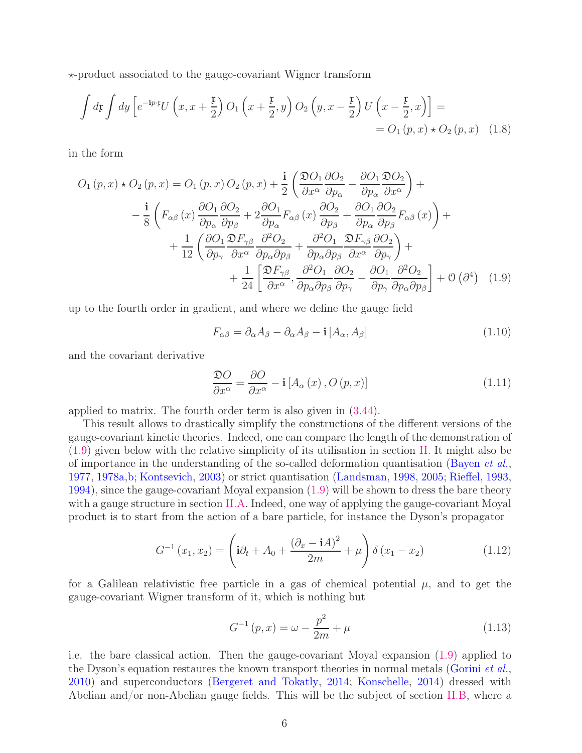⋆-product associated to the gauge-covariant Wigner transform

$$
\int d\mathbf{r} \int dy \left[ e^{-i p \cdot \mathbf{r}} U\left(x, x + \frac{\mathbf{r}}{2}\right) O_1\left(x + \frac{\mathbf{r}}{2}, y\right) O_2\left(y, x - \frac{\mathbf{r}}{2}\right) U\left(x - \frac{\mathbf{r}}{2}, x\right) \right] =
$$
  
=  $O_1(p, x) \star O_2(p, x)$  (1.8)

in the form

$$
O_{1}(p, x) \star O_{2}(p, x) = O_{1}(p, x) O_{2}(p, x) + \frac{\mathbf{i}}{2} \left( \frac{\mathfrak{D}O_{1}}{\partial x^{\alpha}} \frac{\partial O_{2}}{\partial p_{\alpha}} - \frac{\partial O_{1}}{\partial p_{\alpha}} \frac{\mathfrak{D}O_{2}}{\partial x^{\alpha}} \right) +
$$
  

$$
- \frac{\mathbf{i}}{8} \left( F_{\alpha\beta}(x) \frac{\partial O_{1}}{\partial p_{\alpha}} \frac{\partial O_{2}}{\partial p_{\beta}} + 2 \frac{\partial O_{1}}{\partial p_{\alpha}} F_{\alpha\beta}(x) \frac{\partial O_{2}}{\partial p_{\beta}} + \frac{\partial O_{1}}{\partial p_{\alpha}} \frac{\partial O_{2}}{\partial p_{\beta}} F_{\alpha\beta}(x) \right) +
$$
  

$$
+ \frac{1}{12} \left( \frac{\partial O_{1}}{\partial p_{\gamma}} \frac{\mathfrak{D}F_{\gamma\beta}}{\partial x^{\alpha}} \frac{\partial^{2}O_{2}}{\partial p_{\alpha} \partial p_{\beta}} + \frac{\partial^{2}O_{1}}{\partial p_{\alpha} \partial p_{\beta}} \frac{\mathfrak{D}F_{\gamma\beta}}{\partial x^{\alpha}} \frac{\partial O_{2}}{\partial p_{\gamma}} \right) +
$$
  

$$
+ \frac{1}{24} \left[ \frac{\mathfrak{D}F_{\gamma\beta}}{\partial x^{\alpha}}, \frac{\partial^{2}O_{1}}{\partial p_{\alpha} \partial p_{\beta}} \frac{\partial O_{2}}{\partial p_{\gamma}} - \frac{\partial O_{1}}{\partial p_{\gamma}} \frac{\partial^{2}O_{2}}{\partial p_{\alpha} \partial p_{\beta}} \right] + \mathcal{O} \left( \partial^{4} \right) (1.9)
$$

up to the fourth order in gradient, and where we define the gauge field

<span id="page-5-2"></span><span id="page-5-0"></span>
$$
F_{\alpha\beta} = \partial_{\alpha}A_{\beta} - \partial_{\alpha}A_{\beta} - \mathbf{i}[A_{\alpha}, A_{\beta}]
$$
\n(1.10)

and the covariant derivative

<span id="page-5-1"></span>
$$
\frac{\mathfrak{D}O}{\partial x^{\alpha}} = \frac{\partial O}{\partial x^{\alpha}} - \mathbf{i} \left[ A_{\alpha}(x), O(p, x) \right]
$$
(1.11)

applied to matrix. The fourth order term is also given in [\(3.44\)](#page-28-1).

This result allows to drastically simplify the constructions of the different versions of the gauge-covariant kinetic theories. Indeed, one can compare the length of the demonstration of [\(1.9\)](#page-5-0) given below with the relative simplicity of its utilisation in section [II.](#page-10-0) It might also be of importance in the understanding of the so-called deformation quantisation [\(Bayen](#page-37-7)  $et al.$ ) [1977,](#page-37-7) [1978a](#page-37-8)[,b;](#page-37-9) [Kontsevich,](#page-40-14) [2003\)](#page-40-14) or strict quantisation [\(Landsman](#page-40-15), [1998](#page-40-15), [2005;](#page-40-16) [Rieffel](#page-41-13), [1993](#page-41-13), [1994\)](#page-41-14), since the gauge-covariant Moyal expansion [\(1.9\)](#page-5-0) will be shown to dress the bare theory with a gauge structure in section [II.A.](#page-11-0) Indeed, one way of applying the gauge-covariant Moyal product is to start from the action of a bare particle, for instance the Dyson's propagator

$$
G^{-1}(x_1, x_2) = \left(\mathbf{i}\partial_t + A_0 + \frac{(\partial_x - \mathbf{i}A)^2}{2m} + \mu\right)\delta(x_1 - x_2)
$$
 (1.12)

for a Galilean relativistic free particle in a gas of chemical potential  $\mu$ , and to get the gauge-covariant Wigner transform of it, which is nothing but

$$
G^{-1}(p,x) = \omega - \frac{p^2}{2m} + \mu
$$
\n(1.13)

i.e. the bare classical action. Then the gauge-covariant Moyal expansion [\(1.9\)](#page-5-0) applied to the Dyson's equation restaures the known transport theories in normal metals [\(Gorini](#page-39-11)  $et al.$ , [2010\)](#page-39-11) and superconductors [\(Bergeret and Tokatly](#page-37-2), [2014;](#page-37-2) [Konschelle](#page-40-3), [2014\)](#page-40-3) dressed with Abelian and/or non-Abelian gauge fields. This will be the subject of section [II.B,](#page-12-0) where a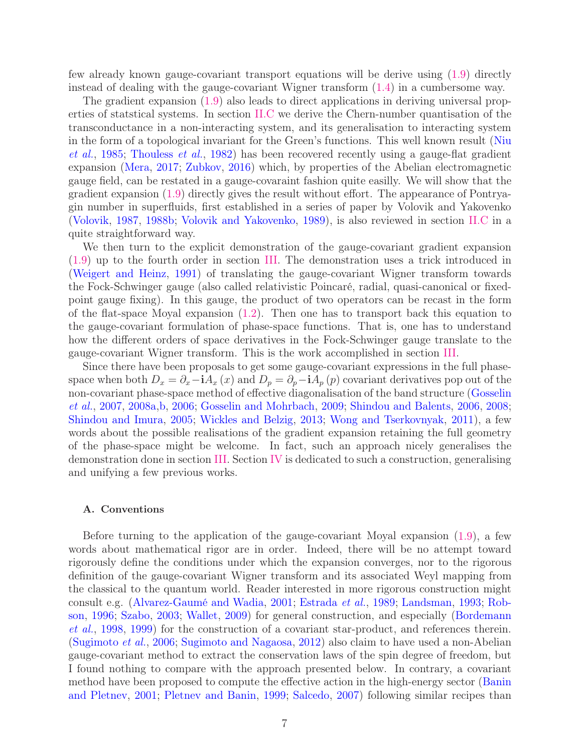few already known gauge-covariant transport equations will be derive using [\(1.9\)](#page-5-0) directly instead of dealing with the gauge-covariant Wigner transform [\(1.4\)](#page-3-0) in a cumbersome way.

The gradient expansion [\(1.9\)](#page-5-0) also leads to direct applications in deriving universal properties of statstical systems. In section [II.C](#page-14-0) we derive the Chern-number quantisation of the transconductance in a non-interacting system, and its generalisation to interacting system in th[e form of a topological invariant for the Green's functions. This well known result \(](#page-41-0)Niu et al., [1985;](#page-41-0) [Thouless](#page-42-0) et al., [1982\)](#page-42-0) has been recovered recently using a gauge-flat gradient expansion [\(Mera](#page-41-1), [2017](#page-41-1); [Zubkov,](#page-43-0) [2016\)](#page-43-0) which, by properties of the Abelian electromagnetic gauge field, can be restated in a gauge-covaraint fashion quite easilly. We will show that the gradient expansion [\(1.9\)](#page-5-0) directly gives the result without effort. The appearance of Pontryagin number in superfluids, first established in a series of paper by Volovik and Yakovenko [\(Volovik](#page-42-1), [1987,](#page-42-1) [1988b](#page-42-2); [Volovik and Yakovenko,](#page-43-1) [1989](#page-43-1)), is also reviewed in section [II.C](#page-14-0) in a quite straightforward way.

We then turn to the explicit demonstration of the gauge-covariant gradient expansion [\(1.9\)](#page-5-0) up to the fourth order in section [III.](#page-19-0) The demonstration uses a trick introduced in [\(Weigert and Heinz,](#page-43-13) [1991](#page-43-13)) of translating the gauge-covariant Wigner transform towards the Fock-Schwinger gauge (also called relativistic Poincaré, radial, quasi-canonical or fixedpoint gauge fixing). In this gauge, the product of two operators can be recast in the form of the flat-space Moyal expansion  $(1.2)$ . Then one has to transport back this equation to the gauge-covariant formulation of phase-space functions. That is, one has to understand how the different orders of space derivatives in the Fock-Schwinger gauge translate to the gauge-covariant Wigner transform. This is the work accomplished in section [III.](#page-19-0)

Since there have been proposals to get some gauge-covariant expressions in the full phasespace when both  $D_x = \partial_x - iA_x(x)$  and  $D_p = \partial_p - iA_p(p)$  covariant derivatives pop out of the non-[covariant phase-space method of effective diagonalisation of the band structure \(](#page-39-6)Gosselin et al., [2007](#page-39-6), [2008a](#page-39-7)[,b](#page-39-8), [2006](#page-39-9); [Gosselin and Mohrbach](#page-39-10), [2009;](#page-39-10) [Shindou and Balents](#page-42-3), [2006,](#page-42-3) [2008](#page-42-4); [Shindou and Imura,](#page-42-5) [2005;](#page-42-5) [Wickles and Belzig](#page-43-7), [2013;](#page-43-7) [Wong and Tserkovnyak](#page-43-8), [2011\)](#page-43-8), a few words about the possible realisations of the gradient expansion retaining the full geometry of the phase-space might be welcome. In fact, such an approach nicely generalises the demonstration done in section [III.](#page-19-0) Section [IV](#page-29-0) is dedicated to such a construction, generalising and unifying a few previous works.

### <span id="page-6-0"></span>A. Conventions

Before turning to the application of the gauge-covariant Moyal expansion [\(1.9\)](#page-5-0), a few words about mathematical rigor are in order. Indeed, there will be no attempt toward rigorously define the conditions under which the expansion converges, nor to the rigorous definition of the gauge-covariant Wigner transform and its associated Weyl mapping from the classical to the quantum world. Reader interested in more rigorous construction might co[nsult e.g.](#page-41-15) [\(Alvarez-Gaumé and Wadia,](#page-37-10) [2001](#page-37-10); [Estrada](#page-38-11) et al., [1989;](#page-38-11) [Landsman,](#page-40-17) [1993](#page-40-17); Robson, [1996](#page-41-15); [Szabo,](#page-42-14) [2003;](#page-42-14) [Wallet](#page-43-14), [2009](#page-43-14)[\) for general construction, and especially \(](#page-38-9)Bordemann et al., [1998,](#page-38-9) [1999\)](#page-38-10) for the construction of a covariant star-product, and references therein. [\(Sugimoto](#page-42-15) et al., [2006](#page-42-15); [Sugimoto and Nagaosa,](#page-42-16) [2012\)](#page-42-16) also claim to have used a non-Abelian gauge-covariant method to extract the conservation laws of the spin degree of freedom, but I found nothing to compare with the approach presented below. In contrary, a covariant method hav[e been proposed to compute the effective action in the high-energy sector \(](#page-37-11)Banin and Pletnev, [2001](#page-37-11); [Pletnev and Banin,](#page-41-16) [1999;](#page-41-16) [Salcedo,](#page-41-17) [2007\)](#page-41-17) following similar recipes than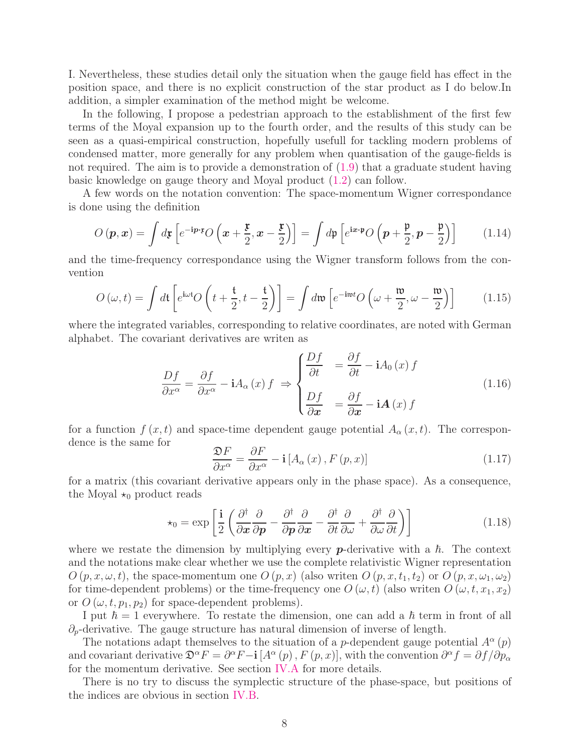I. Nevertheless, these studies detail only the situation when the gauge field has effect in the position space, and there is no explicit construction of the star product as I do below.In addition, a simpler examination of the method might be welcome.

In the following, I propose a pedestrian approach to the establishment of the first few terms of the Moyal expansion up to the fourth order, and the results of this study can be seen as a quasi-empirical construction, hopefully usefull for tackling modern problems of condensed matter, more generally for any problem when quantisation of the gauge-fields is not required. The aim is to provide a demonstration of [\(1.9\)](#page-5-0) that a graduate student having basic knowledge on gauge theory and Moyal product [\(1.2\)](#page-3-2) can follow.

A few words on the notation convention: The space-momentum Wigner correspondance is done using the definition

$$
O\left(\mathbf{p}, \mathbf{x}\right) = \int d\mathbf{x} \left[ e^{-i\mathbf{p}\cdot\mathbf{x}} O\left(\mathbf{x} + \frac{\mathbf{r}}{2}, \mathbf{x} - \frac{\mathbf{r}}{2}\right) \right] = \int d\mathbf{p} \left[ e^{i\mathbf{x}\cdot\mathbf{p}} O\left(\mathbf{p} + \frac{\mathbf{p}}{2}, \mathbf{p} - \frac{\mathbf{p}}{2}\right) \right]
$$
(1.14)

and the time-frequency correspondance using the Wigner transform follows from the convention

$$
O(\omega, t) = \int d\mathbf{t} \left[ e^{i\omega t} O\left(t + \frac{\mathbf{t}}{2}, t - \frac{\mathbf{t}}{2}\right) \right] = \int d\mathfrak{w} \left[ e^{-i\mathfrak{w}t} O\left(\omega + \frac{\mathfrak{w}}{2}, \omega - \frac{\mathfrak{w}}{2}\right) \right]
$$
(1.15)

where the integrated variables, corresponding to relative coordinates, are noted with German alphabet. The covariant derivatives are writen as

$$
\frac{Df}{\partial x^{\alpha}} = \frac{\partial f}{\partial x^{\alpha}} - iA_{\alpha}(x) f \Rightarrow \begin{cases} \frac{Df}{\partial t} & = \frac{\partial f}{\partial t} - iA_{0}(x) f \\ \frac{Df}{\partial x} & = \frac{\partial f}{\partial x} - iA(x) f \end{cases}
$$
(1.16)

for a function  $f(x, t)$  and space-time dependent gauge potential  $A_{\alpha}(x, t)$ . The correspondence is the same for

$$
\frac{\mathfrak{D}F}{\partial x^{\alpha}} = \frac{\partial F}{\partial x^{\alpha}} - \mathbf{i} \left[ A_{\alpha} \left( x \right), F \left( p, x \right) \right] \tag{1.17}
$$

for a matrix (this covariant derivative appears only in the phase space). As a consequence, the Moyal  $\star_0$  product reads

<span id="page-7-0"></span>
$$
\star_0 = \exp\left[\frac{\mathbf{i}}{2}\left(\frac{\partial^{\dagger}}{\partial x}\frac{\partial}{\partial p} - \frac{\partial^{\dagger}}{\partial p}\frac{\partial}{\partial x} - \frac{\partial^{\dagger}}{\partial t}\frac{\partial}{\partial \omega} + \frac{\partial^{\dagger}}{\partial \omega}\frac{\partial}{\partial t}\right)\right]
$$
(1.18)

where we restate the dimension by multiplying every  $p$ -derivative with a  $\hbar$ . The context and the notations make clear whether we use the complete relativistic Wigner representation  $O(p, x, \omega, t)$ , the space-momentum one  $O(p, x)$  (also writen  $O(p, x, t_1, t_2)$  or  $O(p, x, \omega_1, \omega_2)$ ) for time-dependent problems) or the time-frequency one  $O(\omega, t)$  (also writen  $O(\omega, t, x_1, x_2)$ or  $O(\omega, t, p_1, p_2)$  for space-dependent problems).

I put  $\hbar = 1$  everywhere. To restate the dimension, one can add a  $\hbar$  term in front of all  $\partial_p$ -derivative. The gauge structure has natural dimension of inverse of length.

The notations adapt themselves to the situation of a *p*-dependent gauge potential  $A^{\alpha}(p)$ and covariant derivative  $\mathfrak{D}^{\alpha}F = \partial^{\alpha}F - \mathbf{i} [A^{\alpha}(p), F(p, x)],$  with the convention  $\partial^{\alpha}f = \partial f / \partial p_{\alpha}$ for the momentum derivative. See section [IV.A](#page-30-0) for more details.

There is no try to discuss the symplectic structure of the phase-space, but positions of the indices are obvious in section [IV.B.](#page-32-0)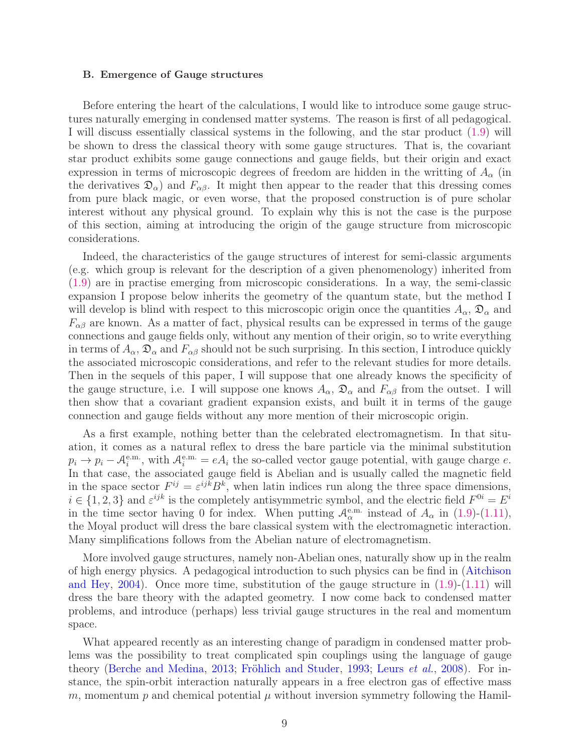#### <span id="page-8-0"></span>B. Emergence of Gauge structures

Before entering the heart of the calculations, I would like to introduce some gauge structures naturally emerging in condensed matter systems. The reason is first of all pedagogical. I will discuss essentially classical systems in the following, and the star product [\(1.9\)](#page-5-0) will be shown to dress the classical theory with some gauge structures. That is, the covariant star product exhibits some gauge connections and gauge fields, but their origin and exact expression in terms of microscopic degrees of freedom are hidden in the writting of  $A_{\alpha}$  (in the derivatives  $\mathfrak{D}_{\alpha}$  and  $F_{\alpha\beta}$ . It might then appear to the reader that this dressing comes from pure black magic, or even worse, that the proposed construction is of pure scholar interest without any physical ground. To explain why this is not the case is the purpose of this section, aiming at introducing the origin of the gauge structure from microscopic considerations.

Indeed, the characteristics of the gauge structures of interest for semi-classic arguments (e.g. which group is relevant for the description of a given phenomenology) inherited from [\(1.9\)](#page-5-0) are in practise emerging from microscopic considerations. In a way, the semi-classic expansion I propose below inherits the geometry of the quantum state, but the method I will develop is blind with respect to this microscopic origin once the quantities  $A_{\alpha}$ ,  $\mathfrak{D}_{\alpha}$  and  $F_{\alpha\beta}$  are known. As a matter of fact, physical results can be expressed in terms of the gauge connections and gauge fields only, without any mention of their origin, so to write everything in terms of  $A_\alpha$ ,  $\mathfrak{D}_\alpha$  and  $F_{\alpha\beta}$  should not be such surprising. In this section, I introduce quickly the associated microscopic considerations, and refer to the relevant studies for more details. Then in the sequels of this paper, I will suppose that one already knows the specificity of the gauge structure, i.e. I will suppose one knows  $A_{\alpha}$ ,  $\mathfrak{D}_{\alpha}$  and  $F_{\alpha\beta}$  from the outset. I will then show that a covariant gradient expansion exists, and built it in terms of the gauge connection and gauge fields without any more mention of their microscopic origin.

As a first example, nothing better than the celebrated electromagnetism. In that situation, it comes as a natural reflex to dress the bare particle via the minimal substitution  $p_i \to p_i - A_i^{\text{e.m.}}$ , with  $A_i^{\text{e.m.}} = eA_i$  the so-called vector gauge potential, with gauge charge e. In that case, the associated gauge field is Abelian and is usually called the magnetic field in the space sector  $F^{ij} = \varepsilon^{ijk} B^k$ , when latin indices run along the three space dimensions,  $i \in \{1,2,3\}$  and  $\varepsilon^{ijk}$  is the completely antisymmetric symbol, and the electric field  $F^{0i} = E^i$ in the time sector having 0 for index. When putting  $\mathcal{A}_{\alpha}^{\text{e.m.}}$  instead of  $A_{\alpha}$  in [\(1.9\)](#page-5-0)-[\(1.11\)](#page-5-1), the Moyal product will dress the bare classical system with the electromagnetic interaction. Many simplifications follows from the Abelian nature of electromagnetism.

More involved gauge structures, namely non-Abelian ones, naturally show up in the realm of high e[nergy physics. A pedagogical introduction to such physics can be find in \(](#page-37-12)Aitchison and Hey, [2004\)](#page-37-12). Once more time, substitution of the gauge structure in [\(1.9\)](#page-5-0)-[\(1.11\)](#page-5-1) will dress the bare theory with the adapted geometry. I now come back to condensed matter problems, and introduce (perhaps) less trivial gauge structures in the real and momentum space.

What appeared recently as an interesting change of paradigm in condensed matter problems was the possibility to treat complicated spin couplings using the language of gauge theory [\(Berche and Medina,](#page-37-1) [2013](#page-37-1); [Fröhlich and Studer](#page-38-5), [1993;](#page-38-5) [Leurs](#page-40-2) et al., [2008\)](#page-40-2). For instance, the spin-orbit interaction naturally appears in a free electron gas of effective mass m, momentum p and chemical potential  $\mu$  without inversion symmetry following the Hamil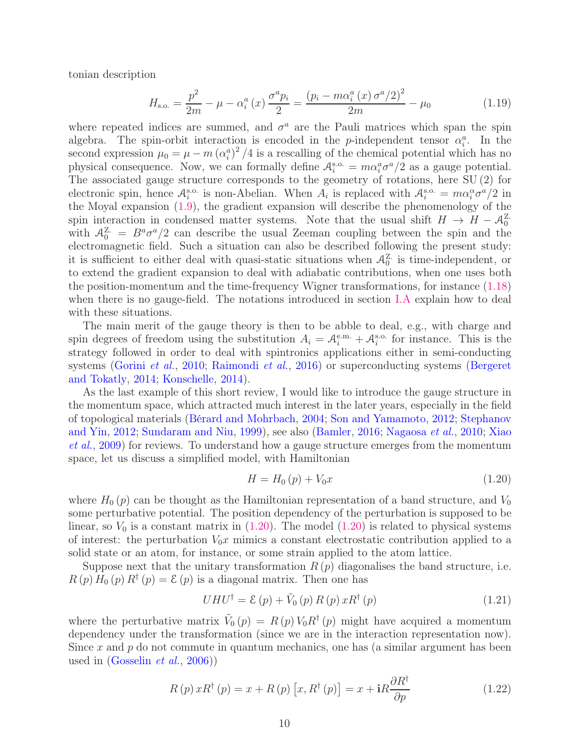tonian description

<span id="page-9-2"></span>
$$
H_{\text{s.o.}} = \frac{p^2}{2m} - \mu - \alpha_i^a(x) \frac{\sigma^a p_i}{2} = \frac{(p_i - m\alpha_i^a(x)\sigma^a/2)^2}{2m} - \mu_0 \tag{1.19}
$$

where repeated indices are summed, and  $\sigma^a$  are the Pauli matrices which span the spin algebra. The spin-orbit interaction is encoded in the p-independent tensor  $\alpha_i^a$ . In the second expression  $\mu_0 = \mu - m (\alpha_i^a)^2 / 4$  is a rescalling of the chemical potential which has no physical consequence. Now, we can formally define  $A_i^{s.o.} = m\alpha_i^a \sigma^a/2$  as a gauge potential. The associated gauge structure corresponds to the geometry of rotations, here SU (2) for electronic spin, hence  $A_i^{\text{s.o.}}$  is non-Abelian. When  $A_i$  is replaced with  $A_i^{\text{s.o.}} = m\alpha_i^{\alpha}\sigma^{\alpha}/2$  in the Moyal expansion [\(1.9\)](#page-5-0), the gradient expansion will describe the phenomenology of the spin interaction in condensed matter systems. Note that the usual shift  $H \to H - \mathcal{A}_0^{\mathbb{Z}}$ . with  $A_0^{\mathbb{Z}} = B^a \sigma^a/2$  can describe the usual Zeeman coupling between the spin and the electromagnetic field. Such a situation can also be described following the present study: it is sufficient to either deal with quasi-static situations when  $\mathcal{A}^{\mathbf{Z}}_0$  is time-independent, or to extend the gradient expansion to deal with adiabatic contributions, when one uses both the position-momentum and the time-frequency Wigner transformations, for instance [\(1.18\)](#page-7-0) when there is no gauge-field. The notations introduced in section [I.A](#page-6-0) explain how to deal with these situations.

The main merit of the gauge theory is then to be abble to deal, e.g., with charge and spin degrees of freedom using the substitution  $A_i = A_i^{\text{e.m.}} + A_i^{\text{s.o.}}$  for instance. This is the strategy followed in order to deal with spintronics applications either in semi-conducting systems [\(Gorini](#page-39-11) et al., [2010](#page-39-11); [Raimondi](#page-41-12) et al., [2016](#page-41-12)[\) or superconducting systems \(](#page-37-2)Bergeret and Tokatly, [2014](#page-37-2); [Konschelle,](#page-40-3) [2014\)](#page-40-3).

As the last example of this short review, I would like to introduce the gauge structure in the momentum space, which attracted much interest in the later years, especially in the field of topol[ogical materials](#page-42-10) [\(Bérard and Mohrbach](#page-37-13)[,](#page-42-10) [2004](#page-37-13); [Son and Yamamoto](#page-42-8), [2012](#page-42-8); Stephanov and Yin, [2012;](#page-42-10) [Sundaram and Niu,](#page-42-6) [1999](#page-42-6)[\), see also](#page-43-9) [\(Bamler,](#page-37-14) [2016;](#page-37-14) [Nagaosa](#page-41-6) et al., [2010;](#page-41-6) Xiao et al., [2009\)](#page-43-9) for reviews. To understand how a gauge structure emerges from the momentum space, let us discuss a simplified model, with Hamiltonian

<span id="page-9-0"></span>
$$
H = H_0(p) + V_0 x \tag{1.20}
$$

where  $H_0(p)$  can be thought as the Hamiltonian representation of a band structure, and  $V_0$ some perturbative potential. The position dependency of the perturbation is supposed to be linear, so  $V_0$  is a constant matrix in  $(1.20)$ . The model  $(1.20)$  is related to physical systems of interest: the perturbation  $V_0x$  mimics a constant electrostatic contribution applied to a solid state or an atom, for instance, or some strain applied to the atom lattice.

Suppose next that the unitary transformation  $R(p)$  diagonalises the band structure, i.e.  $R(p) H_0(p) R^{\dagger}(p) = \mathcal{E}(p)$  is a diagonal matrix. Then one has

$$
UHU^{\dagger} = \mathcal{E}(p) + \tilde{V}_0(p) R(p) xR^{\dagger}(p)
$$
\n(1.21)

where the perturbative matrix  $\tilde{V}_0(p) = R(p) V_0 R^{\dagger}(p)$  might have acquired a momentum dependency under the transformation (since we are in the interaction representation now). Since x and  $p$  do not commute in quantum mechanics, one has (a similar argument has been used in  $(G$ osselin *et al.*, [2006\)](#page-39-9))

<span id="page-9-1"></span>
$$
R(p)xR^{\dagger}(p) = x + R(p)[x, R^{\dagger}(p)] = x + iR\frac{\partial R^{\dagger}}{\partial p}
$$
\n(1.22)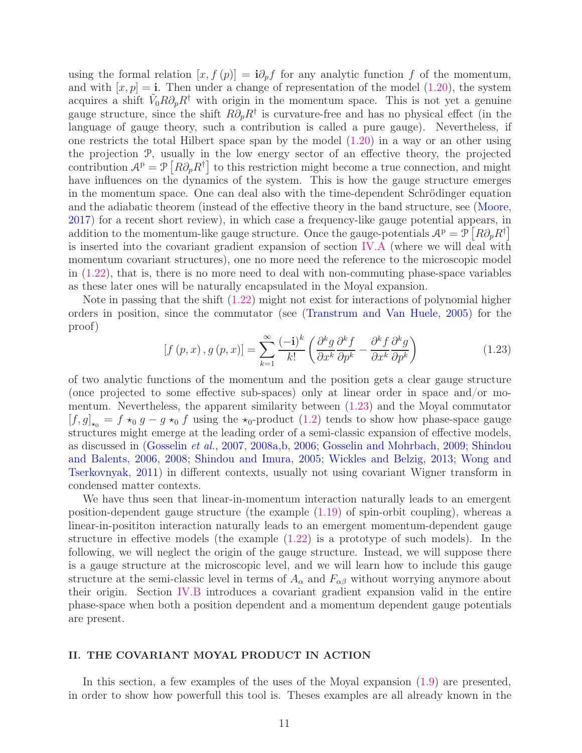using the formal relation  $[x, f(p)] = i\partial_p f$  for any analytic function f of the momentum, and with  $[x, p] = i$ . Then under a change of representation of the model [\(1.20\)](#page-9-0), the system acquires a shift  $\tilde{V}_0 R \partial_p R^{\dagger}$  with origin in the momentum space. This is not yet a genuine gauge structure, since the shift  $R\partial_p R^{\dagger}$  is curvature-free and has no physical effect (in the language of gauge theory, such a contribution is called a pure gauge). Nevertheless, if one restricts the total Hilbert space span by the model [\(1.20\)](#page-9-0) in a way or an other using the projection P, usually in the low energy sector of an effective theory, the projected contribution  $A^p = \mathcal{P} \left[ R \partial_p R^{\dagger} \right]$  to this restriction might become a true connection, and might have influences on the dynamics of the system. This is how the gauge structure emerges in the momentum space. One can deal also with the time-dependent Schrödinger equation and the adiabatic theorem (instead of the effective theory in the band structure, see [\(Moore](#page-41-18), [2017\)](#page-41-18) for a recent short review), in which case a frequency-like gauge potential appears, in addition to the momentum-like gauge structure. Once the gauge-potentials  $\mathcal{A}^p = \mathcal{P}[R\partial_p R^{\dagger}]$ is inserted into the covariant gradient expansion of section [IV.A](#page-30-0) (where we will deal with momentum covariant structures), one no more need the reference to the microscopic model in [\(1.22\)](#page-9-1), that is, there is no more need to deal with non-commuting phase-space variables as these later ones will be naturally encapsulated in the Moyal expansion.

Note in passing that the shift [\(1.22\)](#page-9-1) might not exist for interactions of polynomial higher orders in position, since the commutator (see [\(Transtrum and Van Huele,](#page-42-17) [2005\)](#page-42-17) for the proof)

<span id="page-10-1"></span>
$$
[f(p,x), g(p,x)] = \sum_{k=1}^{\infty} \frac{(-i)^k}{k!} \left( \frac{\partial^k g}{\partial x^k} \frac{\partial^k f}{\partial p^k} - \frac{\partial^k f}{\partial x^k} \frac{\partial^k g}{\partial p^k} \right)
$$
(1.23)

of two analytic functions of the momentum and the position gets a clear gauge structure (once projected to some effective sub-spaces) only at linear order in space and/or momentum. Nevertheless, the apparent similarity between [\(1.23\)](#page-10-1) and the Moyal commutator  $[f, g]_{\star_0} = f \star_0 g - g \star_0 f$  using the  $\star_0$ -product  $(1.2)$  tends to show how phase-space gauge structures might emerge at the leading order of a semi-classic expansion of effective models, as discussed in [\(Gosselin](#page-39-6) et al., [2007,](#page-39-6) [2008a](#page-39-7)[,b,](#page-39-8) [2006;](#page-39-9) [Gosselin and Mohrbach](#page-39-10)[,](#page-42-3) [2009;](#page-39-10) Shindou and Balents, [2006](#page-42-3), [2008](#page-42-4); [Shindou and Imura](#page-42-5)[,](#page-43-8) [2005;](#page-42-5) [Wickles and Belzig](#page-43-7), [2013](#page-43-7); Wong and Tserkovnyak, [2011\)](#page-43-8) in different contexts, usually not using covariant Wigner transform in condensed matter contexts.

We have thus seen that linear-in-momentum interaction naturally leads to an emergent position-dependent gauge structure (the example [\(1.19\)](#page-9-2) of spin-orbit coupling), whereas a linear-in-posititon interaction naturally leads to an emergent momentum-dependent gauge structure in effective models (the example [\(1.22\)](#page-9-1) is a prototype of such models). In the following, we will neglect the origin of the gauge structure. Instead, we will suppose there is a gauge structure at the microscopic level, and we will learn how to include this gauge structure at the semi-classic level in terms of  $A_{\alpha}$  and  $F_{\alpha\beta}$  without worrying anymore about their origin. Section [IV.B](#page-32-0) introduces a covariant gradient expansion valid in the entire phase-space when both a position dependent and a momentum dependent gauge potentials are present.

# <span id="page-10-0"></span>II. THE COVARIANT MOYAL PRODUCT IN ACTION

In this section, a few examples of the uses of the Moyal expansion [\(1.9\)](#page-5-0) are presented, in order to show how powerfull this tool is. Theses examples are all already known in the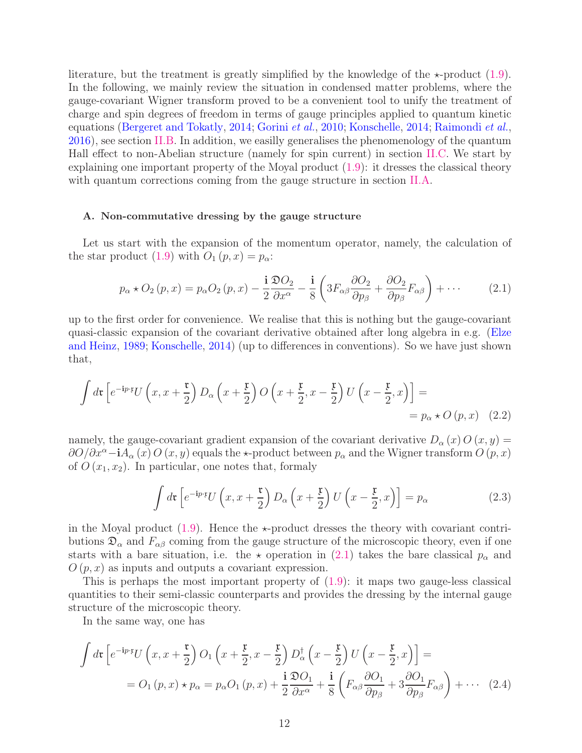literature, but the treatment is greatly simplified by the knowledge of the  $\star$ -product [\(1.9\)](#page-5-0). In the following, we mainly review the situation in condensed matter problems, where the gauge-covariant Wigner transform proved to be a convenient tool to unify the treatment of charge and spin degrees of freedom in terms of gauge principles applied to quantum kinetic equations [\(Bergeret and Tokatly,](#page-37-2) [2014;](#page-37-2) [Gorini](#page-39-11) et al., [2010](#page-39-11); [Konschelle](#page-40-3), [2014](#page-40-3); [Raimondi](#page-41-12) et al., [2016\)](#page-41-12), see section [II.B.](#page-12-0) In addition, we easilly generalises the phenomenology of the quantum Hall effect to non-Abelian structure (namely for spin current) in section [II.C.](#page-14-0) We start by explaining one important property of the Moyal product [\(1.9\)](#page-5-0): it dresses the classical theory with quantum corrections coming from the gauge structure in section [II.A.](#page-11-0)

# <span id="page-11-0"></span>A. Non-commutative dressing by the gauge structure

Let us start with the expansion of the momentum operator, namely, the calculation of the star product [\(1.9\)](#page-5-0) with  $O_1(p, x) = p_\alpha$ :

<span id="page-11-1"></span>
$$
p_{\alpha} \star O_2(p, x) = p_{\alpha} O_2(p, x) - \frac{\mathbf{i}}{2} \frac{\mathfrak{D} O_2}{\partial x^{\alpha}} - \frac{\mathbf{i}}{8} \left( 3F_{\alpha\beta} \frac{\partial O_2}{\partial p_{\beta}} + \frac{\partial O_2}{\partial p_{\beta}} F_{\alpha\beta} \right) + \cdots
$$
 (2.1)

up to the first order for convenience. We realise that this is nothing but the gauge-covariant quasi-clas[sic expansion of the covariant derivative obtained after long algebra in e.g. \(](#page-38-8)Elze and Heinz, [1989;](#page-38-8) [Konschelle,](#page-40-3) [2014](#page-40-3)) (up to differences in conventions). So we have just shown that,

$$
\int d\mathbf{r} \left[ e^{-i p \cdot \mathbf{r}} U\left(x, x + \frac{\mathbf{r}}{2}\right) D_{\alpha}\left(x + \frac{\mathbf{r}}{2}\right) O\left(x + \frac{\mathbf{r}}{2}, x - \frac{\mathbf{r}}{2}\right) U\left(x - \frac{\mathbf{r}}{2}, x\right) \right] =
$$
  
=  $p_{\alpha} \star O\left(p, x\right)$  (2.2)

namely, the gauge-covariant gradient expansion of the covariant derivative  $D_{\alpha}(x) O(x, y) =$  $\partial O/\partial x^{\alpha}$  -i $A_{\alpha}(x) O(x, y)$  equals the  $\star$ -product between  $p_{\alpha}$  and the Wigner transform  $O(p, x)$ of  $O(x_1, x_2)$ . In particular, one notes that, formaly

<span id="page-11-2"></span>
$$
\int d\mathbf{r} \left[ e^{-i p \cdot \mathbf{r}} U\left(x, x + \frac{\mathbf{r}}{2}\right) D_{\alpha}\left(x + \frac{\mathbf{r}}{2}\right) U\left(x - \frac{\mathbf{r}}{2}, x\right) \right] = p_{\alpha} \tag{2.3}
$$

in the Moyal product  $(1.9)$ . Hence the  $\star$ -product dresses the theory with covariant contributions  $\mathfrak{D}_{\alpha}$  and  $F_{\alpha\beta}$  coming from the gauge structure of the microscopic theory, even if one starts with a bare situation, i.e. the  $\star$  operation in [\(2.1\)](#page-11-1) takes the bare classical  $p_{\alpha}$  and  $O(p, x)$  as inputs and outputs a covariant expression.

This is perhaps the most important property of  $(1.9)$ : it maps two gauge-less classical quantities to their semi-classic counterparts and provides the dressing by the internal gauge structure of the microscopic theory.

In the same way, one has

$$
\int d\mathbf{r} \left[ e^{-i p \cdot \mathbf{r}} U\left(x, x + \frac{\mathbf{r}}{2}\right) O_1\left(x + \frac{\mathbf{r}}{2}, x - \frac{\mathbf{r}}{2}\right) D_\alpha^\dagger\left(x - \frac{\mathbf{r}}{2}\right) U\left(x - \frac{\mathbf{r}}{2}, x\right) \right] =
$$
  
=  $O_1(p, x) \star p_\alpha = p_\alpha O_1(p, x) + \frac{\mathbf{i}}{2} \frac{\partial O_1}{\partial x^\alpha} + \frac{\mathbf{i}}{8} \left(F_{\alpha\beta} \frac{\partial O_1}{\partial p_\beta} + 3 \frac{\partial O_1}{\partial p_\beta} F_{\alpha\beta}\right) + \cdots$  (2.4)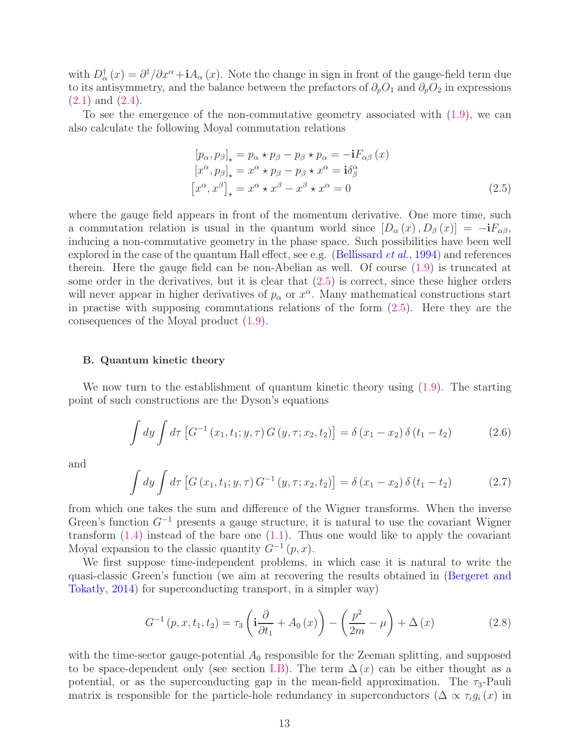with  $D^{\dagger}_{\alpha}(x) = \partial^{\dagger}/\partial x^{\alpha} + iA_{\alpha}(x)$ . Note the change in sign in front of the gauge-field term due to its antisymmetry, and the balance between the prefactors of  $\partial_pO_1$  and  $\partial_pO_2$  in expressions [\(2.1\)](#page-11-1) and [\(2.4\)](#page-11-2).

To see the emergence of the non-commutative geometry associated with [\(1.9\)](#page-5-0), we can also calculate the following Moyal commutation relations

<span id="page-12-1"></span>
$$
[p_{\alpha}, p_{\beta}]_{\star} = p_{\alpha} \star p_{\beta} - p_{\beta} \star p_{\alpha} = -\mathbf{i} F_{\alpha\beta} (x)
$$
  
\n
$$
[x^{\alpha}, p_{\beta}]_{\star} = x^{\alpha} \star p_{\beta} - p_{\beta} \star x^{\alpha} = \mathbf{i} \delta^{\alpha}_{\beta}
$$
  
\n
$$
[x^{\alpha}, x^{\beta}]_{\star} = x^{\alpha} \star x^{\beta} - x^{\beta} \star x^{\alpha} = 0
$$
 (2.5)

where the gauge field appears in front of the momentum derivative. One more time, such a commutation relation is usual in the quantum world since  $[D_{\alpha}(x), D_{\beta}(x)] = -iF_{\alpha\beta}$ , inducing a non-commutative geometry in the phase space. Such possibilities have been well explored in the case of the quantum Hall effect, see e.g. [\(Bellissard](#page-37-15) *et al.*, [1994\)](#page-37-15) and references therein. Here the gauge field can be non-Abelian as well. Of course [\(1.9\)](#page-5-0) is truncated at some order in the derivatives, but it is clear that  $(2.5)$  is correct, since these higher orders will never appear in higher derivatives of  $p_{\alpha}$  or  $x^{\alpha}$ . Many mathematical constructions start in practise with supposing commutations relations of the form [\(2.5\)](#page-12-1). Here they are the consequences of the Moyal product [\(1.9\)](#page-5-0).

#### <span id="page-12-0"></span>B. Quantum kinetic theory

We now turn to the establishment of quantum kinetic theory using  $(1.9)$ . The starting point of such constructions are the Dyson's equations

<span id="page-12-2"></span>
$$
\int dy \int d\tau \left[ G^{-1}(x_1, t_1; y, \tau) G(y, \tau; x_2, t_2) \right] = \delta (x_1 - x_2) \delta (t_1 - t_2)
$$
\n(2.6)

and

<span id="page-12-3"></span>
$$
\int dy \int d\tau \left[ G(x_1, t_1; y, \tau) G^{-1}(y, \tau; x_2, t_2) \right] = \delta(x_1 - x_2) \delta(t_1 - t_2)
$$
 (2.7)

from which one takes the sum and difference of the Wigner transforms. When the inverse Green's function  $G^{-1}$  presents a gauge structure, it is natural to use the covariant Wigner transform  $(1.4)$  instead of the bare one  $(1.1)$ . Thus one would like to apply the covariant Moyal expansion to the classic quantity  $G^{-1}(p, x)$ .

We first suppose time-independent problems, in which case it is natural to write the quasi-cl[assic Green's function \(we aim at recovering the results obtained in \(](#page-37-2)Bergeret and Tokatly, [2014](#page-37-2)) for superconducting transport, in a simpler way)

$$
G^{-1}(p, x, t_1, t_2) = \tau_3 \left( \mathbf{i} \frac{\partial}{\partial t_1} + A_0(x) \right) - \left( \frac{p^2}{2m} - \mu \right) + \Delta(x) \tag{2.8}
$$

with the time-sector gauge-potential  $A_0$  responsible for the Zeeman splitting, and supposed to be space-dependent only (see section [I.B\)](#page-8-0). The term  $\Delta(x)$  can be either thought as a potential, or as the superconducting gap in the mean-field approximation. The  $\tau_3$ -Pauli matrix is responsible for the particle-hole redundancy in superconductors ( $\Delta \propto \tau_i g_i(x)$  in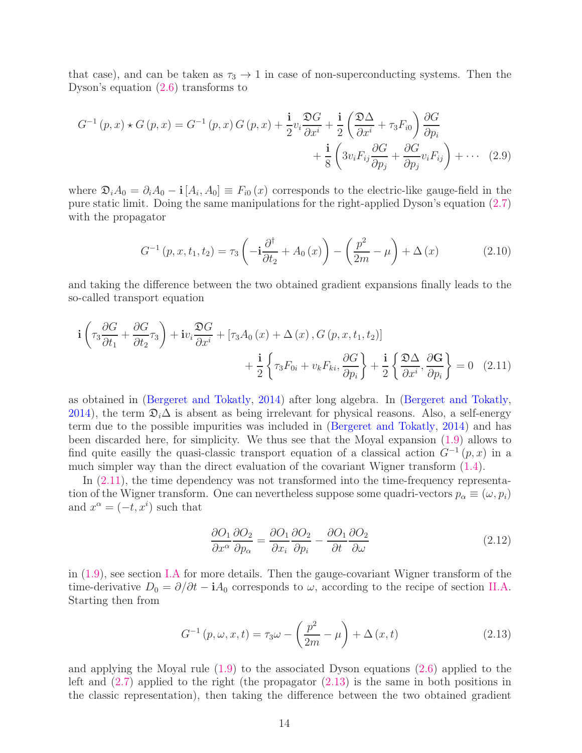that case), and can be taken as  $\tau_3 \to 1$  in case of non-superconducting systems. Then the Dyson's equation [\(2.6\)](#page-12-2) transforms to

$$
G^{-1}(p,x) \star G(p,x) = G^{-1}(p,x) G(p,x) + \frac{\mathbf{i}}{2} v_i \frac{\mathfrak{D} G}{\partial x^i} + \frac{\mathbf{i}}{2} \left( \frac{\mathfrak{D} \Delta}{\partial x^i} + \tau_3 F_{i0} \right) \frac{\partial G}{\partial p_i} + \frac{\mathbf{i}}{8} \left( 3 v_i F_{ij} \frac{\partial G}{\partial p_j} + \frac{\partial G}{\partial p_j} v_i F_{ij} \right) + \cdots (2.9)
$$

where  $\mathfrak{D}_i A_0 = \partial_i A_0 - \mathbf{i} [A_i, A_0] \equiv F_{i0}(x)$  corresponds to the electric-like gauge-field in the pure static limit. Doing the same manipulations for the right-applied Dyson's equation [\(2.7\)](#page-12-3) with the propagator

$$
G^{-1}(p, x, t_1, t_2) = \tau_3 \left( -\mathbf{i} \frac{\partial^{\dagger}}{\partial t_2} + A_0(x) \right) - \left( \frac{p^2}{2m} - \mu \right) + \Delta(x) \tag{2.10}
$$

and taking the difference between the two obtained gradient expansions finally leads to the so-called transport equation

$$
\mathbf{i}\left(\tau_3 \frac{\partial G}{\partial t_1} + \frac{\partial G}{\partial t_2}\tau_3\right) + \mathbf{i}v_i \frac{\mathfrak{D}G}{\partial x^i} + \left[\tau_3 A_0(x) + \Delta(x), G(p, x, t_1, t_2)\right] \n+ \frac{\mathbf{i}}{2} \left\{\tau_3 F_{0i} + v_k F_{ki}, \frac{\partial G}{\partial p_i}\right\} + \frac{\mathbf{i}}{2} \left\{\frac{\mathfrak{D} \Delta}{\partial x^i}, \frac{\partial G}{\partial p_i}\right\} = 0 \quad (2.11)
$$

as obtained in [\(Bergeret and Tokatly](#page-37-2), [2014](#page-37-2)) after long algebra. In [\(Bergeret and Tokatly,](#page-37-2) [2014\)](#page-37-2), the term  $\mathfrak{D}_i\Delta$  is absent as being irrelevant for physical reasons. Also, a self-energy term due to the possible impurities was included in [\(Bergeret and Tokatly,](#page-37-2) [2014](#page-37-2)) and has been discarded here, for simplicity. We thus see that the Moyal expansion [\(1.9\)](#page-5-0) allows to find quite easilly the quasi-classic transport equation of a classical action  $G^{-1}(p, x)$  in a much simpler way than the direct evaluation of the covariant Wigner transform [\(1.4\)](#page-3-0).

In  $(2.11)$ , the time dependency was not transformed into the time-frequency representation of the Wigner transform. One can nevertheless suppose some quadri-vectors  $p_{\alpha} \equiv (\omega, p_i)$ and  $x^{\alpha} = (-t, x^{i})$  such that

<span id="page-13-0"></span>
$$
\frac{\partial O_1}{\partial x^{\alpha}} \frac{\partial O_2}{\partial p_{\alpha}} = \frac{\partial O_1}{\partial x_i} \frac{\partial O_2}{\partial p_i} - \frac{\partial O_1}{\partial t} \frac{\partial O_2}{\partial \omega}
$$
(2.12)

in [\(1.9\)](#page-5-0), see section [I.A](#page-6-0) for more details. Then the gauge-covariant Wigner transform of the time-derivative  $D_0 = \partial/\partial t - iA_0$  corresponds to  $\omega$ , according to the recipe of section [II.A.](#page-11-0) Starting then from

<span id="page-13-1"></span>
$$
G^{-1}(p,\omega,x,t) = \tau_3 \omega - \left(\frac{p^2}{2m} - \mu\right) + \Delta\left(x,t\right) \tag{2.13}
$$

and applying the Moyal rule [\(1.9\)](#page-5-0) to the associated Dyson equations [\(2.6\)](#page-12-2) applied to the left and  $(2.7)$  applied to the right (the propagator  $(2.13)$ ) is the same in both positions in the classic representation), then taking the difference between the two obtained gradient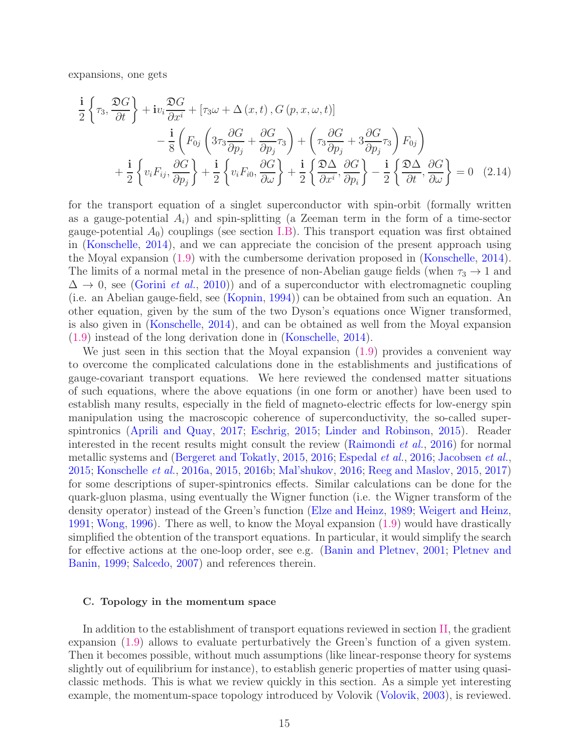expansions, one gets

$$
\frac{\mathbf{i}}{2} \left\{ \tau_3, \frac{\mathfrak{D}G}{\partial t} \right\} + \mathbf{i} v_i \frac{\mathfrak{D}G}{\partial x^i} + \left[ \tau_3 \omega + \Delta \left( x, t \right), G \left( p, x, \omega, t \right) \right] \n- \frac{\mathbf{i}}{8} \left( F_{0j} \left( 3\tau_3 \frac{\partial G}{\partial p_j} + \frac{\partial G}{\partial p_j} \tau_3 \right) + \left( \tau_3 \frac{\partial G}{\partial p_j} + 3 \frac{\partial G}{\partial p_j} \tau_3 \right) F_{0j} \right) \n+ \frac{\mathbf{i}}{2} \left\{ v_i F_{ij}, \frac{\partial G}{\partial p_j} \right\} + \frac{\mathbf{i}}{2} \left\{ v_i F_{i0}, \frac{\partial G}{\partial \omega} \right\} + \frac{\mathbf{i}}{2} \left\{ \frac{\mathfrak{D} \Delta}{\partial x^i}, \frac{\partial G}{\partial p_i} \right\} - \frac{\mathbf{i}}{2} \left\{ \frac{\mathfrak{D} \Delta}{\partial t}, \frac{\partial G}{\partial \omega} \right\} = 0 \quad (2.14)
$$

for the transport equation of a singlet superconductor with spin-orbit (formally written as a gauge-potential  $A_i$ ) and spin-splitting (a Zeeman term in the form of a time-sector gauge-potential  $A_0$ ) couplings (see section [I.B\)](#page-8-0). This transport equation was first obtained in [\(Konschelle,](#page-40-3) [2014\)](#page-40-3), and we can appreciate the concision of the present approach using the Moyal expansion [\(1.9\)](#page-5-0) with the cumbersome derivation proposed in [\(Konschelle,](#page-40-3) [2014\)](#page-40-3). The limits of a normal metal in the presence of non-Abelian gauge fields (when  $\tau_3 \rightarrow 1$  and  $\Delta \rightarrow 0$ , see [\(Gorini](#page-39-11) *et al.*, [2010\)](#page-39-11)) and of a superconductor with electromagnetic coupling (i.e. an Abelian gauge-field, see [\(Kopnin](#page-40-5), [1994\)](#page-40-5)) can be obtained from such an equation. An other equation, given by the sum of the two Dyson's equations once Wigner transformed, is also given in [\(Konschelle](#page-40-3), [2014\)](#page-40-3), and can be obtained as well from the Moyal expansion [\(1.9\)](#page-5-0) instead of the long derivation done in [\(Konschelle](#page-40-3), [2014\)](#page-40-3).

We just seen in this section that the Moyal expansion [\(1.9\)](#page-5-0) provides a convenient way to overcome the complicated calculations done in the establishments and justifications of gauge-covariant transport equations. We here reviewed the condensed matter situations of such equations, where the above equations (in one form or another) have been used to establish many results, especially in the field of magneto-electric effects for low-energy spin manipulation using the macroscopic coherence of superconductivity, the so-called superspintronics [\(Aprili and Quay](#page-37-16), [2017;](#page-37-16) [Eschrig,](#page-38-12) [2015;](#page-38-12) [Linder and Robinson,](#page-40-18) [2015](#page-40-18)). Reader interested in the recent results might consult the review [\(Raimondi](#page-41-12) *et al.*, [2016](#page-41-12)) for normal metallic systems and [\(Bergeret and Tokatly](#page-37-17), [2015](#page-37-17), [2016;](#page-37-18) [Espedal](#page-38-13) et al., [2016;](#page-38-13) [Jacobsen](#page-39-14) et al., [2015;](#page-39-14) [Konschelle](#page-40-19) et al., [2016a](#page-40-19), [2015](#page-40-20), [2016b;](#page-40-21) [Mal'shukov,](#page-41-19) [2016](#page-41-19); [Reeg and Maslov,](#page-41-20) [2015,](#page-41-20) [2017\)](#page-41-21) for some descriptions of super-spintronics effects. Similar calculations can be done for the quark-gluon plasma, using eventually the Wigner function (i.e. the Wigner transform of the density operator) instead of the Green's function [\(Elze and Heinz,](#page-38-8) [1989](#page-38-8); [Weigert and Heinz,](#page-43-13) [1991;](#page-43-13) [Wong](#page-43-15), [1996](#page-43-15)). There as well, to know the Moyal expansion [\(1.9\)](#page-5-0) would have drastically simplified the obtention of the transport equations. In particular, it would simplify the search for e[ffective actions at the one-loop order, see e.g.](#page-41-16) [\(Banin and Pletnev,](#page-37-11) [2001;](#page-37-11) Pletnev and Banin, [1999](#page-41-16); [Salcedo](#page-41-17), [2007](#page-41-17)) and references therein.

#### <span id="page-14-0"></span>C. Topology in the momentum space

In addition to the establishment of transport equations reviewed in section [II,](#page-10-0) the gradient expansion [\(1.9\)](#page-5-0) allows to evaluate perturbatively the Green's function of a given system. Then it becomes possible, without much assumptions (like linear-response theory for systems slightly out of equilibrium for instance), to establish generic properties of matter using quasiclassic methods. This is what we review quickly in this section. As a simple yet interesting example, the momentum-space topology introduced by Volovik [\(Volovik](#page-43-6), [2003](#page-43-6)), is reviewed.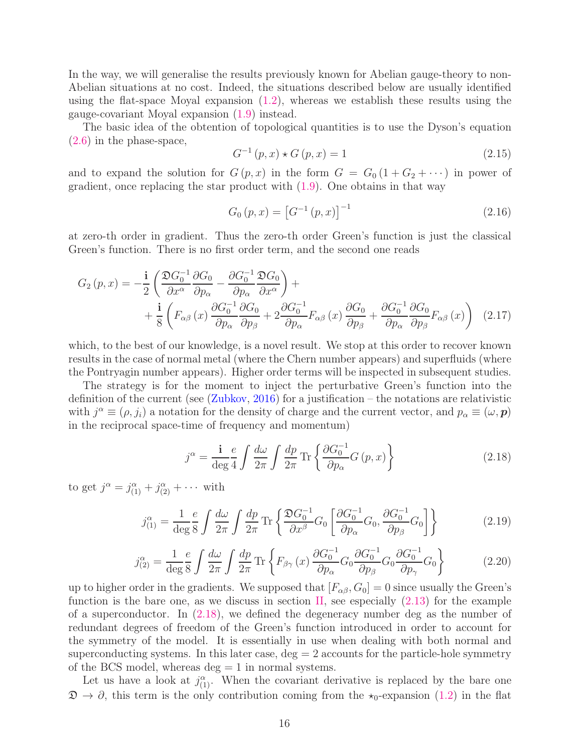In the way, we will generalise the results previously known for Abelian gauge-theory to non-Abelian situations at no cost. Indeed, the situations described below are usually identified using the flat-space Moyal expansion  $(1.2)$ , whereas we establish these results using the gauge-covariant Moyal expansion [\(1.9\)](#page-5-0) instead.

The basic idea of the obtention of topological quantities is to use the Dyson's equation [\(2.6\)](#page-12-2) in the phase-space,

$$
G^{-1}(p,x) \star G(p,x) = 1
$$
\n(2.15)

and to expand the solution for  $G(p, x)$  in the form  $G = G_0(1 + G_2 + \cdots)$  in power of gradient, once replacing the star product with [\(1.9\)](#page-5-0). One obtains in that way

$$
G_0(p, x) = [G^{-1}(p, x)]^{-1}
$$
\n(2.16)

at zero-th order in gradient. Thus the zero-th order Green's function is just the classical Green's function. There is no first order term, and the second one reads

$$
G_{2}(p,x) = -\frac{\mathbf{i}}{2} \left( \frac{\mathfrak{D}G_{0}^{-1}}{\partial x^{\alpha}} \frac{\partial G_{0}}{\partial p_{\alpha}} - \frac{\partial G_{0}^{-1}}{\partial p_{\alpha}} \frac{\mathfrak{D}G_{0}}{\partial x^{\alpha}} \right) + \frac{\mathbf{i}}{8} \left( F_{\alpha\beta}(x) \frac{\partial G_{0}^{-1}}{\partial p_{\alpha}} \frac{\partial G_{0}}{\partial p_{\beta}} + 2 \frac{\partial G_{0}^{-1}}{\partial p_{\alpha}} F_{\alpha\beta}(x) \frac{\partial G_{0}}{\partial p_{\beta}} + \frac{\partial G_{0}^{-1}}{\partial p_{\alpha}} \frac{\partial G_{0}}{\partial p_{\beta}} F_{\alpha\beta}(x) \right) (2.17)
$$

which, to the best of our knowledge, is a novel result. We stop at this order to recover known results in the case of normal metal (where the Chern number appears) and superfluids (where the Pontryagin number appears). Higher order terms will be inspected in subsequent studies.

The strategy is for the moment to inject the perturbative Green's function into the definition of the current (see  $(Zubkov, 2016)$  $(Zubkov, 2016)$  for a justification – the notations are relativistic with  $j^{\alpha} \equiv (\rho, j_i)$  a notation for the density of charge and the current vector, and  $p_{\alpha} \equiv (\omega, \mathbf{p})$ in the reciprocal space-time of frequency and momentum)

<span id="page-15-0"></span>
$$
j^{\alpha} = \frac{\mathbf{i}}{\deg 4} \int \frac{d\omega}{2\pi} \int \frac{dp}{2\pi} \operatorname{Tr} \left\{ \frac{\partial G_0^{-1}}{\partial p_{\alpha}} G(p, x) \right\} \tag{2.18}
$$

to get  $j^{\alpha} = j^{\alpha}_{(1)} + j^{\alpha}_{(2)} + \cdots$  with

$$
j_{(1)}^{\alpha} = \frac{1}{\deg 8} \frac{e}{\delta} \int \frac{d\omega}{2\pi} \int \frac{dp}{2\pi} \text{Tr} \left\{ \frac{\mathfrak{D}G_0^{-1}}{\partial x^{\beta}} G_0 \left[ \frac{\partial G_0^{-1}}{\partial p_{\alpha}} G_0, \frac{\partial G_0^{-1}}{\partial p_{\beta}} G_0 \right] \right\} \tag{2.19}
$$

<span id="page-15-1"></span>
$$
j_{(2)}^{\alpha} = \frac{1}{\deg 8} \int \frac{d\omega}{2\pi} \int \frac{dp}{2\pi} \operatorname{Tr} \left\{ F_{\beta\gamma} \left( x \right) \frac{\partial G_0^{-1}}{\partial p_{\alpha}} G_0 \frac{\partial G_0^{-1}}{\partial p_{\beta}} G_0 \frac{\partial G_0^{-1}}{\partial p_{\gamma}} G_0 \right\} \tag{2.20}
$$

up to higher order in the gradients. We supposed that  $[F_{\alpha\beta}, G_0] = 0$  since usually the Green's function is the bare one, as we discuss in section [II,](#page-10-0) see especially  $(2.13)$  for the example of a superconductor. In [\(2.18\)](#page-15-0), we defined the degeneracy number deg as the number of redundant degrees of freedom of the Green's function introduced in order to account for the symmetry of the model. It is essentially in use when dealing with both normal and superconducting systems. In this later case,  $\text{deg} = 2$  accounts for the particle-hole symmetry of the BCS model, whereas  $\text{deg} = 1$  in normal systems.

Let us have a look at  $j^{\alpha}_{(1)}$ . When the covariant derivative is replaced by the bare one  $\mathfrak{D} \to \partial$ , this term is the only contribution coming from the  $\star_0$ -expansion [\(1.2\)](#page-3-2) in the flat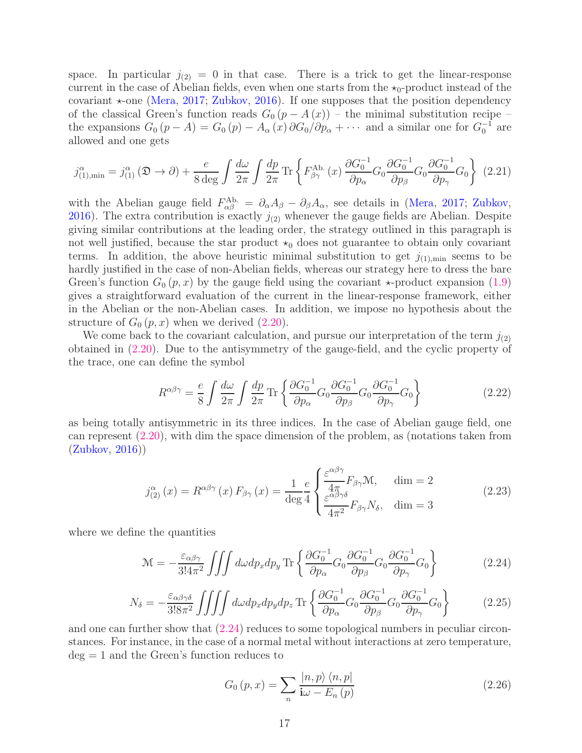space. In particular  $j_{(2)} = 0$  in that case. There is a trick to get the linear-response current in the case of Abelian fields, even when one starts from the  $\star_0$ -product instead of the covariant  $\star$ -one [\(Mera,](#page-41-1) [2017;](#page-41-1) [Zubkov,](#page-43-0) [2016\)](#page-43-0). If one supposes that the position dependency of the classical Green's function reads  $G_0 (p - A (x))$  – the minimal substitution recipe – the expansions  $G_0(p-A) = G_0(p) - A_\alpha(x) \partial G_0/\partial p_\alpha + \cdots$  and a similar one for  $G_0^{-1}$  are allowed and one gets

<span id="page-16-2"></span>
$$
j_{(1),\min}^{\alpha} = j_{(1)}^{\alpha}(\mathfrak{D} \to \partial) + \frac{e}{8 \deg} \int \frac{d\omega}{2\pi} \int \frac{dp}{2\pi} \operatorname{Tr} \left\{ F_{\beta\gamma}^{\text{Ab.}}(x) \frac{\partial G_0^{-1}}{\partial p_{\alpha}} G_0 \frac{\partial G_0^{-1}}{\partial p_{\beta}} G_0 \frac{\partial G_0^{-1}}{\partial p_{\gamma}} G_0 \right\} (2.21)
$$

with the Abelian gauge field  $F_{\alpha\beta}^{Ab} = \partial_{\alpha}A_{\beta} - \partial_{\beta}A_{\alpha}$ , see details in [\(Mera](#page-41-1), [2017;](#page-41-1) [Zubkov,](#page-43-0) [2016\)](#page-43-0). The extra contribution is exactly  $j_{(2)}$  whenever the gauge fields are Abelian. Despite giving similar contributions at the leading order, the strategy outlined in this paragraph is not well justified, because the star product  $\star_0$  does not guarantee to obtain only covariant terms. In addition, the above heuristic minimal substitution to get  $j_{(1),min}$  seems to be hardly justified in the case of non-Abelian fields, whereas our strategy here to dress the bare Green's function  $G_0(p, x)$  by the gauge field using the covariant  $\star$ -product expansion [\(1.9\)](#page-5-0) gives a straightforward evaluation of the current in the linear-response framework, either in the Abelian or the non-Abelian cases. In addition, we impose no hypothesis about the structure of  $G_0(p, x)$  when we derived  $(2.20)$ .

We come back to the covariant calculation, and pursue our interpretation of the term  $j_{(2)}$ obtained in [\(2.20\)](#page-15-1). Due to the antisymmetry of the gauge-field, and the cyclic property of the trace, one can define the symbol

$$
R^{\alpha\beta\gamma} = \frac{e}{8} \int \frac{d\omega}{2\pi} \int \frac{dp}{2\pi} \text{Tr} \left\{ \frac{\partial G_0^{-1}}{\partial p_\alpha} G_0 \frac{\partial G_0^{-1}}{\partial p_\beta} G_0 \frac{\partial G_0^{-1}}{\partial p_\gamma} G_0 \right\} \tag{2.22}
$$

as being totally antisymmetric in its three indices. In the case of Abelian gauge field, one can represent [\(2.20\)](#page-15-1), with dim the space dimension of the problem, as (notations taken from [\(Zubkov](#page-43-0), [2016\)](#page-43-0))

$$
j_{(2)}^{\alpha}(x) = R^{\alpha\beta\gamma}(x) F_{\beta\gamma}(x) = \frac{1}{\deg 4} e^{-\frac{1}{2} \left( \frac{\varepsilon^{\alpha\beta\gamma}}{4\pi} F_{\beta\gamma} \mathcal{M}, \quad \dim = 2 \right)}
$$
\n
$$
j_{(2)}^{\alpha}(x) = R^{\alpha\beta\gamma}(x) F_{\beta\gamma}(x) = \frac{1}{\deg 4} e^{-\frac{1}{2} \left( \frac{\varepsilon^{\alpha\beta\gamma}}{4\pi^2} F_{\beta\gamma} \mathcal{N}_\delta, \quad \dim = 3 \right)}
$$
\n
$$
(2.23)
$$

where we define the quantities

<span id="page-16-0"></span>
$$
\mathcal{M} = -\frac{\varepsilon_{\alpha\beta\gamma}}{3!4\pi^2} \iiint d\omega dp_x dp_y \operatorname{Tr} \left\{ \frac{\partial G_0^{-1}}{\partial p_\alpha} G_0 \frac{\partial G_0^{-1}}{\partial p_\beta} G_0 \frac{\partial G_0^{-1}}{\partial p_\gamma} G_0 \right\} \tag{2.24}
$$

$$
N_{\delta} = -\frac{\varepsilon_{\alpha\beta\gamma\delta}}{3!8\pi^2} \iiint d\omega dp_x dp_y dp_z \operatorname{Tr} \left\{ \frac{\partial G_0^{-1}}{\partial p_{\alpha}} G_0 \frac{\partial G_0^{-1}}{\partial p_{\beta}} G_0 \frac{\partial G_0^{-1}}{\partial p_{\gamma}} G_0 \right\} \tag{2.25}
$$

and one can further show that [\(2.24\)](#page-16-0) reduces to some topological numbers in peculiar circonstances. For instance, in the case of a normal metal without interactions at zero temperature,  $deg = 1$  and the Green's function reduces to

<span id="page-16-1"></span>
$$
G_0(p,x) = \sum_{n} \frac{|n,p\rangle \langle n,p|}{\mathbf{i}\omega - E_n(p)}\tag{2.26}
$$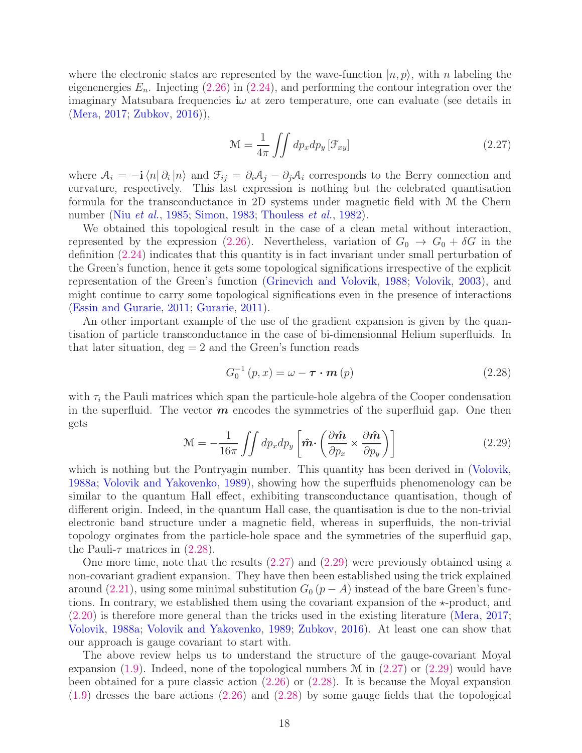where the electronic states are represented by the wave-function  $|n, p\rangle$ , with n labeling the eigenenergies  $E_n$ . Injecting  $(2.26)$  in  $(2.24)$ , and performing the contour integration over the imaginary Matsubara frequencies i $\omega$  at zero temperature, one can evaluate (see details in [\(Mera,](#page-41-1) [2017;](#page-41-1) [Zubkov](#page-43-0), [2016\)](#page-43-0)),

<span id="page-17-1"></span>
$$
\mathcal{M} = \frac{1}{4\pi} \iint dp_x dp_y \left[ \mathcal{F}_{xy} \right] \tag{2.27}
$$

where  $A_i = -i \langle n | \partial_i | n \rangle$  and  $\mathcal{F}_{ij} = \partial_i A_j - \partial_j A_i$  corresponds to the Berry connection and curvature, respectively. This last expression is nothing but the celebrated quantisation formula for the transconductance in 2D systems under magnetic field with M the Chern number (Niu [et al.](#page-41-0), [1985](#page-41-0); [Simon](#page-42-18), [1983;](#page-42-18) [Thouless](#page-42-0) et al., [1982](#page-42-0)).

We obtained this topological result in the case of a clean metal without interaction, represented by the expression [\(2.26\)](#page-16-1). Nevertheless, variation of  $G_0 \rightarrow G_0 + \delta G$  in the definition [\(2.24\)](#page-16-0) indicates that this quantity is in fact invariant under small perturbation of the Green's function, hence it gets some topological significations irrespective of the explicit representation of the Green's function [\(Grinevich and Volovik,](#page-39-15) [1988;](#page-39-15) [Volovik](#page-43-6), [2003](#page-43-6)), and might continue to carry some topological significations even in the presence of interactions [\(Essin and Gurarie](#page-38-0), [2011;](#page-38-0) [Gurarie](#page-39-0), [2011\)](#page-39-0).

An other important example of the use of the gradient expansion is given by the quantisation of particle transconductance in the case of bi-dimensionnal Helium superfluids. In that later situation,  $\text{deg} = 2$  and the Green's function reads

<span id="page-17-0"></span>
$$
G_0^{-1}(p, x) = \omega - \boldsymbol{\tau} \cdot \boldsymbol{m}(p) \qquad (2.28)
$$

with  $\tau_i$  the Pauli matrices which span the particule-hole algebra of the Cooper condensation in the superfluid. The vector  $m$  encodes the symmetries of the superfluid gap. One then gets

<span id="page-17-2"></span>
$$
\mathcal{M} = -\frac{1}{16\pi} \iint dp_x dp_y \left[ \hat{\boldsymbol{m}} \cdot \left( \frac{\partial \hat{\boldsymbol{m}}}{\partial p_x} \times \frac{\partial \hat{\boldsymbol{m}}}{\partial p_y} \right) \right]
$$
(2.29)

which is nothing but the Pontryagin number. This quantity has been derived in [\(Volovik,](#page-42-19) [1988a](#page-42-19); [Volovik and Yakovenko](#page-43-1), [1989\)](#page-43-1), showing how the superfluids phenomenology can be similar to the quantum Hall effect, exhibiting transconductance quantisation, though of different origin. Indeed, in the quantum Hall case, the quantisation is due to the non-trivial electronic band structure under a magnetic field, whereas in superfluids, the non-trivial topology orginates from the particle-hole space and the symmetries of the superfluid gap, the Pauli- $\tau$  matrices in [\(2.28\)](#page-17-0).

One more time, note that the results [\(2.27\)](#page-17-1) and [\(2.29\)](#page-17-2) were previously obtained using a non-covariant gradient expansion. They have then been established using the trick explained around [\(2.21\)](#page-16-2), using some minimal substitution  $G_0 (p - A)$  instead of the bare Green's functions. In contrary, we established them using the covariant expansion of the  $\star$ -product, and [\(2.20\)](#page-15-1) is therefore more general than the tricks used in the existing literature [\(Mera](#page-41-1), [2017](#page-41-1); [Volovik,](#page-42-19) [1988a](#page-42-19); [Volovik and Yakovenko,](#page-43-1) [1989](#page-43-1); [Zubkov](#page-43-0), [2016\)](#page-43-0). At least one can show that our approach is gauge covariant to start with.

The above review helps us to understand the structure of the gauge-covariant Moyal expansion [\(1.9\)](#page-5-0). Indeed, none of the topological numbers  $\mathcal M$  in [\(2.27\)](#page-17-1) or [\(2.29\)](#page-17-2) would have been obtained for a pure classic action [\(2.26\)](#page-16-1) or [\(2.28\)](#page-17-0). It is because the Moyal expansion [\(1.9\)](#page-5-0) dresses the bare actions [\(2.26\)](#page-16-1) and [\(2.28\)](#page-17-0) by some gauge fields that the topological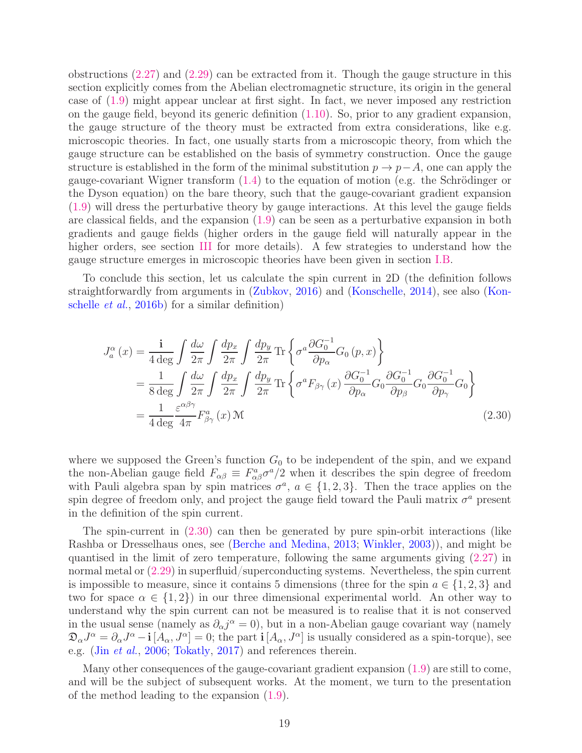obstructions [\(2.27\)](#page-17-1) and [\(2.29\)](#page-17-2) can be extracted from it. Though the gauge structure in this section explicitly comes from the Abelian electromagnetic structure, its origin in the general case of [\(1.9\)](#page-5-0) might appear unclear at first sight. In fact, we never imposed any restriction on the gauge field, beyond its generic definition [\(1.10\)](#page-5-2). So, prior to any gradient expansion, the gauge structure of the theory must be extracted from extra considerations, like e.g. microscopic theories. In fact, one usually starts from a microscopic theory, from which the gauge structure can be established on the basis of symmetry construction. Once the gauge structure is established in the form of the minimal substitution  $p \to p-A$ , one can apply the gauge-covariant Wigner transform [\(1.4\)](#page-3-0) to the equation of motion (e.g. the Schrödinger or the Dyson equation) on the bare theory, such that the gauge-covariant gradient expansion [\(1.9\)](#page-5-0) will dress the perturbative theory by gauge interactions. At this level the gauge fields are classical fields, and the expansion  $(1.9)$  can be seen as a perturbative expansion in both gradients and gauge fields (higher orders in the gauge field will naturally appear in the higher orders, see section [III](#page-19-0) for more details). A few strategies to understand how the gauge structure emerges in microscopic theories have been given in section [I.B.](#page-8-0)

To conclude this section, let us calculate the spin current in 2D (the definition follows straightforw[ardly from arguments in](#page-40-21) [\(Zubkov](#page-43-0)[,](#page-40-21) [2016\)](#page-43-0) and [\(Konschelle,](#page-40-3) [2014\)](#page-40-3), see also (Konschelle et al., [2016b\)](#page-40-21) for a similar definition)

<span id="page-18-0"></span>
$$
J_{a}^{\alpha}(x) = \frac{\mathbf{i}}{4 \deg} \int \frac{d\omega}{2\pi} \int \frac{dp_{x}}{2\pi} \int \frac{dp_{y}}{2\pi} \text{Tr} \left\{ \sigma^{a} \frac{\partial G_{0}^{-1}}{\partial p_{\alpha}} G_{0}(p, x) \right\}
$$
  
= 
$$
\frac{1}{8 \deg} \int \frac{d\omega}{2\pi} \int \frac{dp_{x}}{2\pi} \int \frac{dp_{y}}{2\pi} \text{Tr} \left\{ \sigma^{a} F_{\beta\gamma}(x) \frac{\partial G_{0}^{-1}}{\partial p_{\alpha}} G_{0} \frac{\partial G_{0}^{-1}}{\partial p_{\beta}} G_{0} \frac{\partial G_{0}^{-1}}{\partial p_{\gamma}} G_{0} \right\}
$$
  
= 
$$
\frac{1}{4 \deg} \frac{\varepsilon^{\alpha\beta\gamma}}{4\pi} F_{\beta\gamma}^{a}(x) \mathcal{M}
$$
(2.30)

where we supposed the Green's function  $G_0$  to be independent of the spin, and we expand the non-Abelian gauge field  $F_{\alpha\beta} \equiv F_{\alpha\beta}^a \sigma^a/2$  when it describes the spin degree of freedom with Pauli algebra span by spin matrices  $\sigma^a$ ,  $a \in \{1,2,3\}$ . Then the trace applies on the spin degree of freedom only, and project the gauge field toward the Pauli matrix  $\sigma^a$  present in the definition of the spin current.

The spin-current in [\(2.30\)](#page-18-0) can then be generated by pure spin-orbit interactions (like Rashba or Dresselhaus ones, see [\(Berche and Medina](#page-37-1), [2013;](#page-37-1) [Winkler,](#page-43-16) [2003\)](#page-43-16)), and might be quantised in the limit of zero temperature, following the same arguments giving [\(2.27\)](#page-17-1) in normal metal or [\(2.29\)](#page-17-2) in superfluid/superconducting systems. Nevertheless, the spin current is impossible to measure, since it contains 5 dimensions (three for the spin  $a \in \{1, 2, 3\}$  and two for space  $\alpha \in \{1,2\}$  in our three dimensional experimental world. An other way to understand why the spin current can not be measured is to realise that it is not conserved in the usual sense (namely as  $\partial_{\alpha} j^{\alpha} = 0$ ), but in a non-Abelian gauge covariant way (namely  $\mathfrak{D}_{\alpha}J^{\alpha} = \partial_{\alpha}J^{\alpha} - \mathbf{i} [A_{\alpha}, J^{\alpha}] = 0$ ; the part  $\mathbf{i} [A_{\alpha}, J^{\alpha}]$  is usually considered as a spin-torque), see e.g. (Jin [et al.](#page-39-16), [2006;](#page-39-16) [Tokatly](#page-42-20), [2017](#page-42-20)) and references therein.

Many other consequences of the gauge-covariant gradient expansion [\(1.9\)](#page-5-0) are still to come, and will be the subject of subsequent works. At the moment, we turn to the presentation of the method leading to the expansion [\(1.9\)](#page-5-0).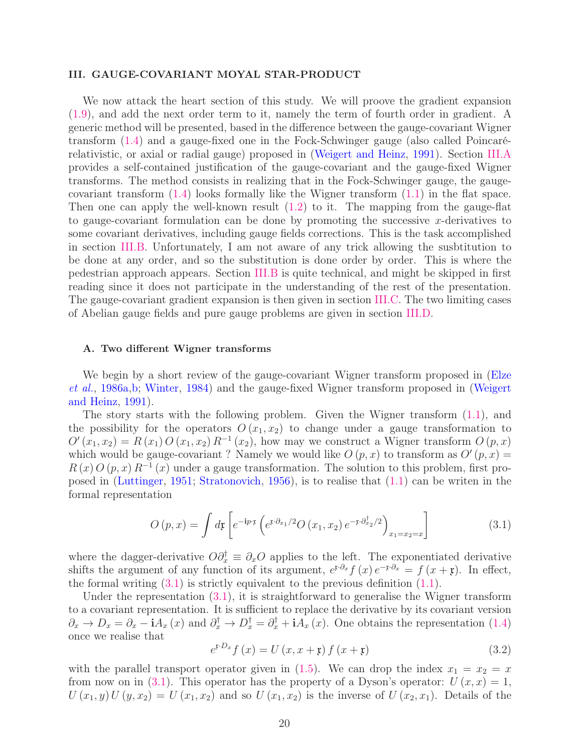# <span id="page-19-0"></span>III. GAUGE-COVARIANT MOYAL STAR-PRODUCT

We now attack the heart section of this study. We will proove the gradient expansion [\(1.9\)](#page-5-0), and add the next order term to it, namely the term of fourth order in gradient. A generic method will be presented, based in the difference between the gauge-covariant Wigner transform [\(1.4\)](#page-3-0) and a gauge-fixed one in the Fock-Schwinger gauge (also called Poincarérelativistic, or axial or radial gauge) proposed in [\(Weigert and Heinz,](#page-43-13) [1991\)](#page-43-13). Section [III.A](#page-19-1) provides a self-contained justification of the gauge-covariant and the gauge-fixed Wigner transforms. The method consists in realizing that in the Fock-Schwinger gauge, the gaugecovariant transform  $(1.4)$  looks formally like the Wigner transform  $(1.1)$  in the flat space. Then one can apply the well-known result [\(1.2\)](#page-3-2) to it. The mapping from the gauge-flat to gauge-covariant formulation can be done by promoting the successive x-derivatives to some covariant derivatives, including gauge fields corrections. This is the task accomplished in section [III.B.](#page-21-0) Unfortunately, I am not aware of any trick allowing the susbtitution to be done at any order, and so the substitution is done order by order. This is where the pedestrian approach appears. Section [III.B](#page-21-0) is quite technical, and might be skipped in first reading since it does not participate in the understanding of the rest of the presentation. The gauge-covariant gradient expansion is then given in section [III.C.](#page-26-0) The two limiting cases of Abelian gauge fields and pure gauge problems are given in section [III.D.](#page-28-0)

# <span id="page-19-1"></span>A. Two different Wigner transforms

[We begin by a short review of the gauge-covariant Wigner transform proposed in \(](#page-38-6)Elze et al., [1986a](#page-38-6)[,b](#page-38-7); [Winter](#page-43-11), [1984](#page-43-11)[\) and the gauge-fixed Wigner transform proposed in \(](#page-43-13)Weigert and Heinz, [1991](#page-43-13)).

The story starts with the following problem. Given the Wigner transform [\(1.1\)](#page-2-2), and the possibility for the operators  $O(x_1, x_2)$  to change under a gauge transformation to  $O'(x_1, x_2) = R(x_1) O(x_1, x_2) R^{-1}(x_2)$ , how may we construct a Wigner transform  $O(p, x)$ which would be gauge-covariant? Namely we would like  $O(p, x)$  to transform as  $O'(p, x) =$  $R(x) O(p, x) R^{-1}(x)$  under a gauge transformation. The solution to this problem, first proposed in [\(Luttinger,](#page-41-7) [1951;](#page-41-7) [Stratonovich,](#page-42-12) [1956\)](#page-42-12), is to realise that [\(1.1\)](#page-2-2) can be writen in the formal representation

<span id="page-19-2"></span>
$$
O(p,x) = \int d\mathbf{r} \left[ e^{-i p \cdot \mathbf{r}} \left( e^{\mathbf{r} \cdot \partial_{x_1}/2} O(x_1, x_2) e^{-\mathbf{r} \cdot \partial_{x_2}^{\dagger}/2} \right)_{x_1 = x_2 = x} \right]
$$
(3.1)

where the dagger-derivative  $O\partial_x^{\dagger} \equiv \partial_x O$  applies to the left. The exponentiated derivative shifts the argument of any function of its argument,  $e^{x \cdot \partial_x} f(x) e^{-x \cdot \partial_x} = f(x + \mathfrak{x})$ . In effect, the formal writing  $(3.1)$  is strictly equivalent to the previous definition  $(1.1)$ .

Under the representation [\(3.1\)](#page-19-2), it is straightforward to generalise the Wigner transform to a covariant representation. It is sufficient to replace the derivative by its covariant version  $\partial_x \to D_x = \partial_x - iA_x(x)$  and  $\partial_x^{\dagger} \to D_x^{\dagger} = \partial_x^{\dagger} + iA_x(x)$ . One obtains the representation [\(1.4\)](#page-3-0) once we realise that

<span id="page-19-3"></span>
$$
e^{x \cdot D_x} f(x) = U(x, x + x) f(x + x)
$$
\n(3.2)

with the parallel transport operator given in [\(1.5\)](#page-3-1). We can drop the index  $x_1 = x_2 = x$ from now on in [\(3.1\)](#page-19-2). This operator has the property of a Dyson's operator:  $U(x, x) = 1$ ,  $U(x_1, y)U(y, x_2) = U(x_1, x_2)$  and so  $U(x_1, x_2)$  is the inverse of  $U(x_2, x_1)$ . Details of the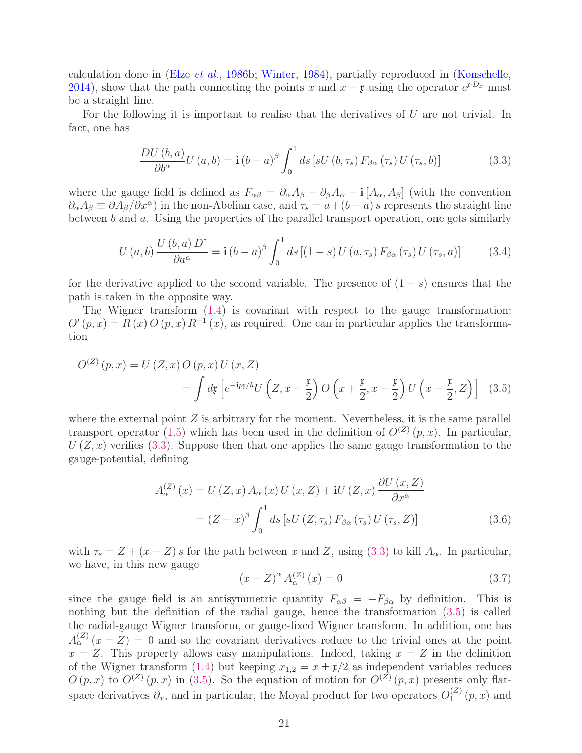calculation done in (Elze [et al.](#page-38-7), [1986b;](#page-38-7) [Winter,](#page-43-11) [1984\)](#page-43-11), partially reproduced in [\(Konschelle,](#page-40-3) [2014\)](#page-40-3), show that the path connecting the points x and  $x + \mathfrak{x}$  using the operator  $e^{\mathfrak{x} \cdot D_x}$  must be a straight line.

For the following it is important to realise that the derivatives of  $U$  are not trivial. In fact, one has

<span id="page-20-0"></span>
$$
\frac{DU(b,a)}{\partial b^{\alpha}}U(a,b) = \mathbf{i}(b-a)^{\beta} \int_0^1 ds \left[ sU(b,\tau_s) F_{\beta \alpha}(\tau_s) U(\tau_s,b) \right]
$$
(3.3)

where the gauge field is defined as  $F_{\alpha\beta} = \partial_{\alpha}A_{\beta} - \partial_{\beta}A_{\alpha} - i[A_{\alpha}, A_{\beta}]$  (with the convention  $\partial_{\alpha}A_{\beta} \equiv \partial A_{\beta}/\partial x^{\alpha}$  in the non-Abelian case, and  $\tau_s = a + (b - a)s$  represents the straight line between b and a. Using the properties of the parallel transport operation, one gets similarly

$$
U\left(a,b\right) \frac{U\left(b,a\right)D^{\dagger}}{\partial a^{\alpha}} = \mathbf{i}\left(b-a\right)^{\beta} \int_{0}^{1} ds \left[ \left(1-s\right)U\left(a,\tau_{s}\right) F_{\beta\alpha}\left(\tau_{s}\right)U\left(\tau_{s},a\right) \right] \tag{3.4}
$$

for the derivative applied to the second variable. The presence of  $(1-s)$  ensures that the path is taken in the opposite way.

The Wigner transform [\(1.4\)](#page-3-0) is covariant with respect to the gauge transformation:  $O'(p,x) = R(x) O(p,x) R^{-1}(x)$ , as required. One can in particular applies the transformation

$$
O^{(Z)}(p,x) = U(Z,x) O(p,x) U(x,Z)
$$
  
= 
$$
\int d\mathfrak{x} \left[ e^{-i p\mathfrak{x}/\hbar} U\left(Z, x + \frac{\mathfrak{x}}{2}\right) O\left(x + \frac{\mathfrak{x}}{2}, x - \frac{\mathfrak{x}}{2}\right) U\left(x - \frac{\mathfrak{x}}{2}, Z\right) \right]
$$
 (3.5)

where the external point  $Z$  is arbitrary for the moment. Nevertheless, it is the same parallel transport operator [\(1.5\)](#page-3-1) which has been used in the definition of  $O^{(Z)}(p, x)$ . In particular,  $U(Z, x)$  verifies [\(3.3\)](#page-20-0). Suppose then that one applies the same gauge transformation to the gauge-potential, defining

$$
A_{\alpha}^{(Z)}(x) = U(Z, x) A_{\alpha}(x) U(x, Z) + iU(Z, x) \frac{\partial U(x, Z)}{\partial x^{\alpha}}
$$

$$
= (Z - x)^{\beta} \int_0^1 ds \left[ sU(Z, \tau_s) F_{\beta \alpha}(\tau_s) U(\tau_s, Z) \right]
$$
(3.6)

with  $\tau_s = Z + (x - Z) s$  for the path between x and Z, using [\(3.3\)](#page-20-0) to kill  $A_\alpha$ . In particular, we have, in this new gauge

<span id="page-20-1"></span>
$$
(x - Z)^{\alpha} A_{\alpha}^{(Z)}(x) = 0 \tag{3.7}
$$

since the gauge field is an antisymmetric quantity  $F_{\alpha\beta} = -F_{\beta\alpha}$  by definition. This is nothing but the definition of the radial gauge, hence the transformation [\(3.5\)](#page-20-1) is called the radial-gauge Wigner transform, or gauge-fixed Wigner transform. In addition, one has  $A_{\alpha}^{(Z)}(x=Z) = 0$  and so the covariant derivatives reduce to the trivial ones at the point  $x = Z$ . This property allows easy manipulations. Indeed, taking  $x = Z$  in the definition of the Wigner transform [\(1.4\)](#page-3-0) but keeping  $x_{1,2} = x \pm \mathfrak{x}/2$  as independent variables reduces  $O(p,x)$  to  $O^{(Z)}(p,x)$  in [\(3.5\)](#page-20-1). So the equation of motion for  $O^{(Z)}(p,x)$  presents only flatspace derivatives  $\partial_x$ , and in particular, the Moyal product for two operators  $O_1^{(Z)}$  $j_1^{(z)}(p,x)$  and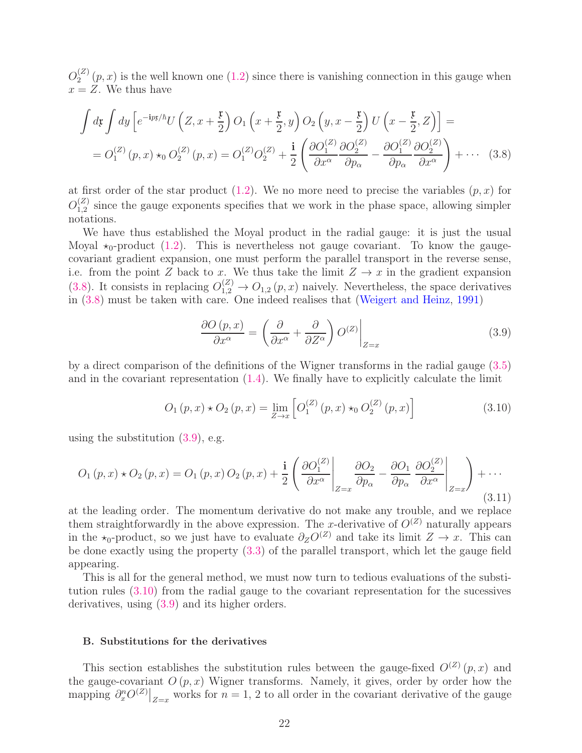$O^{(Z)}_2$  $2^{(2)}(p,x)$  is the well known one  $(1.2)$  since there is vanishing connection in this gauge when  $x = Z$ . We thus have

$$
\int d\mathbf{r} \int dy \left[ e^{-ipx/\hbar} U\left(Z, x + \frac{\mathfrak{x}}{2}\right) O_1\left(x + \frac{\mathfrak{x}}{2}, y\right) O_2\left(y, x - \frac{\mathfrak{x}}{2}\right) U\left(x - \frac{\mathfrak{x}}{2}, Z\right) \right] =
$$
  
=  $O_1^{(Z)}(p, x) \star_0 O_2^{(Z)}(p, x) = O_1^{(Z)} O_2^{(Z)} + \frac{\mathbf{i}}{2} \left(\frac{\partial O_1^{(Z)}}{\partial x^{\alpha}} \frac{\partial O_2^{(Z)}}{\partial p_{\alpha}} - \frac{\partial O_1^{(Z)}}{\partial p_{\alpha}} \frac{\partial O_2^{(Z)}}{\partial x^{\alpha}}\right) + \cdots$  (3.8)

at first order of the star product  $(1.2)$ . We no more need to precise the variables  $(p, x)$  for  $O^{(Z)}_{1,2}$  $_{1,2}^{(2)}$  since the gauge exponents specifies that we work in the phase space, allowing simpler notations.

We have thus established the Moyal product in the radial gauge: it is just the usual Moyal  $\star_0$ -product [\(1.2\)](#page-3-2). This is nevertheless not gauge covariant. To know the gaugecovariant gradient expansion, one must perform the parallel transport in the reverse sense, i.e. from the point Z back to x. We thus take the limit  $Z \to x$  in the gradient expansion [\(3.8\)](#page-21-1). It consists in replacing  $O_{1,2}^{(Z)} \rightarrow O_{1,2}(p,x)$  naively. Nevertheless, the space derivatives in [\(3.8\)](#page-21-1) must be taken with care. One indeed realises that [\(Weigert and Heinz,](#page-43-13) [1991](#page-43-13))

<span id="page-21-2"></span><span id="page-21-1"></span>
$$
\frac{\partial O(p,x)}{\partial x^{\alpha}} = \left(\frac{\partial}{\partial x^{\alpha}} + \frac{\partial}{\partial Z^{\alpha}}\right) O^{(Z)}\Big|_{Z=x}
$$
\n(3.9)

by a direct comparison of the definitions of the Wigner transforms in the radial gauge [\(3.5\)](#page-20-1) and in the covariant representation [\(1.4\)](#page-3-0). We finally have to explicitly calculate the limit

<span id="page-21-3"></span>
$$
O_1(p,x) \star O_2(p,x) = \lim_{Z \to x} \left[ O_1^{(Z)}(p,x) \star_0 O_2^{(Z)}(p,x) \right]
$$
(3.10)

using the substitution  $(3.9)$ , e.g.

$$
O_1(p,x) \star O_2(p,x) = O_1(p,x) O_2(p,x) + \frac{\mathbf{i}}{2} \left( \frac{\partial O_1^{(Z)}}{\partial x^{\alpha}} \bigg|_{Z=x} \frac{\partial O_2}{\partial p_{\alpha}} - \frac{\partial O_1}{\partial p_{\alpha}} \frac{\partial O_2^{(Z)}}{\partial x^{\alpha}} \bigg|_{Z=x} \right) + \cdots
$$
\n(3.11)

at the leading order. The momentum derivative do not make any trouble, and we replace them straightforwardly in the above expression. The x-derivative of  $O^{(Z)}$  naturally appears in the  $\star_0$ -product, so we just have to evaluate  $\partial_Z O^{(Z)}$  and take its limit  $Z \to x$ . This can be done exactly using the property [\(3.3\)](#page-20-0) of the parallel transport, which let the gauge field appearing.

This is all for the general method, we must now turn to tedious evaluations of the substitution rules [\(3.10\)](#page-21-3) from the radial gauge to the covariant representation for the sucessives derivatives, using [\(3.9\)](#page-21-2) and its higher orders.

## <span id="page-21-0"></span>B. Substitutions for the derivatives

This section establishes the substitution rules between the gauge-fixed  $O^{(Z)}(p, x)$  and the gauge-covariant  $O(p, x)$  Wigner transforms. Namely, it gives, order by order how the mapping  $\partial_x^n O^{(Z)}|_{Z=x}$  works for  $n=1, 2$  to all order in the covariant derivative of the gauge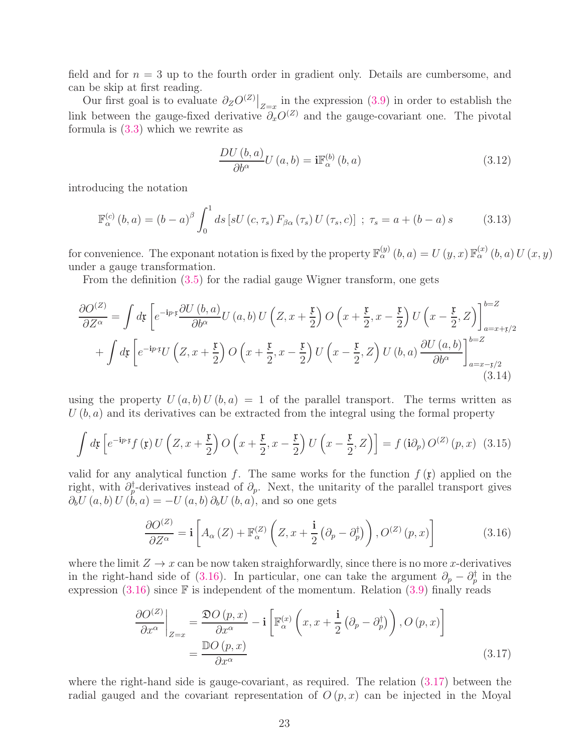field and for  $n = 3$  up to the fourth order in gradient only. Details are cumbersome, and can be skip at first reading.

Our first goal is to evaluate  $\partial_Z O^{(Z)}|_{Z=x}$  in the expression [\(3.9\)](#page-21-2) in order to establish the link between the gauge-fixed derivative  $\partial_x^{\phi}O^{(Z)}$  and the gauge-covariant one. The pivotal formula is [\(3.3\)](#page-20-0) which we rewrite as

$$
\frac{DU(b,a)}{\partial b^{\alpha}}U(a,b) = i\mathbb{F}_{\alpha}^{(b)}(b,a)
$$
\n(3.12)

introducing the notation

$$
\mathbb{F}_{\alpha}^{(c)}(b,a) = (b-a)^{\beta} \int_{0}^{1} ds \left[ sU(c,\tau_{s}) F_{\beta\alpha}(\tau_{s}) U(\tau_{s},c) \right] ; \ \tau_{s} = a + (b-a)s \tag{3.13}
$$

for convenience. The exponant notation is fixed by the property  $\mathbb{F}_{\alpha}^{(y)}(b,a) = U(y,x)\mathbb{F}_{\alpha}^{(x)}(b,a)U(x,y)$ under a gauge transformation.

From the definition [\(3.5\)](#page-20-1) for the radial gauge Wigner transform, one gets

$$
\frac{\partial O^{(Z)}}{\partial Z^{\alpha}} = \int d\mathfrak{x} \left[ e^{-i p \cdot \mathfrak{x}} \frac{\partial U(b, a)}{\partial b^{\alpha}} U(a, b) U\left(Z, x + \frac{\mathfrak{x}}{2}\right) O\left(x + \frac{\mathfrak{x}}{2}, x - \frac{\mathfrak{x}}{2}\right) U\left(x - \frac{\mathfrak{x}}{2}, Z\right) \right]_{a = x + \mathfrak{x}/2}^{b = Z}
$$
  
+ 
$$
\int d\mathfrak{x} \left[ e^{-i p \cdot \mathfrak{x}} U\left(Z, x + \frac{\mathfrak{x}}{2}\right) O\left(x + \frac{\mathfrak{x}}{2}, x - \frac{\mathfrak{x}}{2}\right) U\left(x - \frac{\mathfrak{x}}{2}, Z\right) U(b, a) \frac{\partial U(a, b)}{\partial b^{\alpha}} \right]_{a = x - \mathfrak{x}/2}^{b = Z}
$$
(3.14)

using the property  $U(a, b) U(b, a) = 1$  of the parallel transport. The terms written as  $U(b, a)$  and its derivatives can be extracted from the integral using the formal property

<span id="page-22-2"></span>
$$
\int d\mathfrak{x} \left[ e^{-i p \cdot \mathfrak{x}} f\left(\mathfrak{x}\right) U\left(Z, x + \frac{\mathfrak{x}}{2}\right) O\left(x + \frac{\mathfrak{x}}{2}, x - \frac{\mathfrak{x}}{2}\right) U\left(x - \frac{\mathfrak{x}}{2}, Z\right) \right] = f\left(i \partial_p\right) O^{(Z)}\left(p, x\right) \tag{3.15}
$$

valid for any analytical function f. The same works for the function  $f(\mathfrak{x})$  applied on the right, with  $\partial_p^{\dagger}$ -derivatives instead of  $\partial_p$ . Next, the unitarity of the parallel transport gives  $\partial_b U(a, b) U(b, a) = -U(a, b) \partial_b U(b, a)$ , and so one gets

<span id="page-22-0"></span>
$$
\frac{\partial O^{(Z)}}{\partial Z^{\alpha}} = \mathbf{i} \left[ A_{\alpha} \left( Z \right) + \mathbb{F}_{\alpha}^{(Z)} \left( Z, x + \frac{\mathbf{i}}{2} \left( \partial_{p} - \partial_{p}^{\dagger} \right) \right), O^{(Z)} \left( p, x \right) \right]
$$
(3.16)

where the limit  $Z \to x$  can be now taken straighforwardly, since there is no more x-derivatives in the right-hand side of [\(3.16\)](#page-22-0). In particular, one can take the argument  $\partial_p - \partial_p^{\dagger}$  in the expression  $(3.16)$  since  $\mathbb F$  is independent of the momentum. Relation  $(3.9)$  finally reads

<span id="page-22-1"></span>
$$
\frac{\partial O^{(Z)}}{\partial x^{\alpha}}\bigg|_{Z=x} = \frac{\mathfrak{D}O(p,x)}{\partial x^{\alpha}} - \mathbf{i}\left[\mathbb{F}_{\alpha}^{(x)}\left(x, x + \frac{\mathbf{i}}{2}\left(\partial_{p} - \partial_{p}^{\dagger}\right)\right), O\left(p, x\right)\right]
$$
\n
$$
= \frac{\mathbb{D}O(p,x)}{\partial x^{\alpha}} \tag{3.17}
$$

where the right-hand side is gauge-covariant, as required. The relation [\(3.17\)](#page-22-1) between the radial gauged and the covariant representation of  $O(p, x)$  can be injected in the Moyal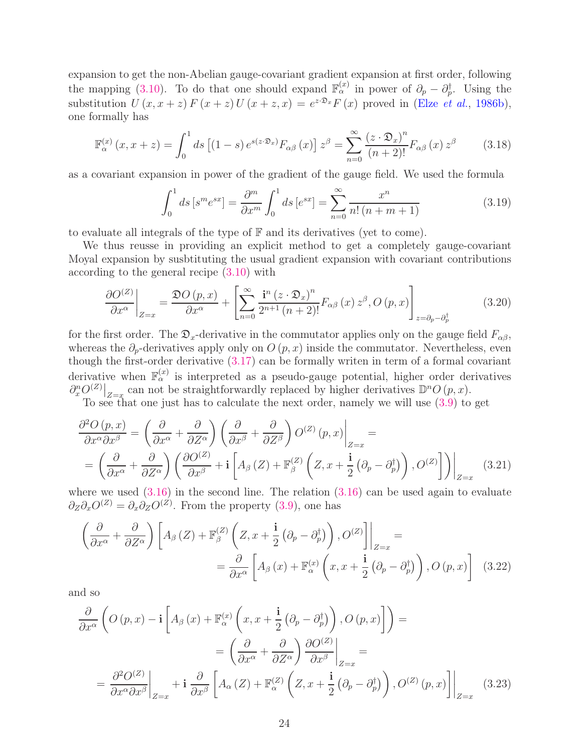expansion to get the non-Abelian gauge-covariant gradient expansion at first order, following the mapping [\(3.10\)](#page-21-3). To do that one should expand  $\mathbb{F}_{\alpha}^{(x)}$  in power of  $\partial_p - \partial_p^{\dagger}$ . Using the substitution  $U(x, x+z) F(x+z) U(x+z, x) = e^{z \cdot \mathfrak{D}_x} F(x)$  proved in (Elze *[et al.](#page-38-7)*, [1986b\)](#page-38-7), one formally has

<span id="page-23-0"></span>
$$
\mathbb{F}_{\alpha}^{(x)}\left(x, x+z\right) = \int_0^1 ds \left[ (1-s) \, e^{s(z \cdot \mathfrak{D}_x)} F_{\alpha\beta}\left(x\right) \right] z^{\beta} = \sum_{n=0}^\infty \frac{\left(z \cdot \mathfrak{D}_x\right)^n}{\left(n+2\right)!} F_{\alpha\beta}\left(x\right) z^{\beta} \tag{3.18}
$$

as a covariant expansion in power of the gradient of the gauge field. We used the formula

$$
\int_0^1 ds \left[ s^m e^{sx} \right] = \frac{\partial^m}{\partial x^m} \int_0^1 ds \left[ e^{sx} \right] = \sum_{n=0}^\infty \frac{x^n}{n! \left( n + m + 1 \right)} \tag{3.19}
$$

to evaluate all integrals of the type of  $F$  and its derivatives (yet to come).

We thus reusse in providing an explicit method to get a completely gauge-covariant Moyal expansion by susbtituting the usual gradient expansion with covariant contributions according to the general recipe [\(3.10\)](#page-21-3) with

<span id="page-23-1"></span>
$$
\frac{\partial O^{(Z)}}{\partial x^{\alpha}}\bigg|_{Z=x} = \frac{\mathfrak{D}O(p,x)}{\partial x^{\alpha}} + \left[\sum_{n=0}^{\infty} \frac{\mathbf{i}^{n} (z \cdot \mathfrak{D}_{x})^{n}}{2^{n+1} (n+2)!} F_{\alpha\beta}(x) z^{\beta}, O(p,x)\right]_{z=\partial_{p}-\partial_{p}^{\dagger}}
$$
(3.20)

for the first order. The  $\mathfrak{D}_x$ -derivative in the commutator applies only on the gauge field  $F_{\alpha\beta}$ , whereas the  $\partial_p$ -derivatives apply only on  $O(p, x)$  inside the commutator. Nevertheless, even though the first-order derivative [\(3.17\)](#page-22-1) can be formally writen in term of a formal covariant derivative when  $\mathbb{F}_\alpha^{(x)}$  is interpreted as a pseudo-gauge potential, higher order derivatives  $\partial_x^n O^{(Z)}|_{Z=x}$  can not be straightforwardly replaced by higher derivatives  $\mathbb{D}^n O(p, x)$ .

To see that one just has to calculate the next order, namely we will use [\(3.9\)](#page-21-2) to get

$$
\frac{\partial^2 O(p,x)}{\partial x^{\alpha} \partial x^{\beta}} = \left( \frac{\partial}{\partial x^{\alpha}} + \frac{\partial}{\partial Z^{\alpha}} \right) \left( \frac{\partial}{\partial x^{\beta}} + \frac{\partial}{\partial Z^{\beta}} \right) O^{(Z)}(p,x) \Big|_{Z=x} = \left( \frac{\partial}{\partial x^{\alpha}} + \frac{\partial}{\partial Z^{\alpha}} \right) \left( \frac{\partial O^{(Z)}}{\partial x^{\beta}} + \mathbf{i} \left[ A_{\beta} (Z) + \mathbb{F}_{\beta}^{(Z)} \left( Z, x + \frac{\mathbf{i}}{2} \left( \partial_{p} - \partial_{p}^{\dagger} \right) \right), O^{(Z)} \right] \right) \Big|_{Z=x}
$$
(3.21)

where we used  $(3.16)$  in the second line. The relation  $(3.16)$  can be used again to evaluate  $\partial_Z \partial_x O^{(Z)} = \partial_x \partial_Z O^{(Z)}$ . From the property [\(3.9\)](#page-21-2), one has

$$
\left(\frac{\partial}{\partial x^{\alpha}} + \frac{\partial}{\partial Z^{\alpha}}\right) \left[A_{\beta}\left(Z\right) + \mathbb{F}_{\beta}^{(Z)}\left(Z, x + \frac{\mathbf{i}}{2}\left(\partial_{p} - \partial_{p}^{\dagger}\right)\right), O^{(Z)}\right]\Big|_{Z=x} = \frac{\partial}{\partial x^{\alpha}} \left[A_{\beta}\left(x\right) + \mathbb{F}_{\alpha}^{(x)}\left(x, x + \frac{\mathbf{i}}{2}\left(\partial_{p} - \partial_{p}^{\dagger}\right)\right), O\left(p, x\right)\right] \quad (3.22)
$$

and so

$$
\frac{\partial}{\partial x^{\alpha}} \left( O(p, x) - \mathbf{i} \left[ A_{\beta}(x) + \mathbb{F}_{\alpha}^{(x)} \left( x, x + \frac{\mathbf{i}}{2} \left( \partial_{p} - \partial_{p}^{\dagger} \right) \right), O(p, x) \right] \right) =
$$
\n
$$
= \left( \frac{\partial}{\partial x^{\alpha}} + \frac{\partial}{\partial Z^{\alpha}} \right) \frac{\partial O^{(Z)}}{\partial x^{\beta}} \Big|_{Z=x} =
$$
\n
$$
= \frac{\partial^{2} O^{(Z)}}{\partial x^{\alpha} \partial x^{\beta}} \Big|_{Z=x} + \mathbf{i} \frac{\partial}{\partial x^{\beta}} \left[ A_{\alpha}(Z) + \mathbb{F}_{\alpha}^{(Z)} \left( Z, x + \frac{\mathbf{i}}{2} \left( \partial_{p} - \partial_{p}^{\dagger} \right) \right), O^{(Z)}(p, x) \right] \Big|_{Z=x} \tag{3.23}
$$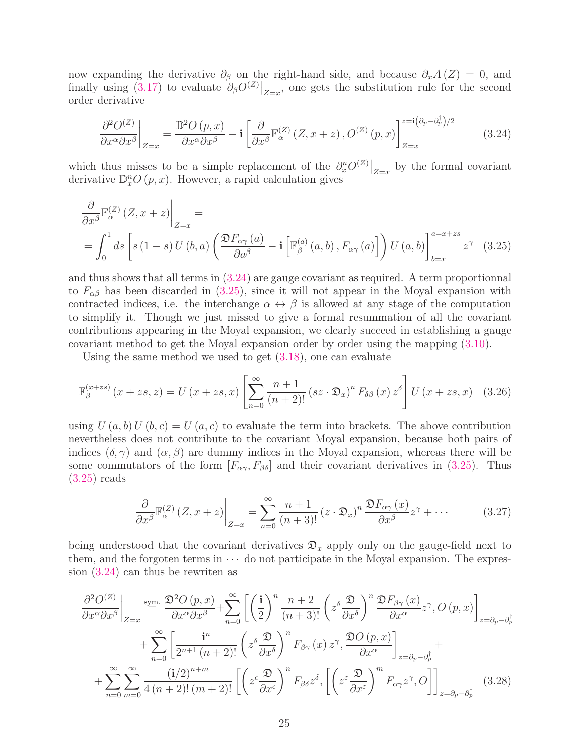now expanding the derivative  $\partial_{\beta}$  on the right-hand side, and because  $\partial_{x}A(Z) = 0$ , and finally using  $(3.17)$  to evaluate  $\partial_{\beta}O^{(Z)}|_{Z=x}$ , one gets the substitution rule for the second order derivative

<span id="page-24-1"></span><span id="page-24-0"></span>
$$
\left. \frac{\partial^2 O^{(Z)}}{\partial x^{\alpha} \partial x^{\beta}} \right|_{Z=x} = \frac{\mathbb{D}^2 O(p, x)}{\partial x^{\alpha} \partial x^{\beta}} - \mathbf{i} \left[ \frac{\partial}{\partial x^{\beta}} \mathbb{F}_{\alpha}^{(Z)} \left( Z, x+z \right), O^{(Z)}(p, x) \right]_{Z=x}^{z=\mathbf{i} \left( \partial_p - \partial_p^{\dagger} \right) / 2}
$$
(3.24)

which thus misses to be a simple replacement of the  $\partial_x^n O^{(Z)}|_{Z=x}$  by the formal covariant derivative  $\mathbb{D}_{x}^{n}O(p,x)$ . However, a rapid calculation gives

$$
\frac{\partial}{\partial x^{\beta}} \mathbb{F}_{\alpha}^{(Z)}(Z, x+z) \Big|_{Z=x} = \int_{0}^{1} ds \left[ s(1-s) U(b, a) \left( \frac{\mathfrak{D} F_{\alpha\gamma}(a)}{\partial a^{\beta}} - \mathbf{i} \left[ \mathbb{F}_{\beta}^{(a)}(a, b), F_{\alpha\gamma}(a) \right] \right) U(a, b) \right]_{b=x}^{a=x+zs} z^{\gamma} (3.25)
$$

and thus shows that all terms in [\(3.24\)](#page-24-0) are gauge covariant as required. A term proportionnal to  $F_{\alpha\beta}$  has been discarded in [\(3.25\)](#page-24-1), since it will not appear in the Moyal expansion with contracted indices, i.e. the interchange  $\alpha \leftrightarrow \beta$  is allowed at any stage of the computation to simplify it. Though we just missed to give a formal resummation of all the covariant contributions appearing in the Moyal expansion, we clearly succeed in establishing a gauge covariant method to get the Moyal expansion order by order using the mapping [\(3.10\)](#page-21-3).

Using the same method we used to get [\(3.18\)](#page-23-0), one can evaluate

$$
\mathbb{F}_{\beta}^{(x+zs)}(x+zs,z) = U(x+zs,x) \left[ \sum_{n=0}^{\infty} \frac{n+1}{(n+2)!} (sz \cdot \mathfrak{D}_x)^n F_{\delta\beta}(x) z^{\delta} \right] U(x+zs,x) \quad (3.26)
$$

using  $U(a, b) U(b, c) = U(a, c)$  to evaluate the term into brackets. The above contribution nevertheless does not contribute to the covariant Moyal expansion, because both pairs of indices  $(\delta, \gamma)$  and  $(\alpha, \beta)$  are dummy indices in the Moyal expansion, whereas there will be some commutators of the form  $[F_{\alpha\gamma}, F_{\beta\delta}]$  and their covariant derivatives in [\(3.25\)](#page-24-1). Thus [\(3.25\)](#page-24-1) reads

<span id="page-24-3"></span><span id="page-24-2"></span>
$$
\frac{\partial}{\partial x^{\beta}} \mathbb{F}_{\alpha}^{(Z)}(Z, x+z) \bigg|_{Z=x} = \sum_{n=0}^{\infty} \frac{n+1}{(n+3)!} (z \cdot \mathfrak{D}_x)^n \frac{\mathfrak{D} F_{\alpha\gamma}(x)}{\partial x^{\beta}} z^{\gamma} + \cdots
$$
 (3.27)

being understood that the covariant derivatives  $\mathfrak{D}_x$  apply only on the gauge-field next to them, and the forgoten terms in  $\cdots$  do not participate in the Moyal expansion. The expression [\(3.24\)](#page-24-0) can thus be rewriten as

$$
\frac{\partial^2 O^{(Z)}}{\partial x^{\alpha} \partial x^{\beta}}\Big|_{Z=x} \stackrel{\text{sym.}}{=} \frac{\mathfrak{D}^2 O(p,x)}{\partial x^{\alpha} \partial x^{\beta}} + \sum_{n=0}^{\infty} \left[ \left( \frac{\mathbf{i}}{2} \right)^n \frac{n+2}{(n+3)!} \left( z^{\delta} \frac{\mathfrak{D}}{\partial x^{\delta}} \right)^n \frac{\mathfrak{D} F_{\beta\gamma}(x)}{\partial x^{\alpha}} z^{\gamma}, O(p,x) \right]_{z=\partial_p-\partial_p^{\dagger}}
$$

$$
+ \sum_{n=0}^{\infty} \left[ \frac{\mathbf{i}^n}{2^{n+1} (n+2)!} \left( z^{\delta} \frac{\mathfrak{D}}{\partial x^{\delta}} \right)^n F_{\beta\gamma}(x) z^{\gamma}, \frac{\mathfrak{D} O(p,x)}{\partial x^{\alpha}} \right]_{z=\partial_p-\partial_p^{\dagger}} + \sum_{n=0}^{\infty} \sum_{m=0}^{\infty} \frac{(\mathbf{i}/2)^{n+m}}{4 (n+2)! (m+2)!} \left[ \left( z^{\epsilon} \frac{\mathfrak{D}}{\partial x^{\epsilon}} \right)^n F_{\beta\delta} z^{\delta}, \left[ \left( z^{\epsilon} \frac{\mathfrak{D}}{\partial x^{\epsilon}} \right)^m F_{\alpha\gamma} z^{\gamma}, O \right] \right]_{z=\partial_p-\partial_p^{\dagger}} \quad (3.28)
$$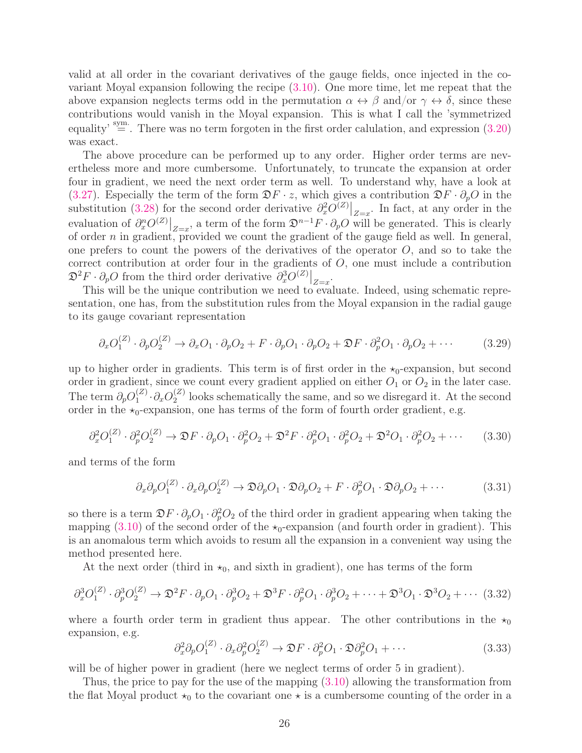valid at all order in the covariant derivatives of the gauge fields, once injected in the covariant Moyal expansion following the recipe [\(3.10\)](#page-21-3). One more time, let me repeat that the above expansion neglects terms odd in the permutation  $\alpha \leftrightarrow \beta$  and/or  $\gamma \leftrightarrow \delta$ , since these contributions would vanish in the Moyal expansion. This is what I call the 'symmetrized equality'  $\stackrel{\text{sym.}}{=}$ . There was no term forgoten in the first order calulation, and expression [\(3.20\)](#page-23-1) was exact.

The above procedure can be performed up to any order. Higher order terms are nevertheless more and more cumbersome. Unfortunately, to truncate the expansion at order four in gradient, we need the next order term as well. To understand why, have a look at [\(3.27\)](#page-24-2). Especially the term of the form  $\mathfrak{D}F \cdot z$ , which gives a contribution  $\mathfrak{D}F \cdot \partial_p O$  in the substitution [\(3.28\)](#page-24-3) for the second order derivative  $\partial_x^2 O^{(Z)}|_{Z=x}$ . In fact, at any order in the evaluation of  $\partial_x^n O^{(Z)}|_{Z=x}$ , a term of the form  $\mathfrak{D}^{n-1}F \cdot \partial_p O$  will be generated. This is clearly of order  $n$  in gradient, provided we count the gradient of the gauge field as well. In general, one prefers to count the powers of the derivatives of the operator  $O$ , and so to take the correct contribution at order four in the gradients of  $O$ , one must include a contribution  $\mathfrak{D}^2 F \cdot \partial_p O$  from the third order derivative  $\partial_x^3 O^{(Z)}|_{Z=x}$ .

This will be the unique contribution we need to evaluate. Indeed, using schematic representation, one has, from the substitution rules from the Moyal expansion in the radial gauge to its gauge covariant representation

$$
\partial_x O_1^{(Z)} \cdot \partial_p O_2^{(Z)} \to \partial_x O_1 \cdot \partial_p O_2 + F \cdot \partial_p O_1 \cdot \partial_p O_2 + \mathfrak{D} F \cdot \partial_p^2 O_1 \cdot \partial_p O_2 + \cdots \tag{3.29}
$$

up to higher order in gradients. This term is of first order in the  $\star_0$ -expansion, but second order in gradient, since we count every gradient applied on either  $O_1$  or  $O_2$  in the later case. The term  $\partial_p O_1^{(Z)}$  $\partial_1^{(Z)}\!\cdot\!\partial_xO_2^{(Z)}$  $2^{(2)}$  looks schematically the same, and so we disregard it. At the second order in the  $\star_0$ -expansion, one has terms of the form of fourth order gradient, e.g.

$$
\partial_x^2 O_1^{(Z)} \cdot \partial_p^2 O_2^{(Z)} \to \mathfrak{D} F \cdot \partial_p O_1 \cdot \partial_p^2 O_2 + \mathfrak{D}^2 F \cdot \partial_p^2 O_1 \cdot \partial_p^2 O_2 + \mathfrak{D}^2 O_1 \cdot \partial_p^2 O_2 + \cdots \tag{3.30}
$$

and terms of the form

$$
\partial_x \partial_p O_1^{(Z)} \cdot \partial_x \partial_p O_2^{(Z)} \to \mathfrak{D} \partial_p O_1 \cdot \mathfrak{D} \partial_p O_2 + F \cdot \partial_p^2 O_1 \cdot \mathfrak{D} \partial_p O_2 + \cdots \tag{3.31}
$$

so there is a term  $\mathfrak{D}F \cdot \partial_p O_1 \cdot \partial_p^2 O_2$  of the third order in gradient appearing when taking the mapping  $(3.10)$  of the second order of the  $\star_0$ -expansion (and fourth order in gradient). This is an anomalous term which avoids to resum all the expansion in a convenient way using the method presented here.

At the next order (third in  $\star_0$ , and sixth in gradient), one has terms of the form

$$
\partial_x^3 O_1^{(Z)} \cdot \partial_p^3 O_2^{(Z)} \to \mathfrak{D}^2 F \cdot \partial_p O_1 \cdot \partial_p^3 O_2 + \mathfrak{D}^3 F \cdot \partial_p^2 O_1 \cdot \partial_p^3 O_2 + \dots + \mathfrak{D}^3 O_1 \cdot \mathfrak{D}^3 O_2 + \dots \tag{3.32}
$$

where a fourth order term in gradient thus appear. The other contributions in the  $\star_0$ expansion, e.g.

$$
\partial_x^2 \partial_p O_1^{(Z)} \cdot \partial_x \partial_p^2 O_2^{(Z)} \to \mathfrak{D} F \cdot \partial_p^2 O_1 \cdot \mathfrak{D} \partial_p^2 O_1 + \cdots \tag{3.33}
$$

will be of higher power in gradient (here we neglect terms of order 5 in gradient).

Thus, the price to pay for the use of the mapping [\(3.10\)](#page-21-3) allowing the transformation from the flat Moyal product  $\star_0$  to the covariant one  $\star$  is a cumbersome counting of the order in a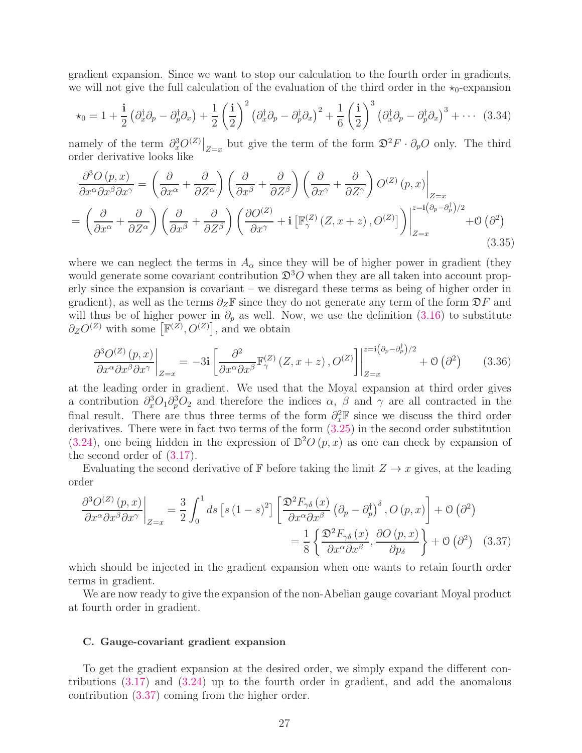gradient expansion. Since we want to stop our calculation to the fourth order in gradients, we will not give the full calculation of the evaluation of the third order in the  $\star_0$ -expansion

$$
\star_0 = 1 + \frac{\mathbf{i}}{2} \left( \partial_x^{\dagger} \partial_p - \partial_p^{\dagger} \partial_x \right) + \frac{1}{2} \left( \frac{\mathbf{i}}{2} \right)^2 \left( \partial_x^{\dagger} \partial_p - \partial_p^{\dagger} \partial_x \right)^2 + \frac{1}{6} \left( \frac{\mathbf{i}}{2} \right)^3 \left( \partial_x^{\dagger} \partial_p - \partial_p^{\dagger} \partial_x \right)^3 + \cdots (3.34)
$$

namely of the term  $\partial_x^3 O^{(Z)}|_{Z=x}$  but give the term of the form  $\mathfrak{D}^2 F \cdot \partial_p O$  only. The third order derivative looks like

$$
\frac{\partial^3 O(p,x)}{\partial x^{\alpha} \partial x^{\beta} \partial x^{\gamma}} = \left(\frac{\partial}{\partial x^{\alpha}} + \frac{\partial}{\partial Z^{\alpha}}\right) \left(\frac{\partial}{\partial x^{\beta}} + \frac{\partial}{\partial Z^{\beta}}\right) \left(\frac{\partial}{\partial x^{\gamma}} + \frac{\partial}{\partial Z^{\gamma}}\right) O^{(Z)}(p,x) \Big|_{Z=x}
$$
\n
$$
= \left(\frac{\partial}{\partial x^{\alpha}} + \frac{\partial}{\partial Z^{\alpha}}\right) \left(\frac{\partial}{\partial x^{\beta}} + \frac{\partial}{\partial Z^{\beta}}\right) \left(\frac{\partial O^{(Z)}}{\partial x^{\gamma}} + \mathbf{i} \left[\mathbb{F}_{\gamma}^{(Z)}(Z, x+z), O^{(Z)}\right]\right) \Big|_{Z=x}^{z=\mathbf{i}(\partial_{p}-\partial_{p}^{\dagger})/2} + O\left(\partial^{2}\right)
$$
\n(3.35)

where we can neglect the terms in  $A_{\alpha}$  since they will be of higher power in gradient (they would generate some covariant contribution  $\mathfrak{D}^3O$  when they are all taken into account properly since the expansion is covariant – we disregard these terms as being of higher order in gradient), as well as the terms  $\partial_Z\mathbb{F}$  since they do not generate any term of the form  $\mathfrak{D}F$  and will thus be of higher power in  $\partial_p$  as well. Now, we use the definition [\(3.16\)](#page-22-0) to substitute  $\partial_Z O^{(Z)}$  with some  $\left[\mathbb{F}^{(Z)}, O^{(Z)}\right]$ , and we obtain

$$
\frac{\partial^3 O^{(Z)}(p,x)}{\partial x^{\alpha} \partial x^{\beta} \partial x^{\gamma}}\bigg|_{Z=x} = -3\mathbf{i} \left[ \frac{\partial^2}{\partial x^{\alpha} \partial x^{\beta}} \mathbb{F}_{\gamma}^{(Z)}(Z,x+z), O^{(Z)} \right] \bigg|_{Z=x}^{z=\mathbf{i}(\partial_p - \partial_p^{\dagger})/2} + \mathcal{O}\left(\partial^2\right) \tag{3.36}
$$

at the leading order in gradient. We used that the Moyal expansion at third order gives a contribution  $\partial_x^3 O_1 \partial_p^3 O_2$  and therefore the indices  $\alpha$ ,  $\beta$  and  $\gamma$  are all contracted in the final result. There are thus three terms of the form  $\partial_x^2 \mathbb{F}$  since we discuss the third order derivatives. There were in fact two terms of the form  $(3.25)$  in the second order substitution [\(3.24\)](#page-24-0), one being hidden in the expression of  $\mathbb{D}^2O(p,x)$  as one can check by expansion of the second order of [\(3.17\)](#page-22-1).

Evaluating the second derivative of F before taking the limit  $Z \to x$  gives, at the leading order

<span id="page-26-1"></span>
$$
\frac{\partial^3 O^{(Z)}(p,x)}{\partial x^{\alpha} \partial x^{\beta} \partial x^{\gamma}}\Big|_{Z=x} = \frac{3}{2} \int_0^1 ds \left[s (1-s)^2\right] \left[\frac{\mathfrak{D}^2 F_{\gamma\delta}(x)}{\partial x^{\alpha} \partial x^{\beta}} \left(\partial_p - \partial_p^{\dagger}\right)^{\delta}, O(p,x)\right] + \mathcal{O}\left(\partial^2\right)
$$

$$
= \frac{1}{8} \left\{\frac{\mathfrak{D}^2 F_{\gamma\delta}(x)}{\partial x^{\alpha} \partial x^{\beta}}, \frac{\partial O(p,x)}{\partial p_{\delta}}\right\} + \mathcal{O}\left(\partial^2\right) \quad (3.37)
$$

which should be injected in the gradient expansion when one wants to retain fourth order terms in gradient.

We are now ready to give the expansion of the non-Abelian gauge covariant Moyal product at fourth order in gradient.

# <span id="page-26-0"></span>C. Gauge-covariant gradient expansion

To get the gradient expansion at the desired order, we simply expand the different contributions [\(3.17\)](#page-22-1) and [\(3.24\)](#page-24-0) up to the fourth order in gradient, and add the anomalous contribution [\(3.37\)](#page-26-1) coming from the higher order.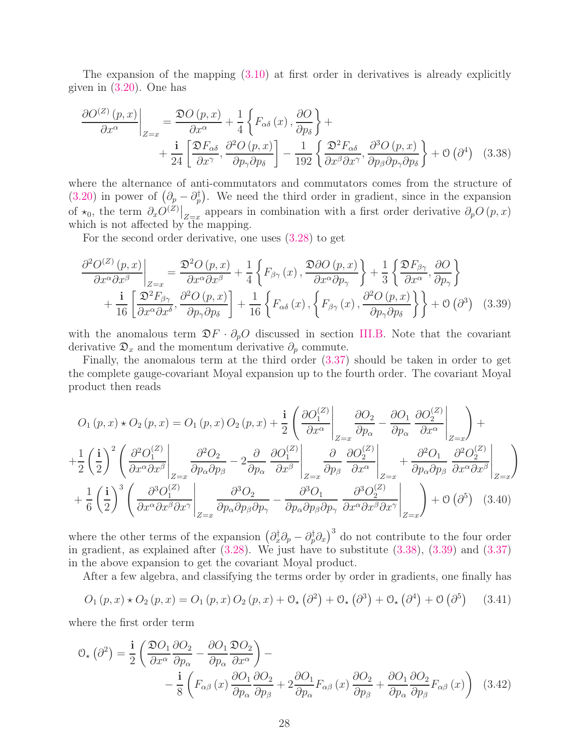The expansion of the mapping [\(3.10\)](#page-21-3) at first order in derivatives is already explicitly given in [\(3.20\)](#page-23-1). One has

<span id="page-27-0"></span>
$$
\frac{\partial O^{(Z)}(p,x)}{\partial x^{\alpha}}\bigg|_{Z=x} = \frac{\mathfrak{D}O(p,x)}{\partial x^{\alpha}} + \frac{1}{4}\left\{F_{\alpha\delta}(x), \frac{\partial O}{\partial p_{\delta}}\right\} + \frac{\mathfrak{i}}{24}\left[\frac{\mathfrak{D}F_{\alpha\delta}}{\partial x^{\gamma}}, \frac{\partial^2 O(p,x)}{\partial p_{\gamma}\partial p_{\delta}}\right] - \frac{1}{192}\left\{\frac{\mathfrak{D}^2 F_{\alpha\delta}}{\partial x^{\beta}\partial x^{\gamma}}, \frac{\partial^3 O(p,x)}{\partial p_{\beta}\partial p_{\gamma}\partial p_{\delta}}\right\} + \mathcal{O}\left(\partial^4\right) \quad (3.38)
$$

where the alternance of anti-commutators and commutators comes from the structure of [\(3.20\)](#page-23-1) in power of  $(\partial_p - \partial_p^{\dagger})$ . We need the third order in gradient, since in the expansion of  $\star_0$ , the term  $\partial_x O^{(Z)}|_{Z=x}$  appears in combination with a first order derivative  $\partial_p O(p,x)$ which is not affected by the mapping.

For the second order derivative, one uses [\(3.28\)](#page-24-3) to get

<span id="page-27-1"></span>
$$
\frac{\partial^2 O^{(Z)}(p,x)}{\partial x^{\alpha} \partial x^{\beta}}\bigg|_{Z=x} = \frac{\mathfrak{D}^2 O(p,x)}{\partial x^{\alpha} \partial x^{\beta}} + \frac{1}{4} \left\{ F_{\beta\gamma}(x), \frac{\mathfrak{D}^2 O(p,x)}{\partial x^{\alpha} \partial p_{\gamma}} \right\} + \frac{1}{3} \left\{ \frac{\mathfrak{D} F_{\beta\gamma}}{\partial x^{\alpha}}, \frac{\partial O}{\partial p_{\gamma}} \right\} + \frac{\mathbf{i}}{16} \left[ \frac{\mathfrak{D}^2 F_{\beta\gamma}}{\partial x^{\alpha} \partial x^{\delta}}, \frac{\partial^2 O(p,x)}{\partial p_{\gamma} \partial p_{\delta}} \right] + \frac{1}{16} \left\{ F_{\alpha\delta}(x), \left\{ F_{\beta\gamma}(x), \frac{\partial^2 O(p,x)}{\partial p_{\gamma} \partial p_{\delta}} \right\} \right\} + \mathcal{O} \left( \partial^3 \right) \tag{3.39}
$$

with the anomalous term  $\mathfrak{D}F \cdot \partial_p O$  discussed in section [III.B.](#page-21-0) Note that the covariant derivative  $\mathfrak{D}_x$  and the momentum derivative  $\partial_p$  commute.

Finally, the anomalous term at the third order [\(3.37\)](#page-26-1) should be taken in order to get the complete gauge-covariant Moyal expansion up to the fourth order. The covariant Moyal product then reads

$$
O_{1}(p,x) \star O_{2}(p,x) = O_{1}(p,x) O_{2}(p,x) + \frac{\mathbf{i}}{2} \left( \frac{\partial O_{1}^{(Z)}}{\partial x^{\alpha}} \bigg|_{Z=x} \frac{\partial O_{2}}{\partial p_{\alpha}} - \frac{\partial O_{1}}{\partial p_{\alpha}} \frac{\partial O_{2}^{(Z)}}{\partial x^{\alpha}} \bigg|_{Z=x} \right) +
$$
  
+
$$
\frac{1}{2} \left( \frac{\mathbf{i}}{2} \right)^{2} \left( \frac{\partial^{2} O_{1}^{(Z)}}{\partial x^{\alpha} \partial x^{\beta}} \bigg|_{Z=x} \frac{\partial^{2} O_{2}}{\partial p_{\alpha} \partial p_{\beta}} - 2 \frac{\partial}{\partial p_{\alpha}} \frac{\partial O_{1}^{(Z)}}{\partial x^{\beta}} \bigg|_{Z=x} \frac{\partial}{\partial p_{\beta}} \frac{\partial O_{2}^{(Z)}}{\partial x^{\alpha}} \bigg|_{Z=x} + \frac{\partial^{2} O_{1}}{\partial p_{\alpha} \partial p_{\beta}} \frac{\partial^{2} O_{2}^{(Z)}}{\partial x^{\alpha} \partial x^{\beta}} \bigg|_{Z=x} \right)
$$
  
+
$$
\frac{1}{6} \left( \frac{\mathbf{i}}{2} \right)^{3} \left( \frac{\partial^{3} O_{1}^{(Z)}}{\partial x^{\alpha} \partial x^{\beta} \partial x^{\gamma}} \bigg|_{Z=x} \frac{\partial^{3} O_{2}}{\partial p_{\alpha} \partial p_{\beta} \partial p_{\gamma}} - \frac{\partial^{3} O_{1}}{\partial p_{\alpha} \partial p_{\beta} \partial p_{\gamma}} \frac{\partial^{3} O_{2}^{(Z)}}{\partial x^{\alpha} \partial x^{\beta} \partial x^{\gamma}} \bigg|_{Z=x} \right) + \mathcal{O} \left( \partial^{5} \right) (3.40)
$$

where the other terms of the expansion  $(\partial_x^{\dagger} \partial_p - \partial_p^{\dagger} \partial_x)^3$  do not contribute to the four order in gradient, as explained after  $(3.28)$ . We just have to substitute  $(3.38)$ ,  $(3.39)$  and  $(3.37)$ in the above expansion to get the covariant Moyal product.

After a few algebra, and classifying the terms order by order in gradients, one finally has

<span id="page-27-2"></span>
$$
O_1(p,x) \star O_2(p,x) = O_1(p,x) O_2(p,x) + O_{\star}(\partial^2) + O_{\star}(\partial^3) + O_{\star}(\partial^4) + O(\partial^5)
$$
 (3.41)

where the first order term

$$
\mathcal{O}_{\star}(\partial^{2}) = \frac{\mathbf{i}}{2} \left( \frac{\mathfrak{D}O_{1}}{\partial x^{\alpha}} \frac{\partial O_{2}}{\partial p_{\alpha}} - \frac{\partial O_{1}}{\partial p_{\alpha}} \frac{\mathfrak{D}O_{2}}{\partial x^{\alpha}} \right) - \frac{\mathbf{i}}{2} \left( F_{\alpha\beta} \left( x \right) \frac{\partial O_{1}}{\partial p_{\alpha}} \frac{\partial O_{2}}{\partial p_{\beta}} + 2 \frac{\partial O_{1}}{\partial p_{\alpha}} F_{\alpha\beta} \left( x \right) \frac{\partial O_{2}}{\partial p_{\beta}} + \frac{\partial O_{1}}{\partial p_{\alpha}} \frac{\partial O_{2}}{\partial p_{\beta}} F_{\alpha\beta} \left( x \right) \right) \tag{3.42}
$$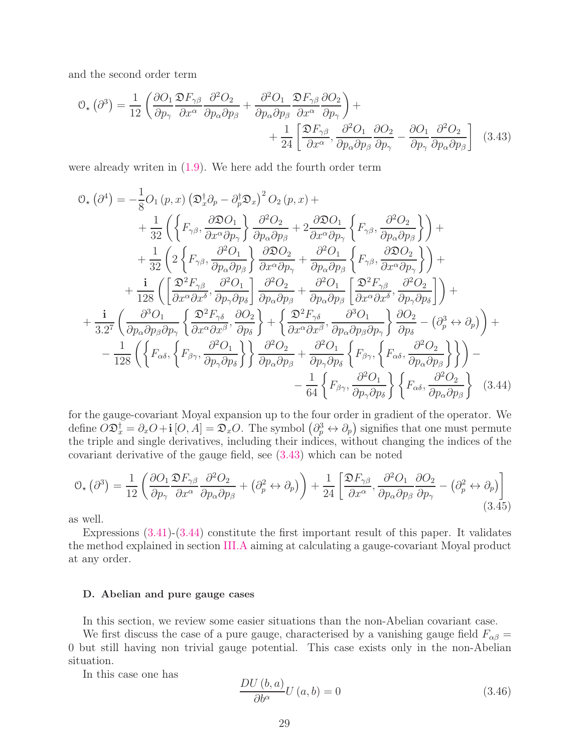and the second order term

<span id="page-28-2"></span>
$$
\mathcal{O}_{\star}(\partial^{3}) = \frac{1}{12} \left( \frac{\partial O_{1}}{\partial p_{\gamma}} \frac{\mathfrak{D}F_{\gamma\beta}}{\partial x^{\alpha}} \frac{\partial^{2}O_{2}}{\partial p_{\alpha}\partial p_{\beta}} + \frac{\partial^{2}O_{1}}{\partial p_{\alpha}\partial p_{\beta}} \frac{\mathfrak{D}F_{\gamma\beta}}{\partial x^{\alpha}} \frac{\partial O_{2}}{\partial p_{\gamma}} \right) + \frac{1}{24} \left[ \frac{\mathfrak{D}F_{\gamma\beta}}{\partial x^{\alpha}}, \frac{\partial^{2}O_{1}}{\partial p_{\alpha}\partial p_{\beta}} \frac{\partial O_{2}}{\partial p_{\gamma}} - \frac{\partial O_{1}}{\partial p_{\gamma}} \frac{\partial^{2}O_{2}}{\partial p_{\alpha}\partial p_{\beta}} \right] \quad (3.43)
$$

were already writen in [\(1.9\)](#page-5-0). We here add the fourth order term

$$
\mathcal{O}_{\star}(\partial^{4}) = -\frac{1}{8}O_{1}(p, x) \left(\mathfrak{D}_{x}^{\dagger}\partial_{p} - \partial_{p}^{\dagger}\mathfrak{D}_{x}\right)^{2} O_{2}(p, x) + \n+ \frac{1}{32} \left(\left\{F_{\gamma\beta}, \frac{\partial \mathfrak{D}O_{1}}{\partial x^{\alpha}\partial p_{\gamma}}\right\} \frac{\partial^{2}O_{2}}{\partial p_{\alpha}\partial p_{\beta}} + 2 \frac{\partial \mathfrak{D}O_{1}}{\partial x^{\alpha}\partial p_{\gamma}} \left\{F_{\gamma\beta}, \frac{\partial^{2}O_{2}}{\partial p_{\alpha}\partial p_{\beta}}\right\}\right) + \n+ \frac{1}{32} \left(2 \left\{F_{\gamma\beta}, \frac{\partial^{2}O_{1}}{\partial p_{\alpha}\partial p_{\beta}}\right\} \frac{\partial \mathfrak{D}O_{2}}{\partial x^{\alpha}\partial p_{\gamma}} + \frac{\partial^{2}O_{1}}{\partial p_{\alpha}\partial p_{\beta}} \left\{F_{\gamma\beta}, \frac{\partial \mathfrak{D}O_{2}}{\partial x^{\alpha}\partial p_{\gamma}}\right\}\right) + \n+ \frac{i}{128} \left(\left[\frac{\mathfrak{D}^{2}F_{\gamma\beta}}{\partial x^{\alpha}\partial x^{\delta}}, \frac{\partial^{2}O_{1}}{\partial p_{\gamma}\partial p_{\delta}}\right] \frac{\partial^{2}O_{2}}{\partial p_{\alpha}\partial p_{\beta}} + \frac{\partial^{2}O_{1}}{\partial p_{\alpha}\partial p_{\beta}} \left[\frac{\mathfrak{D}^{2}F_{\gamma\beta}}{\partial x^{\alpha}\partial x^{\delta}}, \frac{\partial^{2}O_{2}}{\partial p_{\gamma}\partial p_{\delta}}\right]\right) + \n+ \frac{i}{3.2^{7}} \left(\frac{\partial^{3}O_{1}}{\partial p_{\alpha}\partial p_{\beta}\partial p_{\gamma}} \left\{\frac{\mathfrak{D}^{2}F_{\gamma\delta}}{\partial x^{\alpha}\partial x^{\beta}}, \frac{\partial O_{2}}{\partial p_{\delta}}\right\} + \left\{\frac{\mathfrak{D}^{2}F_{\gamma\delta}}{\partial x^{\alpha}\partial x^{\beta}}, \frac{\partial^{3}O_{1}}{\partial p_{\alpha}\partial p_{\beta}\partial p_{\gamma}}\right\} \frac{\partial O_{
$$

for the gauge-covariant Moyal expansion up to the four order in gradient of the operator. We define  $\hat{O} \mathfrak{D}_x^{\dagger} = \partial_x O + \mathbf{i} [O, A] = \mathfrak{D}_x O$ . The symbol  $(\partial_p^3 \leftrightarrow \partial_p)$  signifies that one must permute the triple and single derivatives, including their indices, without changing the indices of the covariant derivative of the gauge field, see [\(3.43\)](#page-28-2) which can be noted

$$
\mathcal{O}_{\star}(\partial^{3}) = \frac{1}{12} \left( \frac{\partial O_{1}}{\partial p_{\gamma}} \frac{\mathfrak{D} F_{\gamma\beta}}{\partial x^{\alpha}} \frac{\partial^{2} O_{2}}{\partial p_{\alpha} \partial p_{\beta}} + (\partial_{p}^{2} \leftrightarrow \partial_{p}) \right) + \frac{1}{24} \left[ \frac{\mathfrak{D} F_{\gamma\beta}}{\partial x^{\alpha}}, \frac{\partial^{2} O_{1}}{\partial p_{\alpha} \partial p_{\beta}} \frac{\partial O_{2}}{\partial p_{\gamma}} - (\partial_{p}^{2} \leftrightarrow \partial_{p}) \right]
$$
(3.45)

as well.

Expressions [\(3.41\)](#page-27-2)-[\(3.44\)](#page-28-1) constitute the first important result of this paper. It validates the method explained in section [III.A](#page-19-1) aiming at calculating a gauge-covariant Moyal product at any order.

#### <span id="page-28-0"></span>D. Abelian and pure gauge cases

In this section, we review some easier situations than the non-Abelian covariant case.

We first discuss the case of a pure gauge, characterised by a vanishing gauge field  $F_{\alpha\beta} =$ 0 but still having non trivial gauge potential. This case exists only in the non-Abelian situation.

In this case one has

<span id="page-28-3"></span><span id="page-28-1"></span>
$$
\frac{DU(b,a)}{\partial b^{\alpha}}U(a,b) = 0
$$
\n(3.46)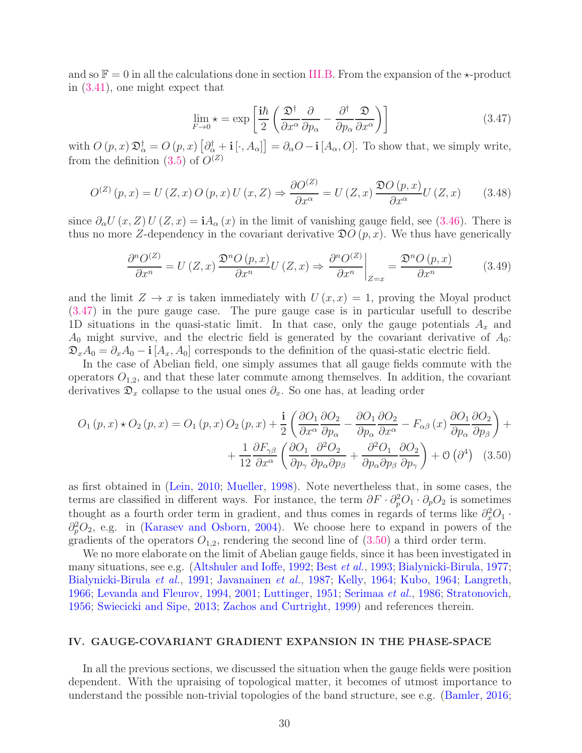and so  $\mathbb{F} = 0$  in all the calculations done in section [III.B.](#page-21-0) From the expansion of the  $\star$ -product in [\(3.41\)](#page-27-2), one might expect that

<span id="page-29-1"></span>
$$
\lim_{F \to 0} \star = \exp\left[\frac{\mathrm{i}\hbar}{2} \left(\frac{\mathfrak{D}^{\dagger}}{\partial x^{\alpha}} \frac{\partial}{\partial p_{\alpha}} - \frac{\partial^{\dagger}}{\partial p_{\alpha}} \frac{\mathfrak{D}}{\partial x^{\alpha}}\right)\right]
$$
(3.47)

with  $O(p, x) \mathfrak{D}_{\alpha}^{\dagger} = O(p, x) [\partial_{\alpha}^{\dagger} + \mathbf{i} [\cdot, A_{\alpha}]] = \partial_{\alpha} O - \mathbf{i} [A_{\alpha}, O].$  To show that, we simply write, from the definition  $(3.5)$  of  $O^{(Z)}$ 

$$
O^{(Z)}(p,x) = U(Z,x)O(p,x)U(x,Z) \Rightarrow \frac{\partial O^{(Z)}}{\partial x^{\alpha}} = U(Z,x) \frac{\mathfrak{D}O(p,x)}{\partial x^{\alpha}} U(Z,x) \qquad (3.48)
$$

since  $\partial_{\alpha}U(x,Z)U(Z,x) = iA_{\alpha}(x)$  in the limit of vanishing gauge field, see [\(3.46\)](#page-28-3). There is thus no more Z-dependency in the covariant derivative  $\mathfrak{D}O(p, x)$ . We thus have generically

<span id="page-29-2"></span>
$$
\frac{\partial^n O^{(Z)}}{\partial x^n} = U(Z, x) \frac{\mathfrak{D}^n O(p, x)}{\partial x^n} U(Z, x) \Rightarrow \frac{\partial^n O^{(Z)}}{\partial x^n} \bigg|_{Z=x} = \frac{\mathfrak{D}^n O(p, x)}{\partial x^n} \tag{3.49}
$$

and the limit  $Z \to x$  is taken immediately with  $U(x, x) = 1$ , proving the Moyal product [\(3.47\)](#page-29-1) in the pure gauge case. The pure gauge case is in particular usefull to describe 1D situations in the quasi-static limit. In that case, only the gauge potentials  $A_x$  and  $A_0$  might survive, and the electric field is generated by the covariant derivative of  $A_0$ :  $\mathfrak{D}_x A_0 = \partial_x A_0 - \mathbf{i} [A_x, A_0]$  corresponds to the definition of the quasi-static electric field.

In the case of Abelian field, one simply assumes that all gauge fields commute with the operators  $O_{1,2}$ , and that these later commute among themselves. In addition, the covariant derivatives  $\mathfrak{D}_x$  collapse to the usual ones  $\partial_x$ . So one has, at leading order

$$
O_{1}(p, x) \star O_{2}(p, x) = O_{1}(p, x) O_{2}(p, x) + \frac{\mathbf{i}}{2} \left( \frac{\partial O_{1}}{\partial x^{\alpha}} \frac{\partial O_{2}}{\partial p_{\alpha}} - \frac{\partial O_{1}}{\partial p_{\alpha}} \frac{\partial O_{2}}{\partial x^{\alpha}} - F_{\alpha\beta}(x) \frac{\partial O_{1}}{\partial p_{\alpha}} \frac{\partial O_{2}}{\partial p_{\beta}} \right) + + \frac{1}{12} \frac{\partial F_{\gamma\beta}}{\partial x^{\alpha}} \left( \frac{\partial O_{1}}{\partial p_{\gamma}} \frac{\partial^{2} O_{2}}{\partial p_{\alpha} \partial p_{\beta}} + \frac{\partial^{2} O_{1}}{\partial p_{\alpha} \partial p_{\beta}} \frac{\partial O_{2}}{\partial p_{\gamma}} \right) + \mathcal{O}(\partial^{4}) \quad (3.50)
$$

as first obtained in [\(Lein](#page-40-13), [2010](#page-40-13); [Mueller](#page-41-11), [1998](#page-41-11)). Note nevertheless that, in some cases, the terms are classified in different ways. For instance, the term  $\partial F \cdot \partial_p^2 O_1 \cdot \partial_p O_2$  is sometimes thought as a fourth order term in gradient, and thus comes in regards of terms like  $\partial_x^2O_1$ .  $\partial_p^2O_2$ , e.g. in [\(Karasev and Osborn,](#page-40-11) [2004\)](#page-40-11). We choose here to expand in powers of the gradients of the operators  $O_{1,2}$ , rendering the second line of  $(3.50)$  a third order term.

We no more elaborate on the limit of Abelian gauge fields, since it has been investigated in many situations, see e.g. [\(Altshuler and Ioffe](#page-37-3), [1992;](#page-37-3) Best [et al.](#page-37-4), [1993](#page-37-4); [Bialynicki-Birula](#page-37-5), [1977](#page-37-5); [Bialynicki-Birula](#page-37-6) et al., [1991;](#page-37-6) [Javanainen](#page-39-12) et al., [1987;](#page-39-12) [Kelly](#page-40-4), [1964;](#page-40-4) [Kubo,](#page-40-6) [1964;](#page-40-6) [Langreth,](#page-40-7) [1966;](#page-40-7) [Levanda and Fleurov,](#page-40-8) [1994](#page-40-8), [2001;](#page-40-9) [Luttinger,](#page-41-7) [1951](#page-41-7); [Serimaa](#page-41-8) et al., [1986;](#page-41-8) [Stratonovich,](#page-42-12) [1956;](#page-42-12) [Swiecicki and Sipe](#page-42-13), [2013;](#page-42-13) [Zachos and Curtright,](#page-43-10) [1999](#page-43-10)) and references therein.

## <span id="page-29-0"></span>IV. GAUGE-COVARIANT GRADIENT EXPANSION IN THE PHASE-SPACE

In all the previous sections, we discussed the situation when the gauge fields were position dependent. With the upraising of topological matter, it becomes of utmost importance to understand the possible non-trivial topologies of the band structure, see e.g. [\(Bamler,](#page-37-14) [2016](#page-37-14);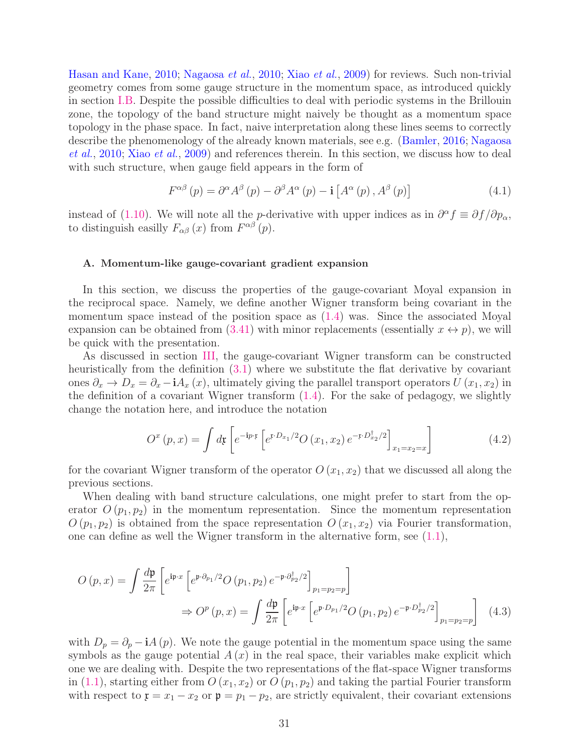[Hasan and Kane](#page-39-17), [2010](#page-39-17); [Nagaosa](#page-41-6) et al., [2010](#page-41-6); Xiao [et al.](#page-43-9), [2009](#page-43-9)) for reviews. Such non-trivial geometry comes from some gauge structure in the momentum space, as introduced quickly in section [I.B.](#page-8-0) Despite the possible difficulties to deal with periodic systems in the Brillouin zone, the topology of the band structure might naively be thought as a momentum space topology in the phase space. In fact, naive interpretation along these lines seems to correctly descr[ibe the phenomenology of the already known materials,](#page-41-6) see e.g. [\(Bamler,](#page-37-14) [2016;](#page-37-14) Nagaosa et al., [2010;](#page-41-6) Xiao [et al.](#page-43-9), [2009\)](#page-43-9) and references therein. In this section, we discuss how to deal with such structure, when gauge field appears in the form of

$$
F^{\alpha\beta}(p) = \partial^{\alpha} A^{\beta}(p) - \partial^{\beta} A^{\alpha}(p) - \mathbf{i} \left[ A^{\alpha}(p), A^{\beta}(p) \right]
$$
(4.1)

instead of [\(1.10\)](#page-5-2). We will note all the *p*-derivative with upper indices as in  $\partial^{\alpha} f \equiv \partial f / \partial p_{\alpha}$ , to distinguish easilly  $F_{\alpha\beta}(x)$  from  $F^{\alpha\beta}(p)$ .

#### <span id="page-30-0"></span>A. Momentum-like gauge-covariant gradient expansion

In this section, we discuss the properties of the gauge-covariant Moyal expansion in the reciprocal space. Namely, we define another Wigner transform being covariant in the momentum space instead of the position space as [\(1.4\)](#page-3-0) was. Since the associated Moyal expansion can be obtained from [\(3.41\)](#page-27-2) with minor replacements (essentially  $x \leftrightarrow p$ ), we will be quick with the presentation.

As discussed in section [III,](#page-19-0) the gauge-covariant Wigner transform can be constructed heuristically from the definition  $(3.1)$  where we substitute the flat derivative by covariant ones  $\partial_x \to D_x = \partial_x - iA_x(x)$ , ultimately giving the parallel transport operators  $U(x_1, x_2)$  in the definition of a covariant Wigner transform  $(1.4)$ . For the sake of pedagogy, we slightly change the notation here, and introduce the notation

<span id="page-30-2"></span><span id="page-30-1"></span>
$$
O^{x}(p,x) = \int d\mathfrak{x} \left[ e^{-i p \cdot \mathfrak{x}} \left[ e^{i P_{x_1}/2} O(x_1, x_2) e^{-i P_{x_2}/2} \right]_{x_1 = x_2 = x} \right]
$$
(4.2)

for the covariant Wigner transform of the operator  $O(x_1, x_2)$  that we discussed all along the previous sections.

When dealing with band structure calculations, one might prefer to start from the operator  $O(p_1, p_2)$  in the momentum representation. Since the momentum representation  $O(p_1, p_2)$  is obtained from the space representation  $O(x_1, x_2)$  via Fourier transformation, one can define as well the Wigner transform in the alternative form, see  $(1.1)$ ,

$$
O(p,x) = \int \frac{d\mathfrak{p}}{2\pi} \left[ e^{\mathfrak{p}\cdot x} \left[ e^{\mathfrak{p}\cdot \partial_{p_1}/2} O(p_1, p_2) e^{-\mathfrak{p}\cdot \partial_{p_2}^{\dagger}/2} \right]_{p_1 = p_2 = p} \right]
$$
  

$$
\Rightarrow O^p(p,x) = \int \frac{d\mathfrak{p}}{2\pi} \left[ e^{\mathfrak{p}\cdot x} \left[ e^{\mathfrak{p}\cdot D_{p_1}/2} O(p_1, p_2) e^{-\mathfrak{p}\cdot D_{p_2}^{\dagger}/2} \right]_{p_1 = p_2 = p} \right]
$$
(4.3)

with  $D_p = \partial_p - iA(p)$ . We note the gauge potential in the momentum space using the same symbols as the gauge potential  $A(x)$  in the real space, their variables make explicit which one we are dealing with. Despite the two representations of the flat-space Wigner transforms in [\(1.1\)](#page-2-2), starting either from  $O(x_1, x_2)$  or  $O(p_1, p_2)$  and taking the partial Fourier transform with respect to  $\mathfrak{x} = x_1 - x_2$  or  $\mathfrak{p} = p_1 - p_2$ , are strictly equivalent, their covariant extensions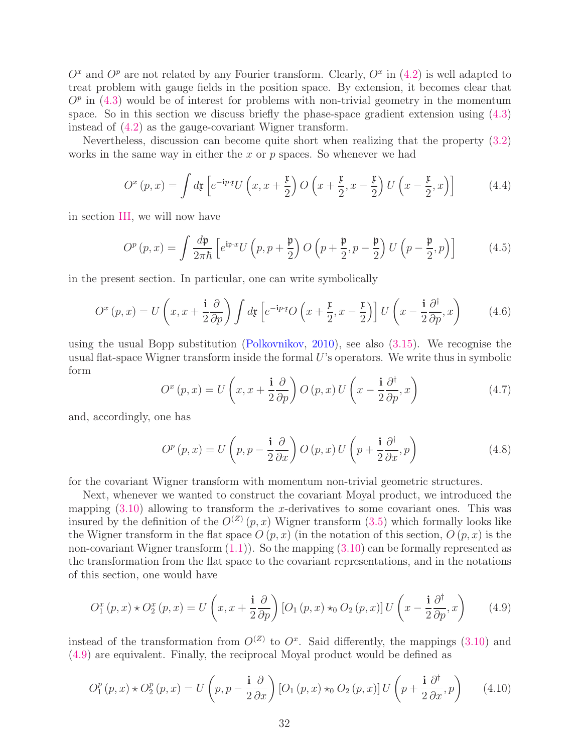$O<sup>x</sup>$  and  $O<sup>p</sup>$  are not related by any Fourier transform. Clearly,  $O<sup>x</sup>$  in [\(4.2\)](#page-30-1) is well adapted to treat problem with gauge fields in the position space. By extension, it becomes clear that  $O<sup>p</sup>$  in [\(4.3\)](#page-30-2) would be of interest for problems with non-trivial geometry in the momentum space. So in this section we discuss briefly the phase-space gradient extension using [\(4.3\)](#page-30-2) instead of [\(4.2\)](#page-30-1) as the gauge-covariant Wigner transform.

Nevertheless, discussion can become quite short when realizing that the property [\(3.2\)](#page-19-3) works in the same way in either the x or  $p$  spaces. So whenever we had

$$
O^{x}(p,x) = \int d\mathfrak{x} \left[ e^{-i p \cdot \mathfrak{x}} U\left(x, x + \frac{\mathfrak{x}}{2}\right) O\left(x + \frac{\mathfrak{x}}{2}, x - \frac{\mathfrak{x}}{2}\right) U\left(x - \frac{\mathfrak{x}}{2}, x\right) \right]
$$
(4.4)

in section [III,](#page-19-0) we will now have

$$
O^{p}(p,x) = \int \frac{d\mathfrak{p}}{2\pi\hbar} \left[ e^{\mathfrak{i}\mathfrak{p}\cdot x} U\left(p, p + \frac{\mathfrak{p}}{2}\right) O\left(p + \frac{\mathfrak{p}}{2}, p - \frac{\mathfrak{p}}{2}\right) U\left(p - \frac{\mathfrak{p}}{2}, p\right) \right]
$$
(4.5)

in the present section. In particular, one can write symbolically

$$
O^{x}(p,x) = U\left(x, x + \frac{\mathbf{i}}{2}\frac{\partial}{\partial p}\right) \int d\mathfrak{x} \left[e^{-\mathbf{i}p\cdot\mathbf{r}}O\left(x + \frac{\mathfrak{x}}{2}, x - \frac{\mathfrak{x}}{2}\right)\right] U\left(x - \frac{\mathbf{i}}{2}\frac{\partial^{\dagger}}{\partial p}, x\right)
$$
(4.6)

using the usual Bopp substitution [\(Polkovnikov,](#page-41-3) [2010\)](#page-41-3), see also [\(3.15\)](#page-22-2). We recognise the usual flat-space Wigner transform inside the formal  $U$ 's operators. We write thus in symbolic form

$$
O^{x}(p,x) = U\left(x, x + \frac{\mathbf{i}}{2}\frac{\partial}{\partial p}\right)O(p,x)U\left(x - \frac{\mathbf{i}}{2}\frac{\partial^{*}}{\partial p}, x\right)
$$
(4.7)

and, accordingly, one has

$$
O^{p}(p,x) = U\left(p, p - \frac{\mathbf{i}}{2}\frac{\partial}{\partial x}\right)O(p,x)U\left(p + \frac{\mathbf{i}}{2}\frac{\partial^{t}}{\partial x}, p\right)
$$
(4.8)

for the covariant Wigner transform with momentum non-trivial geometric structures.

Next, whenever we wanted to construct the covariant Moyal product, we introduced the mapping  $(3.10)$  allowing to transform the x-derivatives to some covariant ones. This was insured by the definition of the  $O^{(Z)}(p,x)$  Wigner transform  $(3.5)$  which formally looks like the Wigner transform in the flat space  $O(p, x)$  (in the notation of this section,  $O(p, x)$  is the non-covariant Wigner transform [\(1.1\)](#page-2-2)). So the mapping [\(3.10\)](#page-21-3) can be formally represented as the transformation from the flat space to the covariant representations, and in the notations of this section, one would have

<span id="page-31-0"></span>
$$
O_1^x(p,x) \star O_2^x(p,x) = U\left(x, x + \frac{\mathbf{i}}{2}\frac{\partial}{\partial p}\right) [O_1(p,x) \star_0 O_2(p,x)] U\left(x - \frac{\mathbf{i}}{2}\frac{\partial^{\dagger}}{\partial p}, x\right) \tag{4.9}
$$

instead of the transformation from  $O^{(Z)}$  to  $O^x$ . Said differently, the mappings [\(3.10\)](#page-21-3) and [\(4.9\)](#page-31-0) are equivalent. Finally, the reciprocal Moyal product would be defined as

<span id="page-31-1"></span>
$$
O_1^p(p,x) \star O_2^p(p,x) = U\left(p, p - \frac{\mathbf{i}}{2} \frac{\partial}{\partial x}\right) \left[O_1(p,x) \star_0 O_2(p,x)\right] U\left(p + \frac{\mathbf{i}}{2} \frac{\partial^{\dagger}}{\partial x}, p\right) \tag{4.10}
$$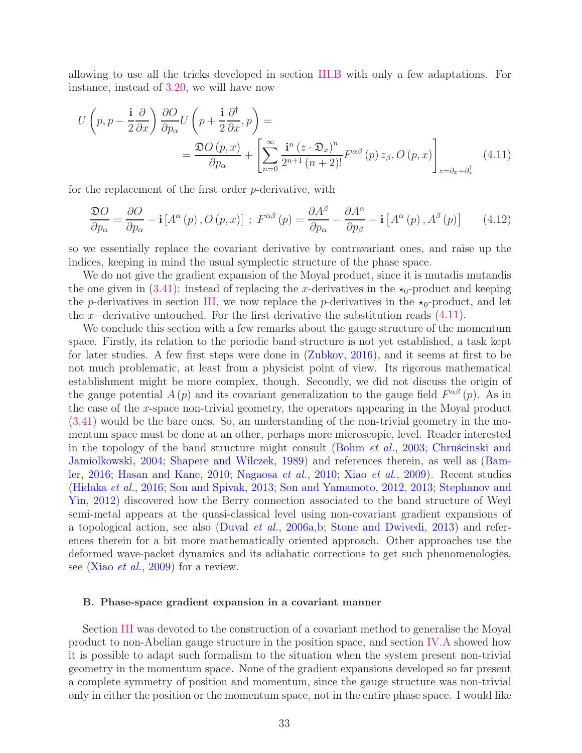allowing to use all the tricks developed in section [III.B](#page-21-0) with only a few adaptations. For instance, instead of [3.20,](#page-23-1) we will have now

$$
U\left(p, p - \frac{\mathbf{i}}{2} \frac{\partial}{\partial x}\right) \frac{\partial Q}{\partial p_{\alpha}} U\left(p + \frac{\mathbf{i}}{2} \frac{\partial^{+}}{\partial x}, p\right) =
$$
  
= 
$$
\frac{\mathfrak{D}O(p, x)}{\partial p_{\alpha}} + \left[\sum_{n=0}^{\infty} \frac{\mathbf{i}^{n} (z \cdot \mathfrak{D}_{x})^{n}}{2^{n+1} (n+2)!} F^{\alpha\beta}(p) z_{\beta}, O(p, x)\right]_{z = \partial_{x} - \partial_{x}^{\dagger}}
$$
(4.11)

for the replacement of the first order p-derivative, with

<span id="page-32-1"></span>
$$
\frac{\mathfrak{D}O}{\partial p_{\alpha}} = \frac{\partial O}{\partial p_{\alpha}} - \mathbf{i} \left[ A^{\alpha}(p), O(p, x) \right] ; F^{\alpha \beta}(p) = \frac{\partial A^{\beta}}{\partial p_{\alpha}} - \frac{\partial A^{\alpha}}{\partial p_{\beta}} - \mathbf{i} \left[ A^{\alpha}(p), A^{\beta}(p) \right] \tag{4.12}
$$

so we essentially replace the covariant derivative by contravariant ones, and raise up the indices, keeping in mind the usual symplectic structure of the phase space.

We do not give the gradient expansion of the Moyal product, since it is mutadis mutandis the one given in  $(3.41)$ : instead of replacing the x-derivatives in the  $\star_0$ -product and keeping the p-derivatives in section [III,](#page-19-0) we now replace the p-derivatives in the  $\star_0$ -product, and let the x−derivative untouched. For the first derivative the substitution reads  $(4.11)$ .

We conclude this section with a few remarks about the gauge structure of the momentum space. Firstly, its relation to the periodic band structure is not yet established, a task kept for later studies. A few first steps were done in [\(Zubkov,](#page-43-0) [2016\)](#page-43-0), and it seems at first to be not much problematic, at least from a physicist point of view. Its rigorous mathematical establishment might be more complex, though. Secondly, we did not discuss the origin of the gauge potential  $A(p)$  and its covariant generalization to the gauge field  $F^{\alpha\beta}(p)$ . As in the case of the x-space non-trivial geometry, the operators appearing in the Moyal product [\(3.41\)](#page-27-2) would be the bare ones. So, an understanding of the non-trivial geometry in the momentum space must be done at an other, perhaps more microscopic, level. Reader interested in the topolo[gy of the band structure might consult](#page-38-15) [\(Bohm](#page-38-14) *et al.*, [2003](#page-38-14); Chruscinski and Jamiolkowski, [2004](#page-38-15); [Shapere and Wilczek](#page-41-22), [1989](#page-41-22)[\) and references therein, as well as \(](#page-37-14)Bamler, [2016](#page-37-14); [Hasan and Kane](#page-39-17), [2010;](#page-39-17) [Nagaosa](#page-41-6) et al., [2010;](#page-41-6) Xiao [et al.](#page-43-9), [2009\)](#page-43-9). Recent studies [\(Hidaka](#page-39-18) et al., [2016](#page-39-18); [Son and Spivak,](#page-42-7) [2013](#page-42-7); [Son and Yamamoto](#page-42-8)[,](#page-42-10) [2012](#page-42-8), [2013;](#page-42-9) Stephanov and Yin, [2012\)](#page-42-10) discovered how the Berry connection associated to the band structure of Weyl semi-metal appears at the quasi-classical level using non-covariant gradient expansions of a topological action, see also [\(Duval](#page-38-16) et al., [2006a](#page-38-16)[,b](#page-38-17); [Stone and Dwivedi,](#page-42-11) [2013](#page-42-11)) and references therein for a bit more mathematically oriented approach. Other approaches use the deformed wave-packet dynamics and its adiabatic corrections to get such phenomenologies, see (Xiao *[et al.](#page-43-9)*, [2009\)](#page-43-9) for a review.

# <span id="page-32-0"></span>B. Phase-space gradient expansion in a covariant manner

Section [III](#page-19-0) was devoted to the construction of a covariant method to generalise the Moyal product to non-Abelian gauge structure in the position space, and section [IV.A](#page-30-0) showed how it is possible to adapt such formalism to the situation when the system present non-trivial geometry in the momentum space. None of the gradient expansions developed so far present a complete symmetry of position and momentum, since the gauge structure was non-trivial only in either the position or the momentum space, not in the entire phase space. I would like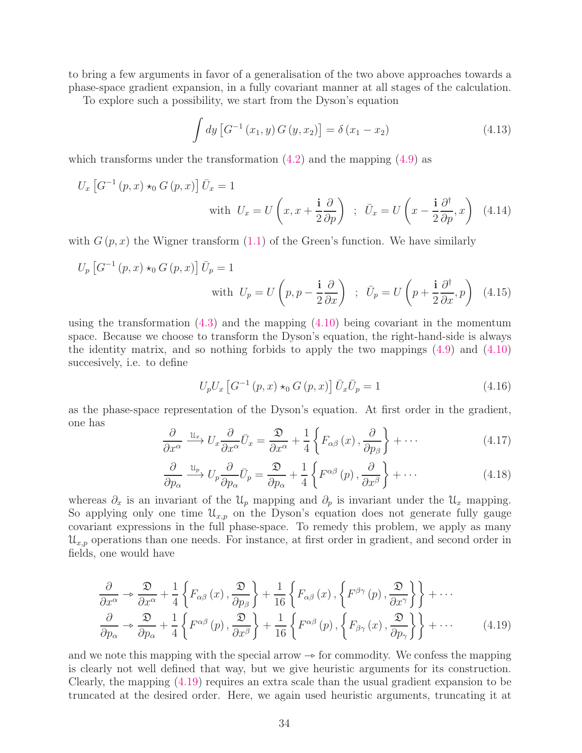to bring a few arguments in favor of a generalisation of the two above approaches towards a phase-space gradient expansion, in a fully covariant manner at all stages of the calculation.

To explore such a possibility, we start from the Dyson's equation

$$
\int dy \left[ G^{-1}(x_1, y) G(y, x_2) \right] = \delta(x_1 - x_2) \tag{4.13}
$$

which transforms under the transformation  $(4.2)$  and the mapping  $(4.9)$  as

$$
U_x \left[ G^{-1} \left( p, x \right) \star_0 G \left( p, x \right) \right] \bar{U}_x = 1
$$
\nwith  $U_x = U \left( x, x + \frac{\mathbf{i}}{2} \frac{\partial}{\partial p} \right) ; \ \bar{U}_x = U \left( x - \frac{\mathbf{i}}{2} \frac{\partial^{\dagger}}{\partial p}, x \right)$  (4.14)

with  $G(p, x)$  the Wigner transform  $(1.1)$  of the Green's function. We have similarly

$$
U_p \left[ G^{-1} \left( p, x \right) \star_0 G \left( p, x \right) \right] \bar{U}_p = 1
$$
\nwith  $U_p = U \left( p, p - \frac{\mathbf{i}}{2} \frac{\partial}{\partial x} \right) ; \ \bar{U}_p = U \left( p + \frac{\mathbf{i}}{2} \frac{\partial^{\dagger}}{\partial x}, p \right)$  (4.15)

using the transformation  $(4.3)$  and the mapping  $(4.10)$  being covariant in the momentum space. Because we choose to transform the Dyson's equation, the right-hand-side is always the identity matrix, and so nothing forbids to apply the two mappings [\(4.9\)](#page-31-0) and [\(4.10\)](#page-31-1) succesively, i.e. to define

$$
U_p U_x \left[ G^{-1} (p, x) \star_0 G (p, x) \right] \bar{U}_x \bar{U}_p = 1 \tag{4.16}
$$

as the phase-space representation of the Dyson's equation. At first order in the gradient, one has

$$
\frac{\partial}{\partial x^{\alpha}} \xrightarrow{u_x} U_x \frac{\partial}{\partial x^{\alpha}} \bar{U}_x = \frac{\mathfrak{D}}{\partial x^{\alpha}} + \frac{1}{4} \left\{ F_{\alpha\beta} \left( x \right), \frac{\partial}{\partial p_{\beta}} \right\} + \cdots \tag{4.17}
$$

<span id="page-33-0"></span>
$$
\frac{\partial}{\partial p_{\alpha}} \xrightarrow{\mathfrak{U}_p} U_p \frac{\partial}{\partial p_{\alpha}} \bar{U}_p = \frac{\mathfrak{D}}{\partial p_{\alpha}} + \frac{1}{4} \left\{ F^{\alpha \beta} \left( p \right), \frac{\partial}{\partial x^{\beta}} \right\} + \cdots \tag{4.18}
$$

whereas  $\partial_x$  is an invariant of the  $\mathcal{U}_p$  mapping and  $\partial_p$  is invariant under the  $\mathcal{U}_x$  mapping. So applying only one time  $\mathcal{U}_{x,p}$  on the Dyson's equation does not generate fully gauge covariant expressions in the full phase-space. To remedy this problem, we apply as many  $\mathcal{U}_{x,p}$  operations than one needs. For instance, at first order in gradient, and second order in fields, one would have

$$
\frac{\partial}{\partial x^{\alpha}} \rightarrow \frac{\mathfrak{D}}{\partial x^{\alpha}} + \frac{1}{4} \left\{ F_{\alpha\beta}(x), \frac{\mathfrak{D}}{\partial p_{\beta}} \right\} + \frac{1}{16} \left\{ F_{\alpha\beta}(x), \left\{ F^{\beta\gamma}(p), \frac{\mathfrak{D}}{\partial x^{\gamma}} \right\} \right\} + \cdots
$$
\n
$$
\frac{\partial}{\partial p_{\alpha}} \rightarrow \frac{\mathfrak{D}}{\partial p_{\alpha}} + \frac{1}{4} \left\{ F^{\alpha\beta}(p), \frac{\mathfrak{D}}{\partial x^{\beta}} \right\} + \frac{1}{16} \left\{ F^{\alpha\beta}(p), \left\{ F_{\beta\gamma}(x), \frac{\mathfrak{D}}{\partial p_{\gamma}} \right\} \right\} + \cdots \tag{4.19}
$$

and we note this mapping with the special arrow  $\rightarrow$  for commodity. We confess the mapping is clearly not well defined that way, but we give heuristic arguments for its construction. Clearly, the mapping [\(4.19\)](#page-33-0) requires an extra scale than the usual gradient expansion to be truncated at the desired order. Here, we again used heuristic arguments, truncating it at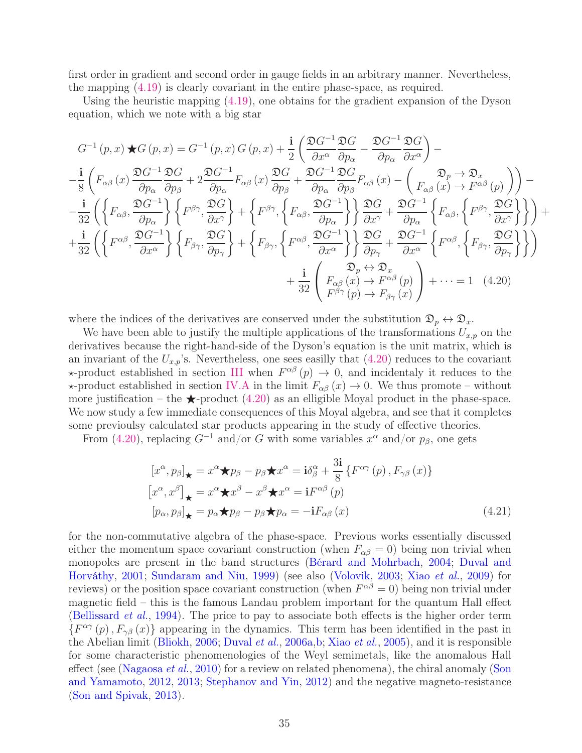first order in gradient and second order in gauge fields in an arbitrary manner. Nevertheless, the mapping [\(4.19\)](#page-33-0) is clearly covariant in the entire phase-space, as required.

Using the heuristic mapping [\(4.19\)](#page-33-0), one obtains for the gradient expansion of the Dyson equation, which we note with a big star

$$
G^{-1}(p,x) \star G(p,x) = G^{-1}(p,x) G(p,x) + \frac{\mathbf{i}}{2} \left( \frac{\mathfrak{D}G^{-1} \mathfrak{D}G}{\partial x^{\alpha}} \frac{\mathfrak{D}G^{-1} \mathfrak{D}G}{\partial p_{\alpha}} \right) -
$$
  
\n
$$
-\frac{\mathbf{i}}{8} \left( F_{\alpha\beta}(x) \frac{\mathfrak{D}G^{-1} \mathfrak{D}G}{\partial p_{\alpha}} \frac{\mathfrak{D}G^{-1} \mathfrak{D}G}{\partial p_{\beta}} + 2 \frac{\mathfrak{D}G^{-1} \mathfrak{D}G}{\partial p_{\alpha}} F_{\alpha\beta}(x) \frac{\mathfrak{D}G}{\partial p_{\beta}} + \frac{\mathfrak{D}G^{-1} \mathfrak{D}G}{\partial p_{\alpha}} F_{\alpha\beta}(x) - \left( F_{\alpha\beta}(x) \frac{\mathfrak{D}G}{\partial p_{\beta}} F_{\alpha\beta}(x) \right) \right) -
$$
  
\n
$$
-\frac{\mathbf{i}}{32} \left( \left\{ F_{\alpha\beta}, \frac{\mathfrak{D}G^{-1} \mathfrak{D}G}{\partial p_{\alpha}} \right\} \left\{ F^{\beta\gamma}, \frac{\mathfrak{D}G}{\partial x^{\gamma}} \right\} + \left\{ F^{\beta\gamma}, \left\{ F_{\alpha\beta}, \frac{\mathfrak{D}G^{-1} \mathfrak{D}G}{\partial p_{\alpha}} \right\} \right\} \frac{\mathfrak{D}G}{\partial x^{\gamma}} + \frac{\mathfrak{D}G^{-1} \mathfrak{D}G}{\partial p_{\alpha}} \left\{ F_{\alpha\beta}, \left\{ F^{\beta\gamma}, \frac{\mathfrak{D}G}{\partial x^{\alpha}} \right\} \right\} + \left\{ F_{\beta\gamma}, \left\{ F_{\alpha\beta}, \frac{\mathfrak{D}G^{-1} \mathfrak{D}G}{\partial x^{\alpha}} \right\} \right\} \frac{\mathfrak{D}G}{\partial p_{\gamma}} + \frac{\mathfrak{D}G^{-1} \mathfrak{D}G}{\partial x^{\alpha}} \left\{ F_{\alpha\beta}, \left\{ F_{\beta\gamma}, \frac{\mathfrak{D}G}{\partial x^{\alpha}} \right\} \right\} + \left\{ F
$$

where the indices of the derivatives are conserved under the substitution  $\mathfrak{D}_p \leftrightarrow \mathfrak{D}_x$ .

We have been able to justify the multiple applications of the transformations  $U_{x,p}$  on the derivatives because the right-hand-side of the Dyson's equation is the unit matrix, which is an invariant of the  $U_{x,p}$ 's. Nevertheless, one sees easilly that  $(4.20)$  reduces to the covariant  $\star$ -product established in section [III](#page-19-0) when  $F^{\alpha\beta}(p) \to 0$ , and incidentaly it reduces to the  $\star$ -product established in section [IV.A](#page-30-0) in the limit  $F_{\alpha\beta}(x) \to 0$ . We thus promote – without more justification – the  $\bigstar$ -product [\(4.20\)](#page-34-0) as an elligible Moyal product in the phase-space. We now study a few immediate consequences of this Moyal algebra, and see that it completes some previoulsy calculated star products appearing in the study of effective theories.

From [\(4.20\)](#page-34-0), replacing  $G^{-1}$  and/or G with some variables  $x^{\alpha}$  and/or  $p_{\beta}$ , one gets

<span id="page-34-0"></span>
$$
[x^{\alpha}, p_{\beta}]_{\star} = x^{\alpha} \star p_{\beta} - p_{\beta} \star x^{\alpha} = i \delta^{\alpha}_{\beta} + \frac{3i}{8} \left\{ F^{\alpha \gamma} (p), F_{\gamma \beta} (x) \right\}
$$

$$
[x^{\alpha}, x^{\beta}]_{\star} = x^{\alpha} \star x^{\beta} - x^{\beta} \star x^{\alpha} = i F^{\alpha \beta} (p)
$$

$$
[p_{\alpha}, p_{\beta}]_{\star} = p_{\alpha} \star p_{\beta} - p_{\beta} \star p_{\alpha} = -i F_{\alpha \beta} (x)
$$
(4.21)

for the non-commutative algebra of the phase-space. Previous works essentially discussed either the momentum space covariant construction (when  $F_{\alpha\beta} = 0$ ) being non trivial when monopol[es are present in the band structures](#page-38-18) [\(Bérard and Mohrbach](#page-37-13)[,](#page-38-18) [2004;](#page-37-13) Duval and Horváthy, [2001;](#page-38-18) [Sundaram and Niu](#page-42-6), [1999](#page-42-6)) (see also [\(Volovik](#page-43-6), [2003;](#page-43-6) Xiao [et al.](#page-43-9), [2009](#page-43-9)) for reviews) or the position space covariant construction (when  $F^{\alpha\beta} = 0$ ) being non trivial under magnetic field – this is the famous Landau problem important for the quantum Hall effect [\(Bellissard](#page-37-15) *et al.*, [1994\)](#page-37-15). The price to pay to associate both effects is the higher order term  $\{F^{\alpha\gamma}(p), F_{\gamma\beta}(x)\}\$ appearing in the dynamics. This term has been identified in the past in the Abelian limit [\(Bliokh](#page-37-19), [2006;](#page-37-19) [Duval](#page-38-16) et al., [2006a](#page-38-16)[,b](#page-38-17); Xiao [et al.](#page-43-17), [2005](#page-43-17)), and it is responsible for some characteristic phenomenologies of the Weyl semimetals, like the anomalous Hall effect (see [\(Nagaosa](#page-41-6) *et al.*, [2010](#page-41-6)[\) for a review on related phenomena\), the chiral anomaly \(](#page-42-8)Son and Yamamoto, [2012](#page-42-8), [2013](#page-42-9); [Stephanov and Yin,](#page-42-10) [2012](#page-42-10)) and the negative magneto-resistance [\(Son and Spivak,](#page-42-7) [2013\)](#page-42-7).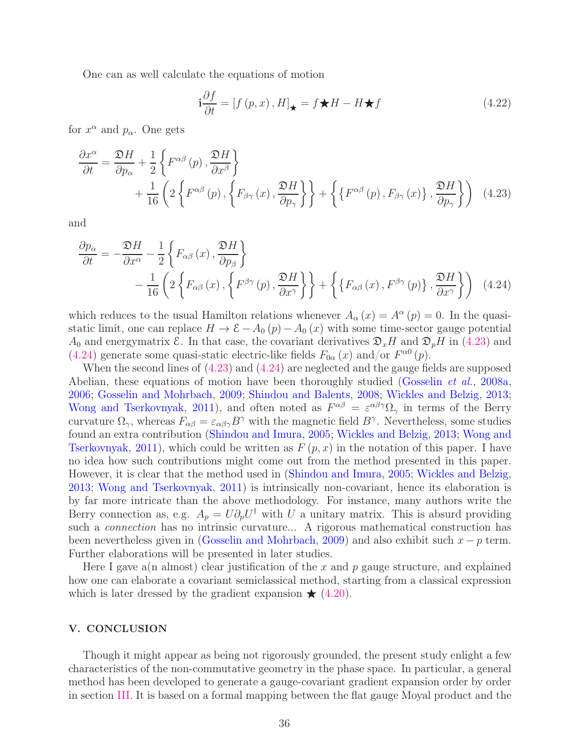One can as well calculate the equations of motion

<span id="page-35-2"></span><span id="page-35-1"></span>
$$
\mathbf{i}\frac{\partial f}{\partial t} = \left[f\left(p, x\right), H\right]_{\star} = f \star H - H \star f \tag{4.22}
$$

for  $x^{\alpha}$  and  $p_{\alpha}$ . One gets

$$
\frac{\partial x^{\alpha}}{\partial t} = \frac{\mathfrak{D}H}{\partial p_{\alpha}} + \frac{1}{2} \left\{ F^{\alpha\beta}(p), \frac{\mathfrak{D}H}{\partial x^{\beta}} \right\} + \frac{1}{16} \left( 2 \left\{ F^{\alpha\beta}(p), \left\{ F_{\beta\gamma}(x), \frac{\mathfrak{D}H}{\partial p_{\gamma}} \right\} \right\} + \left\{ \left\{ F^{\alpha\beta}(p), F_{\beta\gamma}(x) \right\}, \frac{\mathfrak{D}H}{\partial p_{\gamma}} \right\} \right) \tag{4.23}
$$

and

$$
\frac{\partial p_{\alpha}}{\partial t} = -\frac{\mathfrak{D}H}{\partial x^{\alpha}} - \frac{1}{2} \left\{ F_{\alpha\beta}(x), \frac{\mathfrak{D}H}{\partial p_{\beta}} \right\} \n- \frac{1}{16} \left( 2 \left\{ F_{\alpha\beta}(x), \left\{ F^{\beta\gamma}(p), \frac{\mathfrak{D}H}{\partial x^{\gamma}} \right\} \right\} + \left\{ \left\{ F_{\alpha\beta}(x), F^{\beta\gamma}(p) \right\}, \frac{\mathfrak{D}H}{\partial x^{\gamma}} \right\} \right)
$$
(4.24)

which reduces to the usual Hamilton relations whenever  $A_{\alpha}(x) = A^{\alpha}(p) = 0$ . In the quasistatic limit, one can replace  $H \to \mathcal{E} - A_0(p) - A_0(x)$  with some time-sector gauge potential  $A_0$  and energymatrix  $\mathcal{E}$ . In that case, the covariant derivatives  $\mathfrak{D}_x H$  and  $\mathfrak{D}_p H$  in [\(4.23\)](#page-35-1) and [\(4.24\)](#page-35-2) generate some quasi-static electric-like fields  $F_{0\alpha}(x)$  and/or  $F^{\alpha 0}(p)$ .

When the second lines of [\(4.23\)](#page-35-1) and [\(4.24\)](#page-35-2) are neglected and the gauge fields are supposed Abelian, these equations of motion have been thoroughly studied [\(Gosselin](#page-39-7) *et al.*, [2008a](#page-39-7), [2006;](#page-39-9) [Gosselin and Mohrbach,](#page-39-10) [2009;](#page-39-10) [Shindou and Balents](#page-42-4), [2008](#page-42-4); [Wickles and Belzig](#page-43-7), [2013](#page-43-7); [Wong and Tserkovnyak,](#page-43-8) [2011\)](#page-43-8), and often noted as  $F^{\alpha\beta} = \varepsilon^{\alpha\beta\gamma}\Omega_{\gamma}$  in terms of the Berry curvature  $\Omega_{\gamma}$ , whereas  $F_{\alpha\beta} = \varepsilon_{\alpha\beta\gamma} B^{\gamma}$  with the magnetic field  $B^{\gamma}$ . Nevertheless, some studies found an ex[tra contribution](#page-43-8) [\(Shindou and Imura](#page-42-5)[,](#page-43-8) [2005;](#page-42-5) [Wickles and Belzig](#page-43-7), [2013](#page-43-7); Wong and Tserkovnyak, [2011\)](#page-43-8), which could be written as  $F(p, x)$  in the notation of this paper. I have no idea how such contributions might come out from the method presented in this paper. However, it is clear that the method used in [\(Shindou and Imura,](#page-42-5) [2005](#page-42-5); [Wickles and Belzig,](#page-43-7) [2013;](#page-43-7) [Wong and Tserkovnyak](#page-43-8), [2011](#page-43-8)) is intrinsically non-covariant, hence its elaboration is by far more intricate than the above methodology. For instance, many authors write the Berry connection as, e.g.  $A_p = U \partial_p U^{\dagger}$  with U a unitary matrix. This is absurd providing such a *connection* has no intrinsic curvature... A rigorous mathematical construction has been nevertheless given in [\(Gosselin and Mohrbach](#page-39-10), [2009\)](#page-39-10) and also exhibit such  $x - p$  term. Further elaborations will be presented in later studies.

Here I gave a(n almost) clear justification of the x and p gauge structure, and explained how one can elaborate a covariant semiclassical method, starting from a classical expression which is later dressed by the gradient expansion  $\star$  [\(4.20\)](#page-34-0).

# <span id="page-35-0"></span>V. CONCLUSION

Though it might appear as being not rigorously grounded, the present study enlight a few characteristics of the non-commutative geometry in the phase space. In particular, a general method has been developed to generate a gauge-covariant gradient expansion order by order in section [III.](#page-19-0) It is based on a formal mapping between the flat gauge Moyal product and the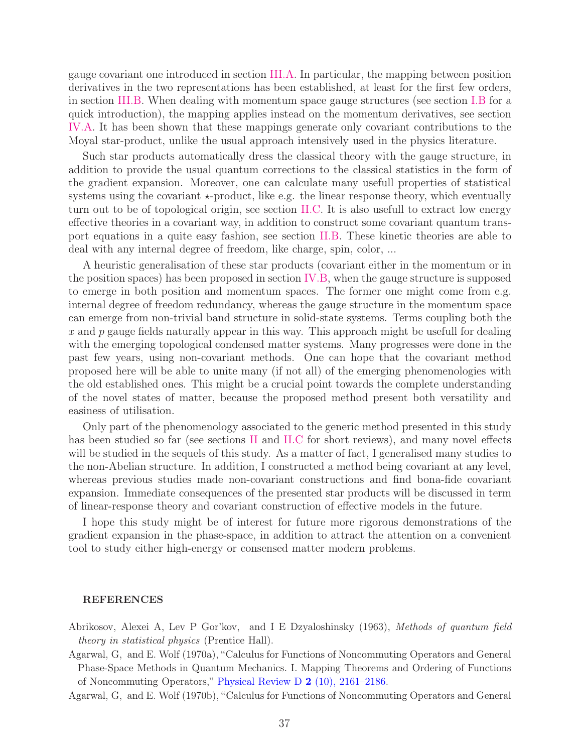gauge covariant one introduced in section [III.A.](#page-19-1) In particular, the mapping between position derivatives in the two representations has been established, at least for the first few orders, in section [III.B.](#page-21-0) When dealing with momentum space gauge structures (see section [I.B](#page-8-0) for a quick introduction), the mapping applies instead on the momentum derivatives, see section [IV.A.](#page-30-0) It has been shown that these mappings generate only covariant contributions to the Moyal star-product, unlike the usual approach intensively used in the physics literature.

Such star products automatically dress the classical theory with the gauge structure, in addition to provide the usual quantum corrections to the classical statistics in the form of the gradient expansion. Moreover, one can calculate many usefull properties of statistical systems using the covariant  $\star$ -product, like e.g. the linear response theory, which eventually turn out to be of topological origin, see section [II.C.](#page-14-0) It is also usefull to extract low energy effective theories in a covariant way, in addition to construct some covariant quantum transport equations in a quite easy fashion, see section [II.B.](#page-12-0) These kinetic theories are able to deal with any internal degree of freedom, like charge, spin, color, ...

A heuristic generalisation of these star products (covariant either in the momentum or in the position spaces) has been proposed in section [IV.B,](#page-32-0) when the gauge structure is supposed to emerge in both position and momentum spaces. The former one might come from e.g. internal degree of freedom redundancy, whereas the gauge structure in the momentum space can emerge from non-trivial band structure in solid-state systems. Terms coupling both the x and  $p$  gauge fields naturally appear in this way. This approach might be usefull for dealing with the emerging topological condensed matter systems. Many progresses were done in the past few years, using non-covariant methods. One can hope that the covariant method proposed here will be able to unite many (if not all) of the emerging phenomenologies with the old established ones. This might be a crucial point towards the complete understanding of the novel states of matter, because the proposed method present both versatility and easiness of utilisation.

Only part of the phenomenology associated to the generic method presented in this study has been studied so far (see sections [II](#page-10-0) and [II.C](#page-14-0) for short reviews), and many novel effects will be studied in the sequels of this study. As a matter of fact, I generalised many studies to the non-Abelian structure. In addition, I constructed a method being covariant at any level, whereas previous studies made non-covariant constructions and find bona-fide covariant expansion. Immediate consequences of the presented star products will be discussed in term of linear-response theory and covariant construction of effective models in the future.

I hope this study might be of interest for future more rigorous demonstrations of the gradient expansion in the phase-space, in addition to attract the attention on a convenient tool to study either high-energy or consensed matter modern problems.

#### <span id="page-36-0"></span>REFERENCES

<span id="page-36-1"></span>Abrikosov, Alexei A, Lev P Gor'kov, and I E Dzyaloshinsky (1963), Methods of quantum field theory in statistical physics (Prentice Hall).

<span id="page-36-2"></span>Agarwal, G, and E. Wolf (1970a), "Calculus for Functions of Noncommuting Operators and General Phase-Space Methods in Quantum Mechanics. I. Mapping Theorems and Ordering of Functions of Noncommuting Operators," [Physical Review D](http://dx.doi.org/ 10.1103/PhysRevD.2.2161) 2 (10), 2161–2186.

<span id="page-36-3"></span>Agarwal, G, and E. Wolf (1970b), "Calculus for Functions of Noncommuting Operators and General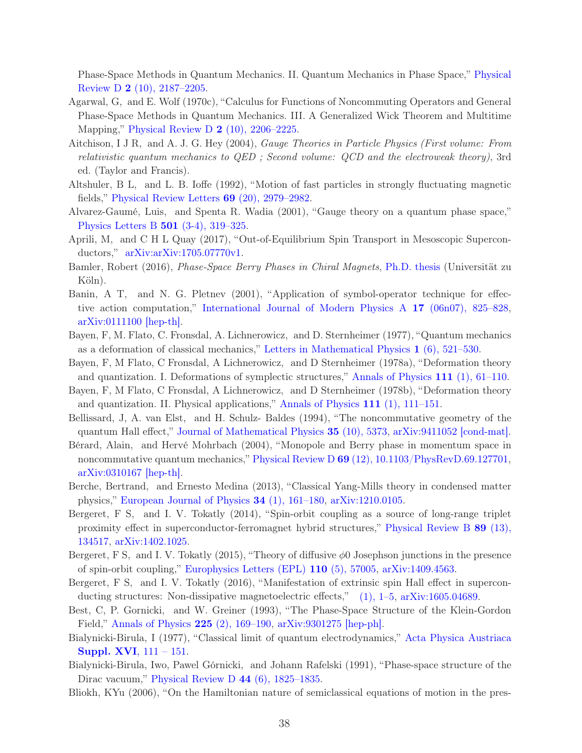Phase-Space Methods in Quantum Mechanics. II. Quantum Mechanics in Phase Space," Physical Review D 2 (10), 2187–2205.

- <span id="page-37-0"></span>Agarwal, G, and E. Wolf (1970c), "Calculus for Functions of Noncommuting Operators and General Phase-Space Methods in Quantum Mechanics. III. A Generalized Wick Theorem and Multitime Mapping," [Physical Review D](http://dx.doi.org/10.1103/PhysRevD.2.2206) 2 (10), 2206–2225.
- <span id="page-37-12"></span>Aitchison, I J R, and A. J. G. Hey (2004), Gauge Theories in Particle Physics (First volume: From relativistic quantum mechanics to QED ; Second volume: QCD and the electroweak theory), 3rd ed. (Taylor and Francis).
- <span id="page-37-3"></span>Altshuler, B L, and L. B. Ioffe (1992), "Motion of fast particles in strongly fluctuating magnetic fields," [Physical Review Letters](http://dx.doi.org/ 10.1103/PhysRevLett.69.2979) 69 (20), 2979–2982.
- <span id="page-37-10"></span>Alvarez-Gaumé, Luis, and Spenta R. Wadia (2001), "Gauge theory on a quantum phase space," [Physics Letters B](http://dx.doi.org/10.1016/S0370-2693(01)00125-3) 501 (3-4), 319–325.
- <span id="page-37-16"></span>Aprili, M, and C H L Quay (2017), "Out-of-Equilibrium Spin Transport in Mesoscopic Superconductors," [arXiv:arXiv:1705.07770v1.](http://arxiv.org/abs/arXiv:1705.07770v1)
- <span id="page-37-14"></span>Bamler, Robert (2016), Phase-Space Berry Phases in Chiral Magnets, [Ph.D. thesis](http://kups.ub.uni-koeln.de/6916/) (Universität zu Köln).
- <span id="page-37-11"></span>Banin, A T, and N. G. Pletnev (2001), "Application of symbol-operator technique for effective action computation," [International Journal of Modern Physics A](http://dx.doi.org/10.1142/S0217751X02010194) 17 (06n07), 825–828, [arXiv:0111100 \[hep-th\].](http://arxiv.org/abs/0111100)
- <span id="page-37-7"></span>Bayen, F, M. Flato, C. Fronsdal, A. Lichnerowicz, and D. Sternheimer (1977), "Quantum mechanics as a deformation of classical mechanics," [Letters in Mathematical Physics](http://dx.doi.org/10.1007/BF00399745) 1 (6), 521–530.
- <span id="page-37-8"></span>Bayen, F, M Flato, C Fronsdal, A Lichnerowicz, and D Sternheimer (1978a), "Deformation theory and quantization. I. Deformations of symplectic structures," [Annals of Physics](http://dx.doi.org/10.1016/0003-4916(78)90224-5) 111 (1), 61–110.
- <span id="page-37-9"></span>Bayen, F, M Flato, C Fronsdal, A Lichnerowicz, and D Sternheimer (1978b), "Deformation theory and quantization. II. Physical applications," [Annals of Physics](http://dx.doi.org/10.1016/0003-4916(78)90225-7) 111 (1), 111–151.
- <span id="page-37-15"></span>Bellissard, J, A. van Elst, and H. Schulz- Baldes (1994), "The noncommutative geometry of the quantum Hall effect," [Journal of Mathematical Physics](http://dx.doi.org/10.1063/1.530758) 35 (10), 5373, [arXiv:9411052 \[cond-mat\].](http://arxiv.org/abs/9411052)
- <span id="page-37-13"></span>Bérard, Alain, and Hervé Mohrbach (2004), "Monopole and Berry phase in momentum space in noncommutative quantum mechanics," Physical Review D 69 [\(12\), 10.1103/PhysRevD.69.127701,](http://dx.doi.org/ 10.1103/PhysRevD.69.127701) [arXiv:0310167 \[hep-th\].](http://arxiv.org/abs/0310167)
- <span id="page-37-1"></span>Berche, Bertrand, and Ernesto Medina (2013), "Classical Yang-Mills theory in condensed matter physics," [European Journal of Physics](http://dx.doi.org/10.1088/0143-0807/34/1/161) 34 (1), 161–180, [arXiv:1210.0105.](http://arxiv.org/abs/1210.0105)
- <span id="page-37-2"></span>Bergeret, F S, and I. V. Tokatly (2014), "Spin-orbit coupling as a source of long-range triplet proximity effect in superconductor-ferromagnet hybrid structures," Physical Review B 89 (13), 134517, [arXiv:1402.1025.](http://arxiv.org/abs/1402.1025)
- <span id="page-37-17"></span>Bergeret, F S, and I. V. Tokatly  $(2015)$ , "Theory of diffusive  $\phi$ 0 Josephson junctions in the presence of spin-orbit coupling," [Europhysics Letters \(EPL\)](http://dx.doi.org/ 10.1209/0295-5075/110/57005) 110 (5), 57005, [arXiv:1409.4563.](http://arxiv.org/abs/1409.4563)
- <span id="page-37-18"></span>Bergeret, F S, and I. V. Tokatly (2016), "Manifestation of extrinsic spin Hall effect in supercon-ducting structures: Non-dissipative magnetoelectric effects," [\(1\), 1–5,](http://arxiv.org/abs/1605.04689) [arXiv:1605.04689.](http://arxiv.org/abs/1605.04689)
- <span id="page-37-4"></span>Best, C, P. Gornicki, and W. Greiner (1993), "The Phase-Space Structure of the Klein-Gordon Field," [Annals of Physics](http://dx.doi.org/ 10.1006/aphy.1993.1055) 225 (2), 169–190, [arXiv:9301275 \[hep-ph\].](http://arxiv.org/abs/9301275)
- <span id="page-37-5"></span>Bialynicki-Birula, I (1977[\), "Classical limit of quantum electrodynamics,"](http://www.cft.edu.pl/$\sim $birula/publ/ClassLimit.pdf) Acta Physica Austriaca Suppl. XVI, 111 – 151.
- <span id="page-37-6"></span>Bialynicki-Birula, Iwo, Pawel Górnicki, and Johann Rafelski (1991), "Phase-space structure of the Dirac vacuum," [Physical Review D](http://dx.doi.org/10.1103/PhysRevD.44.1825) 44 (6), 1825–1835.
- <span id="page-37-19"></span>Bliokh, KYu (2006), "On the Hamiltonian nature of semiclassical equations of motion in the pres-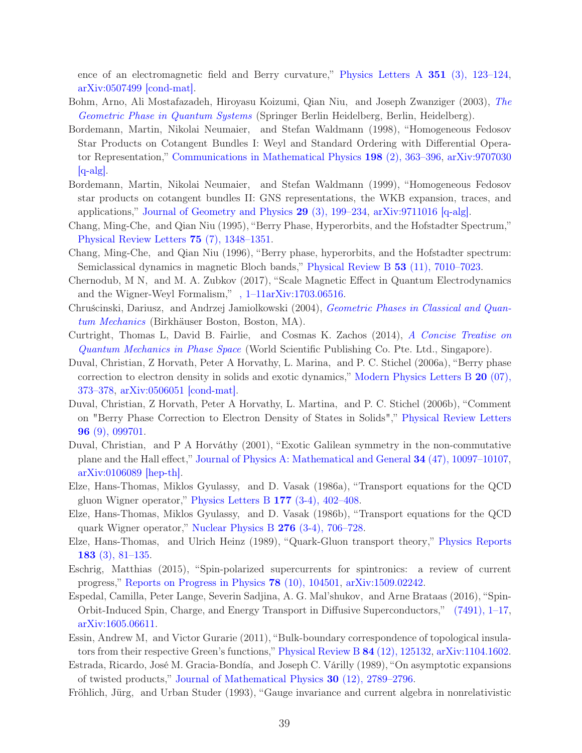ence of an electromagnetic field and Berry curvature," [Physics Letters A](http://dx.doi.org/10.1016/j.physleta.2005.10.087) 351 (3), 123–124, [arXiv:0507499 \[cond-mat\].](http://arxiv.org/abs/0507499)

- <span id="page-38-14"></span>Bohm, Arno, Ali Mostafazadeh, Hiroyasu Koizumi, Qian Niu, and Joseph Zwanziger (2003), The Geometric Phase in Quantum Systems (Springer Berlin Heidelberg, Berlin, Heidelberg).
- <span id="page-38-9"></span>Bordemann, Martin, Nikolai Neumaier, and Stefan Waldmann (1998), "Homogeneous Fedosov Star Products on Cotangent Bundles I: Weyl and Standard Ordering with Differential Operator Representation," [Communications in Mathematical Physics](http://dx.doi.org/10.1007/s002200050481) 198 (2), 363–396, arXiv:9707030  $[q-alg]$ .
- <span id="page-38-10"></span>Bordemann, Martin, Nikolai Neumaier, and Stefan Waldmann (1999), "Homogeneous Fedosov star products on cotangent bundles II: GNS representations, the WKB expansion, traces, and applications," [Journal of Geometry and Physics](http://dx.doi.org/10.1016/S0393-0440(98)00041-2)  $29$  (3), 199–234, [arXiv:9711016 \[q-alg\].](http://arxiv.org/abs/9711016)
- <span id="page-38-2"></span>Chang, Ming-Che, and Qian Niu (1995), "Berry Phase, Hyperorbits, and the Hofstadter Spectrum," [Physical Review Letters](http://dx.doi.org/10.1103/PhysRevLett.75.1348) 75 (7), 1348–1351.
- <span id="page-38-3"></span>Chang, Ming-Che, and Qian Niu (1996), "Berry phase, hyperorbits, and the Hofstadter spectrum: Semiclassical dynamics in magnetic Bloch bands," [Physical Review B](http://dx.doi.org/ 10.1103/PhysRevB.53.7010) 53 (11), 7010–7023.
- <span id="page-38-4"></span>Chernodub, M N, and M. A. Zubkov (2017), "Scale Magnetic Effect in Quantum Electrodynamics and the Wigner-Weyl Formalism," [, 1–11arXiv:1703.06516.](http://arxiv.org/abs/1703.06516)
- <span id="page-38-15"></span>Chruścinski, Dariusz, and Andrzej Jamiolkowski (2004), Geometric Phases in Classical and Quantum Mechanics (Birkhäuser Boston, Boston, MA).
- <span id="page-38-1"></span>Curtright, Thomas L, David B. Fairlie, and Cosmas K. Zachos (2014), A Concise Treatise on Quantum Mechanics in Phase Space (World Scientific Publishing Co. Pte. Ltd., Singapore).
- <span id="page-38-16"></span>Duval, Christian, Z Horvath, Peter A Horvathy, L. Marina, and P. C. Stichel (2006a), "Berry phase correction to electron density in solids and exotic dynamics," Modern Physics Letters  $B_20(07)$ , 373–378, [arXiv:0506051 \[cond-mat\].](http://arxiv.org/abs/0506051)
- <span id="page-38-17"></span>Duval, Christian, Z Horvath, Peter A Horvathy, L. Martina, and P. C. Stichel (2006b), "Comment on "Berry Phase Correction to Electron Density of States in Solids"," Physical Review Letters 96 (9), 099701.
- <span id="page-38-18"></span>Duval, Christian, and P A Horváthy (2001), "Exotic Galilean symmetry in the non-commutative plane and the Hall effect," [Journal of Physics A: Mathematical and General](http://dx.doi.org/10.1088/0305-4470/34/47/314) 34 (47), 10097–10107, [arXiv:0106089 \[hep-th\].](http://arxiv.org/abs/0106089)
- <span id="page-38-6"></span>Elze, Hans-Thomas, Miklos Gyulassy, and D. Vasak (1986a), "Transport equations for the QCD gluon Wigner operator," [Physics Letters B](http://dx.doi.org/10.1016/0370-2693(86)90778-1) 177 (3-4), 402–408.
- <span id="page-38-7"></span>Elze, Hans-Thomas, Miklos Gyulassy, and D. Vasak (1986b), "Transport equations for the QCD quark Wigner operator," [Nuclear Physics B](http://dx.doi.org/10.1016/0550-3213(86)90072-6) 276 (3-4), 706–728.
- <span id="page-38-8"></span>Elze, Hans-Thomas, and Ulrich Heinz (1989), "Quark-Gluon transport theory," Physics Reports 183 (3), 81–135.
- <span id="page-38-12"></span>Eschrig, Matthias (2015), "Spin-polarized supercurrents for spintronics: a review of current progress," [Reports on Progress in Physics](http://dx.doi.org/10.1088/0034-4885/78/10/104501) 78 (10), 104501, [arXiv:1509.02242.](http://arxiv.org/abs/1509.02242)
- <span id="page-38-13"></span>Espedal, Camilla, Peter Lange, Severin Sadjina, A. G. Mal'shukov, and Arne Brataas (2016), "Spin-Orbit-Induced Spin, Charge, and Energy Transport in Diffusive Superconductors," [\(7491\), 1–17,](http://arxiv.org/abs/1605.06611) [arXiv:1605.06611.](http://arxiv.org/abs/1605.06611)
- <span id="page-38-0"></span>Essin, Andrew M, and Victor Gurarie (2011), "Bulk-boundary correspondence of topological insulators from their respective Green's functions," [Physical Review B](http://dx.doi.org/ 10.1103/PhysRevB.84.125132) 84 (12), 125132, [arXiv:1104.1602.](http://arxiv.org/abs/1104.1602)
- <span id="page-38-11"></span>Estrada, Ricardo, José M. Gracia-Bondía, and Joseph C. Várilly (1989), "On asymptotic expansions of twisted products," [Journal of Mathematical Physics](http://dx.doi.org/10.1063/1.528514) 30 (12), 2789–2796.
- <span id="page-38-5"></span>Fröhlich, Jürg, and Urban Studer (1993), "Gauge invariance and current algebra in nonrelativistic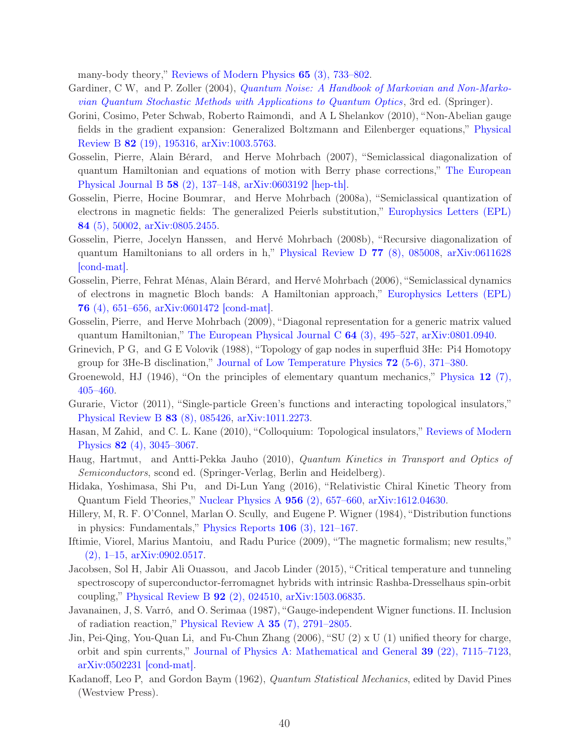many-body theory," [Reviews of Modern Physics](http://dx.doi.org/ 10.1103/RevModPhys.65.733) 65 (3), 733–802.

- <span id="page-39-5"></span>Gardiner, C W, and P. Zoller (2004), Quantum Noise: A Handbook of Markovian and Non-Markovian Quantum Stochastic Methods with Applications to Quantum Optics, 3rd ed. (Springer).
- <span id="page-39-11"></span>Gorini, Cosimo, Peter Schwab, Roberto Raimondi, and A L Shelankov (2010), "Non-Abelian gauge fields in the gradient expansion: Generalized Boltzmann and Eilenberger equations," Physical Review B 82 (19), 195316, [arXiv:1003.5763.](http://arxiv.org/abs/1003.5763)
- <span id="page-39-6"></span>Gosselin, Pierre, Alain Bérard, and Herve Mohrbach (2007), "Semiclassical diagonalization of quantum Hamiltonian and equations of motion with Berry phase corrections," The European Physical Journal B 58 (2), 137–148, [arXiv:0603192 \[hep-th\].](http://arxiv.org/abs/0603192)
- <span id="page-39-7"></span>Gosselin, Pierre, Hocine Boumrar, and Herve Mohrbach (2008a), "Semiclassical quantization of electrons in magnetic fields: The generalized Peierls substitution," Europhysics Letters (EPL) 84 (5), 50002, [arXiv:0805.2455.](http://arxiv.org/abs/0805.2455)
- <span id="page-39-8"></span>Gosselin, Pierre, Jocelyn Hanssen, and Hervé Mohrbach (2008b), "Recursive diagonalization of quantum Hamiltonians to all orders in h," [Physical Review D](http://dx.doi.org/10.1103/PhysRevD.77.085008) 77 (8), 085008, arXiv:0611628 [cond-mat].
- <span id="page-39-9"></span>Gosselin, Pierre, Fehrat Ménas, Alain Bérard, and Hervé Mohrbach (2006), "Semiclassical dynamics of electrons in magnetic Bloch bands: A Hamiltonian approach," Europhysics Letters (EPL) 76 (4), 651–656, [arXiv:0601472 \[cond-mat\].](http://arxiv.org/abs/0601472)
- <span id="page-39-10"></span>Gosselin, Pierre, and Herve Mohrbach (2009), "Diagonal representation for a generic matrix valued quantum Hamiltonian," [The European Physical Journal C](http://dx.doi.org/ 10.1140/epjc/s10052-009-1155-3)  $64$  (3), 495–527, [arXiv:0801.0940.](http://arxiv.org/abs/0801.0940)
- <span id="page-39-15"></span>Grinevich, P G, and G E Volovik (1988), "Topology of gap nodes in superfluid 3He: Pi4 Homotopy group for 3He-B disclination," [Journal of Low Temperature Physics](http://dx.doi.org/ 10.1007/BF00682148) 72 (5-6), 371–380.
- <span id="page-39-1"></span>Groenewold, HJ (1946), "On the principles of elementary quantum mechanics," Physica 12 (7), 405–460.
- <span id="page-39-0"></span>Gurarie, Victor (2011), "Single-particle Green's functions and interacting topological insulators," [Physical Review B](http://dx.doi.org/10.1103/PhysRevB.83.085426) 83 (8), 085426, [arXiv:1011.2273.](http://arxiv.org/abs/1011.2273)
- <span id="page-39-17"></span>Hasan, M Zahid, and C. L. Kane (2010), "Colloquium: Topological insulators," Reviews of Modern Physics 82 (4), 3045–3067.
- <span id="page-39-3"></span>Haug, Hartmut, and Antti-Pekka Jauho (2010), Quantum Kinetics in Transport and Optics of Semiconductors, scond ed. (Springer-Verlag, Berlin and Heidelberg).
- <span id="page-39-18"></span>Hidaka, Yoshimasa, Shi Pu, and Di-Lun Yang (2016), "Relativistic Chiral Kinetic Theory from Quantum Field Theories," [Nuclear Physics A](http://dx.doi.org/10.1016/j.nuclphysa.2016.04.015) 956 (2), 657–660, [arXiv:1612.04630.](http://arxiv.org/abs/1612.04630)
- <span id="page-39-2"></span>Hillery, M, R. F. O'Connel, Marlan O. Scully, and Eugene P. Wigner (1984), "Distribution functions in physics: Fundamentals," [Physics Reports](http://dx.doi.org/ 10.1016/0370-1573(84)90160-1) 106 (3), 121–167.
- <span id="page-39-13"></span>Iftimie, Viorel, Marius Mantoiu, and Radu Purice (2009), "The magnetic formalism; new results," [\(2\), 1–15,](http://arxiv.org/abs/0902.0517) [arXiv:0902.0517.](http://arxiv.org/abs/0902.0517)
- <span id="page-39-14"></span>Jacobsen, Sol H, Jabir Ali Ouassou, and Jacob Linder (2015), "Critical temperature and tunneling spectroscopy of superconductor-ferromagnet hybrids with intrinsic Rashba-Dresselhaus spin-orbit coupling," [Physical Review B](http://dx.doi.org/10.1103/PhysRevB.92.024510) 92 (2), 024510, [arXiv:1503.06835.](http://arxiv.org/abs/1503.06835)
- <span id="page-39-12"></span>Javanainen, J, S. Varró, and O. Serimaa (1987), "Gauge-independent Wigner functions. II. Inclusion of radiation reaction," [Physical Review A](http://dx.doi.org/10.1103/PhysRevA.35.2791) 35 (7), 2791–2805.
- <span id="page-39-16"></span>Jin, Pei-Qing, You-Quan Li, and Fu-Chun Zhang (2006), "SU (2) x U (1) unified theory for charge, orbit and spin currents," [Journal of Physics A: Mathematical and General](http://dx.doi.org/10.1088/0305-4470/39/22/022) 39 (22), 7115–7123, [arXiv:0502231 \[cond-mat\].](http://arxiv.org/abs/0502231)
- <span id="page-39-4"></span>Kadanoff, Leo P, and Gordon Baym (1962), Quantum Statistical Mechanics, edited by David Pines (Westview Press).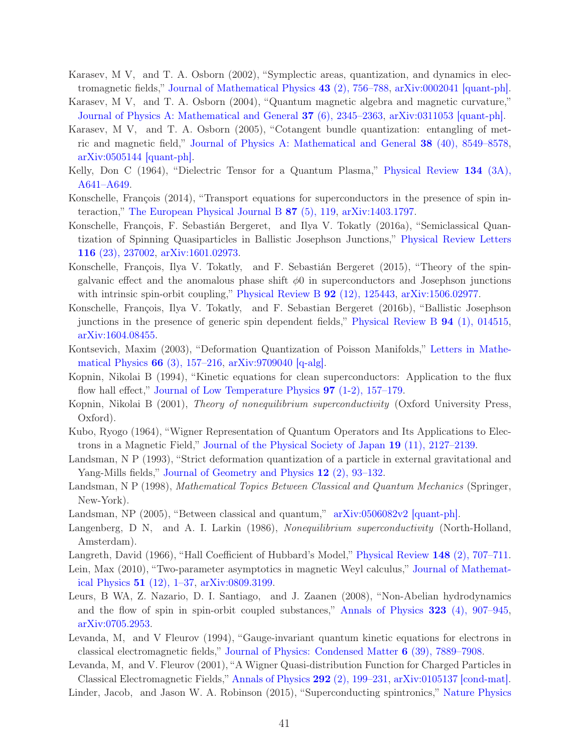- <span id="page-40-10"></span>Karasev, M V, and T. A. Osborn (2002), "Symplectic areas, quantization, and dynamics in electromagnetic fields," [Journal of Mathematical Physics](http://dx.doi.org/10.1063/1.1426688) 43 (2), 756–788, [arXiv:0002041 \[quant-ph\].](http://arxiv.org/abs/0002041)
- <span id="page-40-11"></span>Karasev, M V, and T. A. Osborn (2004), "Quantum magnetic algebra and magnetic curvature," [Journal of Physics A: Mathematical and General](http://dx.doi.org/10.1088/0305-4470/37/6/025) 37 (6), 2345–2363, [arXiv:0311053 \[quant-ph\].](http://arxiv.org/abs/0311053)
- <span id="page-40-12"></span>Karasev, M V, and T. A. Osborn (2005), "Cotangent bundle quantization: entangling of metric and magnetic field," [Journal of Physics A: Mathematical and General](http://dx.doi.org/10.1088/0305-4470/38/40/006) 38 (40), 8549–8578, [arXiv:0505144 \[quant-ph\].](http://arxiv.org/abs/0505144)
- <span id="page-40-4"></span>Kelly, Don C (1964), "Dielectric Tensor for a Quantum Plasma," Physical Review 134 (3A), A641–A649.
- <span id="page-40-3"></span>Konschelle, François (2014), "Transport equations for superconductors in the presence of spin interaction," [The European Physical Journal B](http://dx.doi.org/ 10.1140/epjb/e2014-50143-0) 87 (5), 119, [arXiv:1403.1797.](http://arxiv.org/abs/1403.1797)
- <span id="page-40-19"></span>Konschelle, François, F. Sebastián Bergeret, and Ilya V. Tokatly (2016a), "Semiclassical Quantization of Spinning Quasiparticles in Ballistic Josephson Junctions," Physical Review Letters 116 (23), 237002, [arXiv:1601.02973.](http://arxiv.org/abs/1601.02973)
- <span id="page-40-20"></span>Konschelle, François, Ilya V. Tokatly, and F. Sebastián Bergeret (2015), "Theory of the spingalvanic effect and the anomalous phase shift  $\phi$ 0 in superconductors and Josephson junctions with intrinsic spin-orbit coupling," [Physical Review B](http://dx.doi.org/ 10.1103/PhysRevB.92.125443) **92** (12), 125443, [arXiv:1506.02977.](http://arxiv.org/abs/1506.02977)
- <span id="page-40-21"></span>Konschelle, François, Ilya V. Tokatly, and F. Sebastian Bergeret (2016b), "Ballistic Josephson junctions in the presence of generic spin dependent fields," [Physical Review B](http://dx.doi.org/10.1103/PhysRevB.94.014515) 94 (1), 014515, [arXiv:1604.08455.](http://arxiv.org/abs/1604.08455)
- <span id="page-40-14"></span>Kontsevich, Maxim (2003), "Deformation Quantization of Poisson Manifolds," Letters in Mathematical Physics 66 (3), 157–216, [arXiv:9709040 \[q-alg\].](http://arxiv.org/abs/9709040)
- <span id="page-40-5"></span>Kopnin, Nikolai B (1994), "Kinetic equations for clean superconductors: Application to the flux flow hall effect," [Journal of Low Temperature Physics](http://dx.doi.org/10.1007/BF00752983) 97 (1-2), 157–179.
- <span id="page-40-0"></span>Kopnin, Nikolai B (2001), Theory of nonequilibrium superconductivity (Oxford University Press, Oxford).
- <span id="page-40-6"></span>Kubo, Ryogo (1964), "Wigner Representation of Quantum Operators and Its Applications to Electrons in a Magnetic Field," [Journal of the Physical Society of Japan](http://dx.doi.org/10.1143/JPSJ.19.2127) 19 (11), 2127–2139.
- <span id="page-40-17"></span>Landsman, N P (1993), "Strict deformation quantization of a particle in external gravitational and Yang-Mills fields," [Journal of Geometry and Physics](http://dx.doi.org/ 10.1016/0393-0440(93)90010-C) 12 (2), 93–132.
- <span id="page-40-15"></span>Landsman, N P (1998), Mathematical Topics Between Classical and Quantum Mechanics (Springer, New-York).
- <span id="page-40-16"></span>Landsman, NP (2005), "Between classical and quantum,"  $\arXiv:0506082v2$  quant-ph.
- <span id="page-40-1"></span>Langenberg, D N, and A. I. Larkin (1986), Nonequilibrium superconductivity (North-Holland, Amsterdam).
- <span id="page-40-7"></span>Langreth, David (1966), "Hall Coefficient of Hubbard's Model," [Physical Review](http://dx.doi.org/10.1103/PhysRev.148.707) 148 (2), 707–711.
- <span id="page-40-13"></span>Lein, Max (2010), "Two-parameter asymptotics in magnetic Weyl calculus," Journal of Mathematical Physics 51 (12), 1–37, [arXiv:0809.3199.](http://arxiv.org/abs/0809.3199)
- <span id="page-40-2"></span>Leurs, B WA, Z. Nazario, D. I. Santiago, and J. Zaanen (2008), "Non-Abelian hydrodynamics and the flow of spin in spin-orbit coupled substances," [Annals of Physics](http://dx.doi.org/10.1016/j.aop.2007.06.012) 323 (4), 907–945, [arXiv:0705.2953.](http://arxiv.org/abs/0705.2953)
- <span id="page-40-8"></span>Levanda, M, and V Fleurov (1994), "Gauge-invariant quantum kinetic equations for electrons in classical electromagnetic fields," [Journal of Physics: Condensed Matter](http://dx.doi.org/10.1088/0953-8984/6/39/010) 6 (39), 7889–7908.

<span id="page-40-18"></span><span id="page-40-9"></span>Levanda, M, and V. Fleurov (2001), "A Wigner Quasi-distribution Function for Charged Particles in Classical Electromagnetic Fields," [Annals of Physics](http://dx.doi.org/10.1006/aphy.2001.6170) 292 (2), 199–231, [arXiv:0105137 \[cond-mat\].](http://arxiv.org/abs/0105137) Linder, Jacob, and Jason W. A. Robinson (2015), "Superconducting spintronics," Nature Physics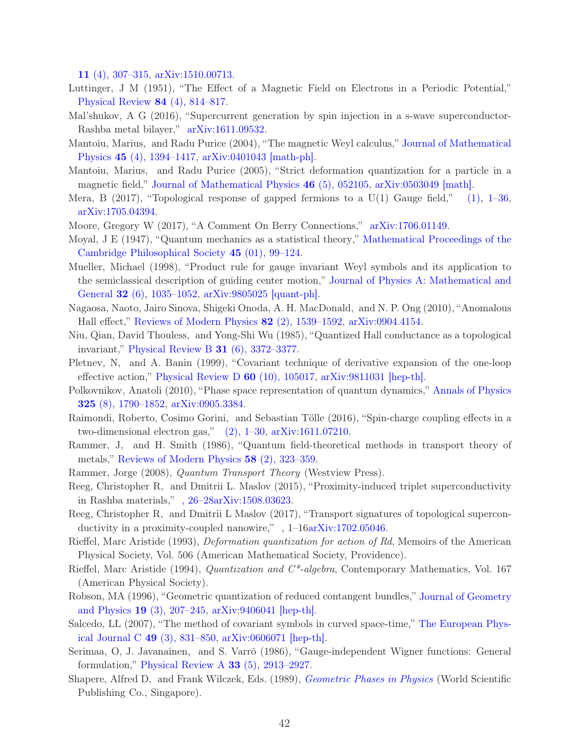11 (4), 307–315, [arXiv:1510.00713.](http://arxiv.org/abs/1510.00713)

- <span id="page-41-7"></span>Luttinger, J M (1951), "The Effect of a Magnetic Field on Electrons in a Periodic Potential," [Physical Review](http://dx.doi.org/10.1103/PhysRev.84.814) 84 (4), 814–817.
- <span id="page-41-19"></span>Mal'shukov, A G (2016), "Supercurrent generation by spin injection in a s-wave superconductor-Rashba metal bilayer," [arXiv:1611.09532.](http://arxiv.org/abs/1611.09532)
- <span id="page-41-9"></span>Mantoiu, Marius, and Radu Purice (2004), "The magnetic Weyl calculus," Journal of Mathematical Physics 45 (4), 1394–1417, [arXiv:0401043 \[math-ph\].](http://arxiv.org/abs/0401043)
- <span id="page-41-10"></span>Mantoiu, Marius, and Radu Purice (2005), "Strict deformation quantization for a particle in a magnetic field," [Journal of Mathematical Physics](http://dx.doi.org/10.1063/1.1887922) 46 (5), 052105, [arXiv:0503049 \[math\].](http://arxiv.org/abs/0503049)
- <span id="page-41-1"></span>Mera, B  $(2017)$ , "Topological response of gapped fermions to a U(1) Gauge field,"  $(1)$ , 1–36, [arXiv:1705.04394.](http://arxiv.org/abs/1705.04394)
- <span id="page-41-18"></span>Moore, Gregory W (2017), "A Comment On Berry Connections," [arXiv:1706.01149.](http://arxiv.org/abs/1706.01149)
- <span id="page-41-2"></span>Moyal, J E (1947), "Quantum mechanics as a statistical theory," Mathematical Proceedings of the Cambridge Philosophical Society 45 (01), 99–124.
- <span id="page-41-11"></span>Mueller, Michael (1998), "Product rule for gauge invariant Weyl symbols and its application to the semiclassical description of guiding center motion," Journal of Physics A: Mathematical and General 32 (6), 1035–1052, [arXiv:9805025 \[quant-ph\].](http://arxiv.org/abs/9805025)
- <span id="page-41-6"></span>Nagaosa, Naoto, Jairo Sinova, Shigeki Onoda, A. H. MacDonald, and N. P. Ong (2010), "Anomalous Hall effect," [Reviews of Modern Physics](http://dx.doi.org/10.1103/RevModPhys.82.1539) 82 (2), 1539–1592, [arXiv:0904.4154.](http://arxiv.org/abs/0904.4154)
- <span id="page-41-0"></span>Niu, Qian, David Thouless, and Yong-Shi Wu (1985), "Quantized Hall conductance as a topological invariant," [Physical Review B](http://dx.doi.org/ 10.1103/PhysRevB.31.3372)  $31$  (6), 3372-3377.
- <span id="page-41-16"></span>Pletnev, N, and A. Banin (1999), "Covariant technique of derivative expansion of the one-loop effective action," [Physical Review D](http://dx.doi.org/10.1103/PhysRevD.60.105017)  $60$  (10), 105017, [arXiv:9811031 \[hep-th\].](http://arxiv.org/abs/9811031)
- <span id="page-41-3"></span>Polkovnikov, Anatoli (2010), "Phase space representation of quantum dynamics," Annals of Physics 325 (8), 1790–1852, [arXiv:0905.3384.](http://arxiv.org/abs/0905.3384)
- <span id="page-41-12"></span>Raimondi, Roberto, Cosimo Gorini, and Sebastian Tölle (2016), "Spin-charge coupling effects in a two-dimensional electron gas," [\(2\), 1–30,](http://arxiv.org/abs/1611.07210) [arXiv:1611.07210.](http://arxiv.org/abs/1611.07210)
- <span id="page-41-4"></span>Rammer, J, and H. Smith (1986), "Quantum field-theoretical methods in transport theory of metals," [Reviews of Modern Physics](http://dx.doi.org/10.1103/RevModPhys.58.323) 58 (2), 323–359.
- <span id="page-41-5"></span>Rammer, Jorge (2008), Quantum Transport Theory (Westview Press).
- <span id="page-41-20"></span>Reeg, Christopher R, and Dmitrii L. Maslov (2015), "Proximity-induced triplet superconductivity in Rashba materials," [, 26–28arXiv:1508.03623.](http://arxiv.org/abs/1508.03623)
- <span id="page-41-21"></span>Reeg, Christopher R, and Dmitrii L Maslov (2017), "Transport signatures of topological superconductivity in a proximity-coupled nanowire,",  $1-16arXiv:1702.05046$ .
- <span id="page-41-13"></span>Rieffel, Marc Aristide (1993), Deformation quantization for action of Rd, Memoirs of the American Physical Society, Vol. 506 (American Mathematical Society, Providence).
- <span id="page-41-14"></span>Rieffel, Marc Aristide (1994), Quantization and C\*-algebra, Contemporary Mathematics, Vol. 167 (American Physical Society).
- <span id="page-41-15"></span>Robson, MA (1996), "Geometric quantization of reduced contangent bundles," Journal of Geometry and Physics 19 (3), 207–245, [arXiv:9406041 \[hep-th\].](http://arxiv.org/abs/9406041)
- <span id="page-41-17"></span>Salcedo, LL (2007), "The method of covariant symbols in curved space-time," The European Physical Journal C 49 (3), 831–850, [arXiv:0606071 \[hep-th\].](http://arxiv.org/abs/0606071)
- <span id="page-41-8"></span>Serimaa, O, J. Javanainen, and S. Varró (1986), "Gauge-independent Wigner functions: General formulation," Physical Review  $\overline{A}$  33 (5), 2913–2927.
- <span id="page-41-22"></span>Shapere, Alfred D, and Frank Wilczek, Eds. (1989), [Geometric Phases in Physics](http://www.worldscientific.com/doi/abs/10.1142/9789812798381_fmatter) (World Scientific Publishing Co., Singapore).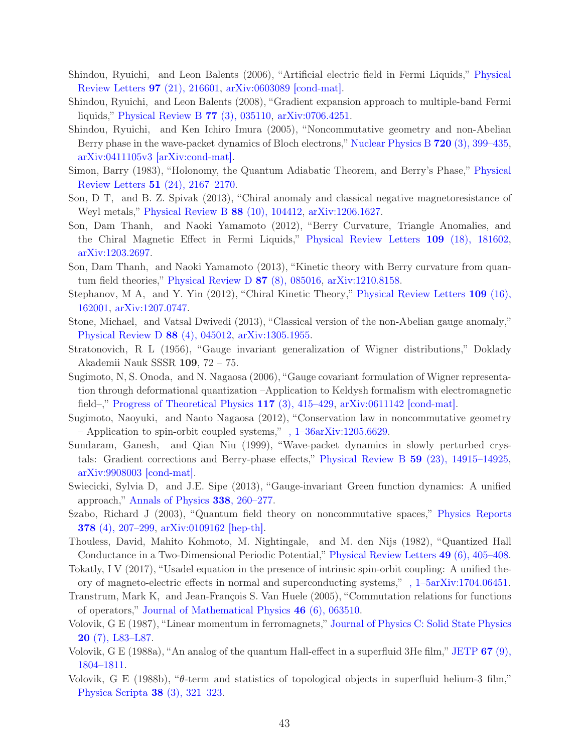- <span id="page-42-3"></span>Shindou, Ryuichi, and Leon Balents (2006), "Artificial electric field in Fermi Liquids," Physical Review Letters 97 (21), 216601, [arXiv:0603089 \[cond-mat\].](http://arxiv.org/abs/0603089)
- <span id="page-42-4"></span>Shindou, Ryuichi, and Leon Balents (2008), "Gradient expansion approach to multiple-band Fermi liquids," [Physical Review B](http://dx.doi.org/10.1103/PhysRevB.77.035110) 77 (3), 035110, [arXiv:0706.4251.](http://arxiv.org/abs/0706.4251)
- <span id="page-42-5"></span>Shindou, Ryuichi, and Ken Ichiro Imura (2005), "Noncommutative geometry and non-Abelian Berry phase in the wave-packet dynamics of Bloch electrons," [Nuclear Physics B](http://dx.doi.org/ 10.1016/j.nuclphysb.2005.05.019) 720 (3), 399–435, [arXiv:0411105v3 \[arXiv:cond-mat\].](http://arxiv.org/abs/0411105v3)
- <span id="page-42-18"></span>Simon, Barry (1983), "Holonomy, the Quantum Adiabatic Theorem, and Berry's Phase," Physical Review Letters 51 (24), 2167–2170.
- <span id="page-42-7"></span>Son, D T, and B. Z. Spivak (2013), "Chiral anomaly and classical negative magnetoresistance of Weyl metals," [Physical Review B](http://dx.doi.org/10.1103/PhysRevB.88.104412) 88 (10), 104412, [arXiv:1206.1627.](http://arxiv.org/abs/1206.1627)
- <span id="page-42-8"></span>Son, Dam Thanh, and Naoki Yamamoto (2012), "Berry Curvature, Triangle Anomalies, and the Chiral Magnetic Effect in Fermi Liquids," [Physical Review Letters](http://dx.doi.org/ 10.1103/PhysRevLett.109.181602) 109 (18), 181602, [arXiv:1203.2697.](http://arxiv.org/abs/1203.2697)
- <span id="page-42-9"></span>Son, Dam Thanh, and Naoki Yamamoto (2013), "Kinetic theory with Berry curvature from quantum field theories," [Physical Review D](http://dx.doi.org/10.1103/PhysRevD.87.085016) 87 (8), 085016, [arXiv:1210.8158.](http://arxiv.org/abs/1210.8158)
- <span id="page-42-10"></span>Stephanov, M A, and Y. Yin (2012), "Chiral Kinetic Theory," Physical Review Letters 109 (16), 162001, [arXiv:1207.0747.](http://arxiv.org/abs/1207.0747)
- <span id="page-42-11"></span>Stone, Michael, and Vatsal Dwivedi (2013), "Classical version of the non-Abelian gauge anomaly," [Physical Review D](http://dx.doi.org/10.1103/PhysRevD.88.045012) 88 (4), 045012, [arXiv:1305.1955.](http://arxiv.org/abs/1305.1955)
- <span id="page-42-12"></span>Stratonovich, R L (1956), "Gauge invariant generalization of Wigner distributions," Doklady Akademii Nauk SSSR 109, 72 – 75.
- <span id="page-42-15"></span>Sugimoto, N, S. Onoda, and N. Nagaosa (2006), "Gauge covariant formulation of Wigner representation through deformational quantization –Application to Keldysh formalism with electromagnetic field–," [Progress of Theoretical Physics](http://dx.doi.org/10.1143/PTP.117.415)  $117$  (3),  $415-429$ ,  $arXiv:0611142$  [cond-mat].
- <span id="page-42-16"></span>Sugimoto, Naoyuki, and Naoto Nagaosa (2012), "Conservation law in noncommutative geometry – Application to spin-orbit coupled systems," [, 1–36arXiv:1205.6629.](http://arxiv.org/abs/1205.6629)
- <span id="page-42-6"></span>Sundaram, Ganesh, and Qian Niu (1999), "Wave-packet dynamics in slowly perturbed crystals: Gradient corrections and Berry-phase effects," [Physical Review B](http://dx.doi.org/ 10.1103/PhysRevB.59.14915) 59 (23), 14915–14925, [arXiv:9908003 \[cond-mat\].](http://arxiv.org/abs/9908003)
- <span id="page-42-13"></span>Swiecicki, Sylvia D, and J.E. Sipe (2013), "Gauge-invariant Green function dynamics: A unified approach," [Annals of Physics](http://dx.doi.org/10.1016/j.aop.2013.09.014) 338, 260–277.
- <span id="page-42-14"></span>Szabo, Richard J (2003), "Quantum field theory on noncommutative spaces," Physics Reports 378 (4), 207–299, [arXiv:0109162 \[hep-th\].](http://arxiv.org/abs/0109162)
- <span id="page-42-0"></span>Thouless, David, Mahito Kohmoto, M. Nightingale, and M. den Nijs (1982), "Quantized Hall Conductance in a Two-Dimensional Periodic Potential," [Physical Review Letters](http://dx.doi.org/10.1103/PhysRevLett.49.405) 49 (6), 405–408.
- <span id="page-42-20"></span>Tokatly, I V (2017), "Usadel equation in the presence of intrinsic spin-orbit coupling: A unified theory of magneto-electric effects in normal and superconducting systems," [, 1–5arXiv:1704.06451.](http://arxiv.org/abs/1704.06451)
- <span id="page-42-17"></span>Transtrum, Mark K, and Jean-François S. Van Huele (2005), "Commutation relations for functions of operators," [Journal of Mathematical Physics](http://dx.doi.org/10.1063/1.1924703) 46 (6), 063510.
- <span id="page-42-1"></span>Volovik, G E (1987), "Linear momentum in ferromagnets," Journal of Physics C: Solid State Physics 20 (7), L83–L87.
- <span id="page-42-19"></span>Volovik, G E (1988a), "An analog of the quantum Hall-effect in a superfluid 3He film," JETP  $67$  (9), 1804–1811.
- <span id="page-42-2"></span>Volovik, G E (1988b), "θ-term and statistics of topological objects in superfluid helium-3 film," [Physica Scripta](http://dx.doi.org/10.1088/0031-8949/38/3/001) 38 (3), 321–323.